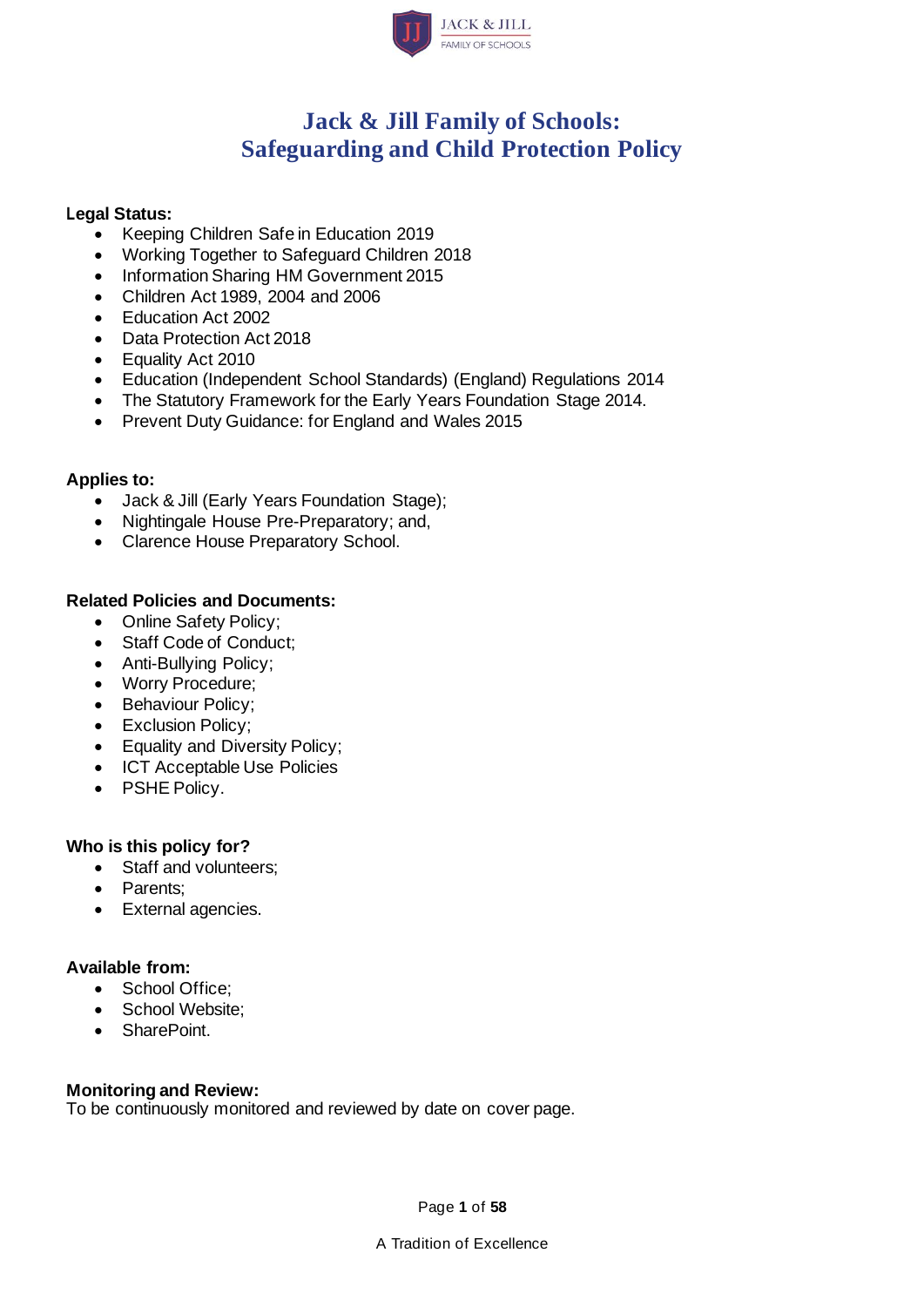

## **Jack & Jill Family of Schools: Safeguarding and Child Protection Policy**

#### **Legal Status:**

- Keeping Children Safe in Education 2019
- Working Together to Safeguard Children 2018
- Information Sharing HM Government 2015
- Children Act 1989, 2004 and 2006
- Education Act 2002
- Data Protection Act 2018
- Equality Act 2010
- Education (Independent School Standards) (England) Regulations 2014
- The Statutory Framework for the Early Years Foundation Stage 2014.
- Prevent Duty Guidance: for England and Wales 2015

#### **Applies to:**

- Jack & Jill (Early Years Foundation Stage);
- Nightingale House Pre-Preparatory; and,
- Clarence House Preparatory School.

#### **Related Policies and Documents:**

- Online Safety Policy;
- Staff Code of Conduct;
- Anti-Bullying Policy;
- Worry Procedure;
- Behaviour Policy;
- Exclusion Policy;
- Equality and Diversity Policy;
- ICT Acceptable Use Policies
- PSHE Policy.

#### **Who is this policy for?**

- Staff and volunteers;
- Parents;
- External agencies.

#### **Available from:**

- School Office:
- School Website;
- SharePoint.

#### **Monitoring and Review:**

To be continuously monitored and reviewed by date on cover page.

Page **1** of **58**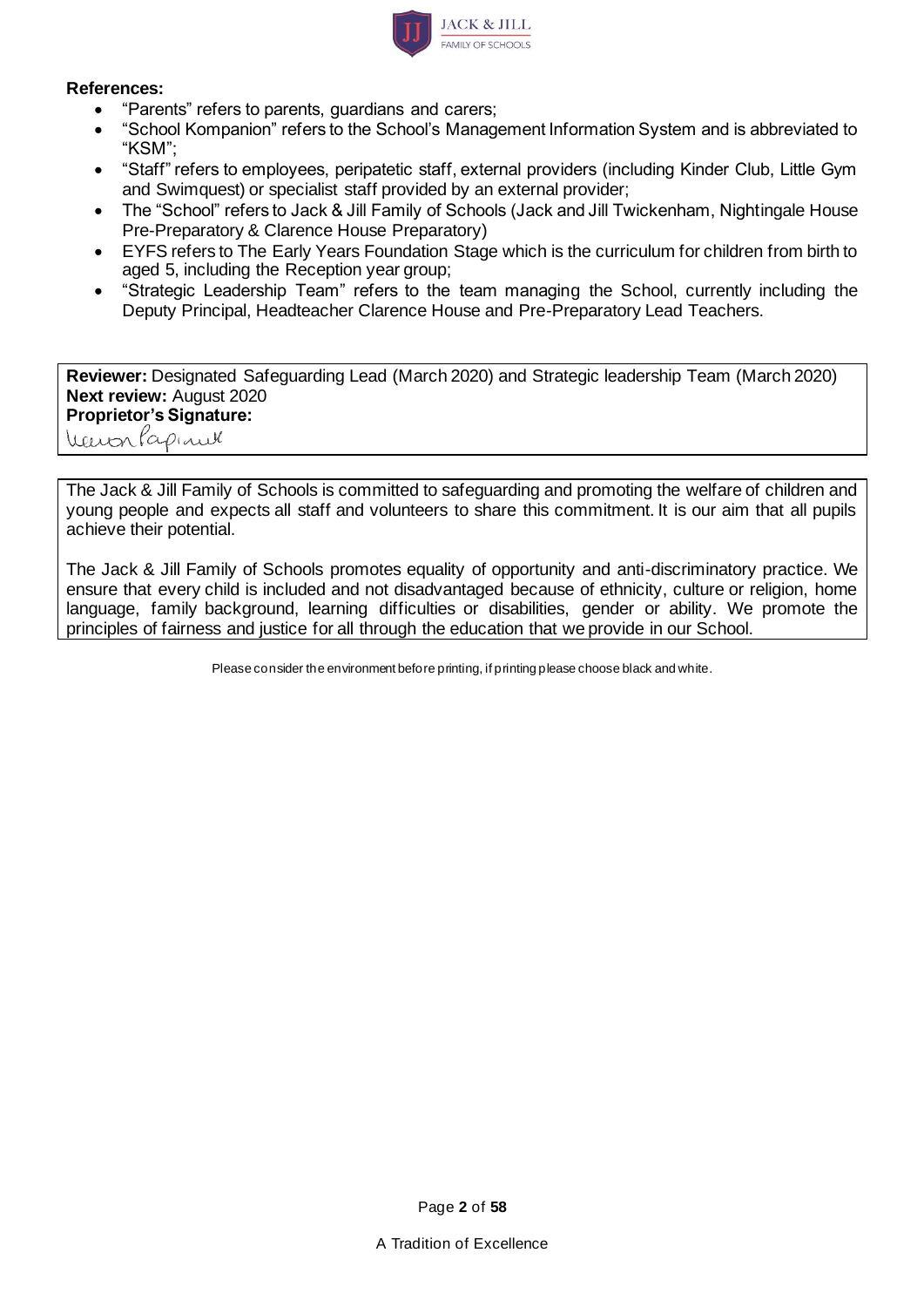

#### **References:**

- "Parents" refers to parents, guardians and carers;
- "School Kompanion" refers to the School's Management Information System and is abbreviated to "KSM";
- "Staff" refers to employees, peripatetic staff, external providers (including Kinder Club, Little Gym and Swimquest) or specialist staff provided by an external provider;
- The "School" refers to Jack & Jill Family of Schools (Jack and Jill Twickenham, Nightingale House Pre-Preparatory & Clarence House Preparatory)
- EYFS refers to The Early Years Foundation Stage which is the curriculum for children from birth to aged 5, including the Reception year group;
- "Strategic Leadership Team" refers to the team managing the School, currently including the Deputy Principal, Headteacher Clarence House and Pre-Preparatory Lead Teachers.

**Reviewer:** Designated Safeguarding Lead (March 2020) and Strategic leadership Team (March 2020) **Next review:** August 2020 **Proprietor's Signature:** Wenterlapinel

The Jack & Jill Family of Schools is committed to safeguarding and promoting the welfare of children and young people and expects all staff and volunteers to share this commitment. It is our aim that all pupils achieve their potential.

The Jack & Jill Family of Schools promotes equality of opportunity and anti-discriminatory practice. We ensure that every child is included and not disadvantaged because of ethnicity, culture or religion, home language, family background, learning difficulties or disabilities, gender or ability. We promote the principles of fairness and justice for all through the education that we provide in our School.

Please consider the environment before printing, if printing please choose black and white.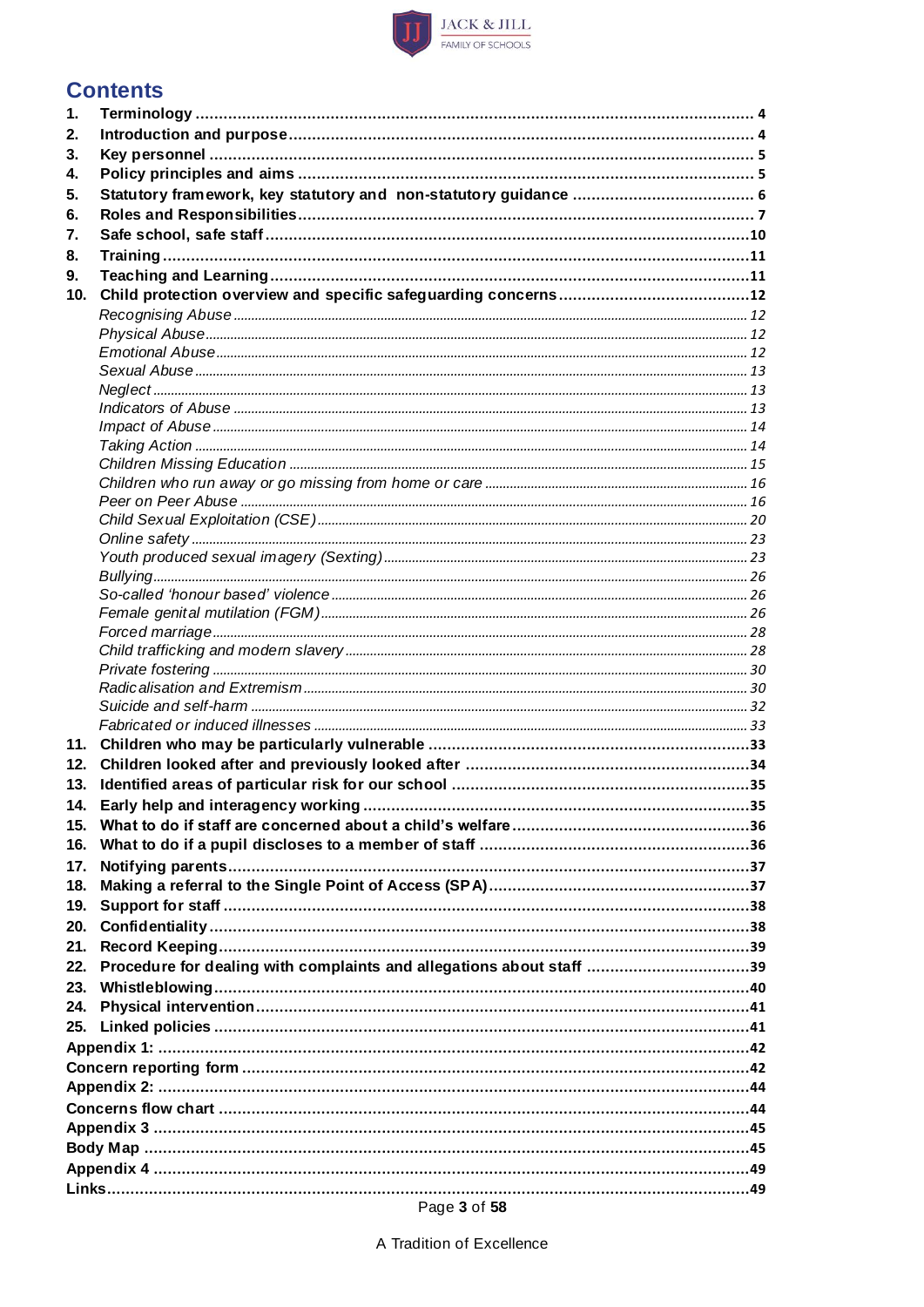

### **Contents**

| 1.  |                                                                      |  |
|-----|----------------------------------------------------------------------|--|
| 2.  |                                                                      |  |
| 3.  |                                                                      |  |
| 4.  |                                                                      |  |
| 5.  |                                                                      |  |
| 6.  |                                                                      |  |
| 7.  |                                                                      |  |
| 8.  |                                                                      |  |
| 9.  |                                                                      |  |
| 10. |                                                                      |  |
|     |                                                                      |  |
|     |                                                                      |  |
|     |                                                                      |  |
|     |                                                                      |  |
|     |                                                                      |  |
|     |                                                                      |  |
|     |                                                                      |  |
|     |                                                                      |  |
|     |                                                                      |  |
|     |                                                                      |  |
|     |                                                                      |  |
|     |                                                                      |  |
|     |                                                                      |  |
|     |                                                                      |  |
|     |                                                                      |  |
|     |                                                                      |  |
|     |                                                                      |  |
|     |                                                                      |  |
|     |                                                                      |  |
|     |                                                                      |  |
|     |                                                                      |  |
|     |                                                                      |  |
| 11. |                                                                      |  |
| 12. |                                                                      |  |
| 13. |                                                                      |  |
| 14. |                                                                      |  |
| 15. |                                                                      |  |
| 16. |                                                                      |  |
| 17. |                                                                      |  |
| 18. |                                                                      |  |
| 19. |                                                                      |  |
| 20. |                                                                      |  |
| 21. |                                                                      |  |
| 22. | Procedure for dealing with complaints and allegations about staff 39 |  |
| 23. |                                                                      |  |
| 24. |                                                                      |  |
| 25. |                                                                      |  |
|     |                                                                      |  |
|     |                                                                      |  |
|     |                                                                      |  |
|     |                                                                      |  |
|     |                                                                      |  |
|     |                                                                      |  |
|     |                                                                      |  |
|     |                                                                      |  |
|     | $D = \mathbb{R} \times \mathbb{R} \times \mathbb{R}$                 |  |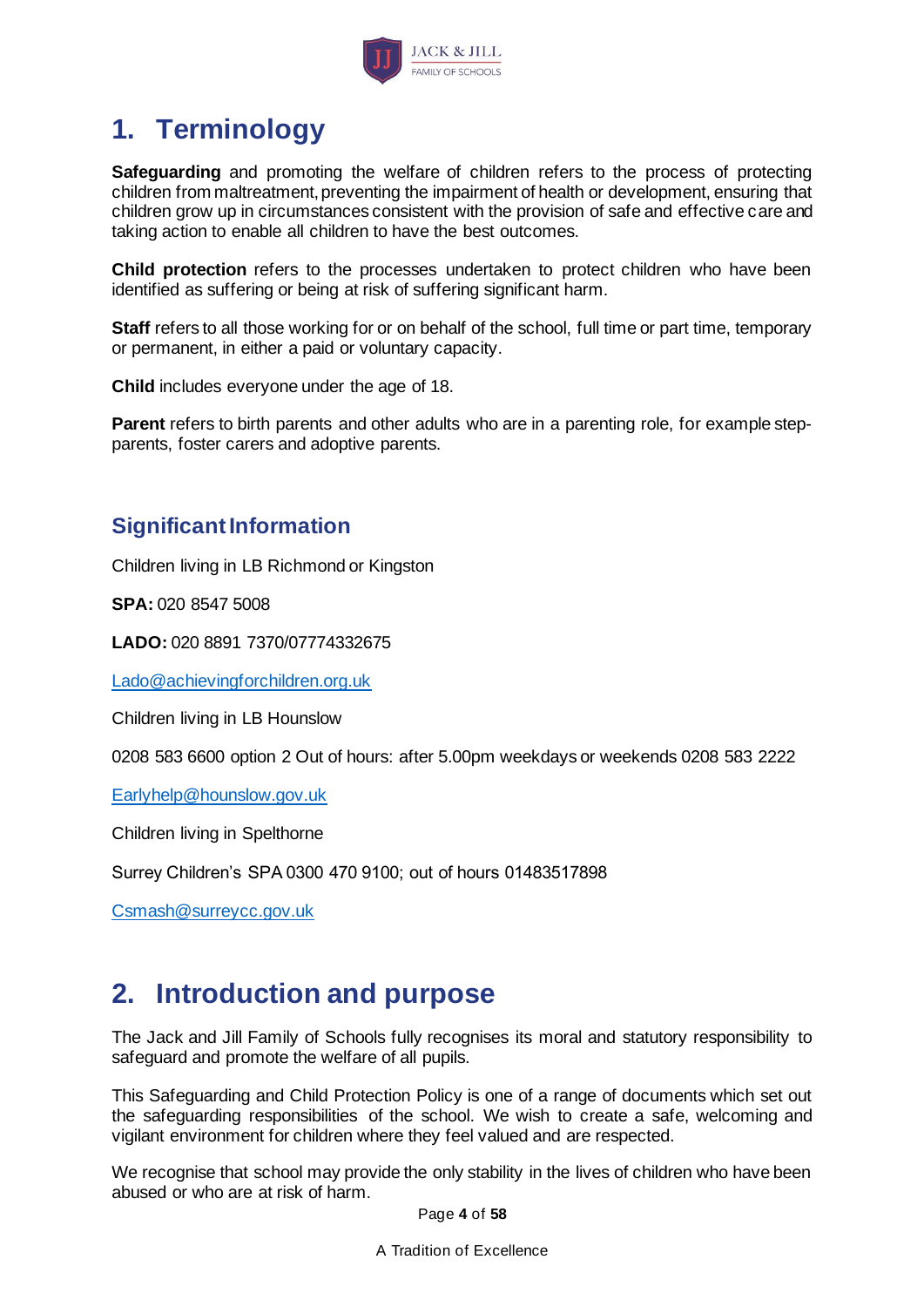

# <span id="page-3-0"></span>**1. Terminology**

**Safeguarding** and promoting the welfare of children refers to the process of protecting children from maltreatment, preventing the impairment of health or development, ensuring that children grow up in circumstances consistent with the provision of safe and effective care and taking action to enable all children to have the best outcomes.

**Child protection** refers to the processes undertaken to protect children who have been identified as suffering or being at risk of suffering significant harm.

**Staff** refers to all those working for or on behalf of the school, full time or part time, temporary or permanent, in either a paid or voluntary capacity.

**Child** includes everyone under the age of 18.

**Parent** refers to birth parents and other adults who are in a parenting role, for example stepparents, foster carers and adoptive parents.

## **Significant Information**

Children living in LB Richmond or Kingston

**SPA:** 020 8547 5008

**LADO:** 020 8891 7370/07774332675

[Lado@achievingforchildren.org.uk](mailto:Lado@achievingforchildren.org.uk)

Children living in LB Hounslow

0208 583 6600 option 2 Out of hours: after 5.00pm weekdays or weekends 0208 583 2222

[Earlyhelp@hounslow.gov.uk](mailto:Earlyhelp@hounslow.gov.uk)

Children living in Spelthorne

Surrey Children's SPA 0300 470 9100; out of hours 01483517898

[Csmash@surreycc.gov.uk](mailto:Csmash@surreycc.gov.uk)

## <span id="page-3-1"></span>**2. Introduction and purpose**

The Jack and Jill Family of Schools fully recognises its moral and statutory responsibility to safeguard and promote the welfare of all pupils.

This Safeguarding and Child Protection Policy is one of a range of documents which set out the safeguarding responsibilities of the school. We wish to create a safe, welcoming and vigilant environment for children where they feel valued and are respected.

We recognise that school may provide the only stability in the lives of children who have been abused or who are at risk of harm.

Page **4** of **58**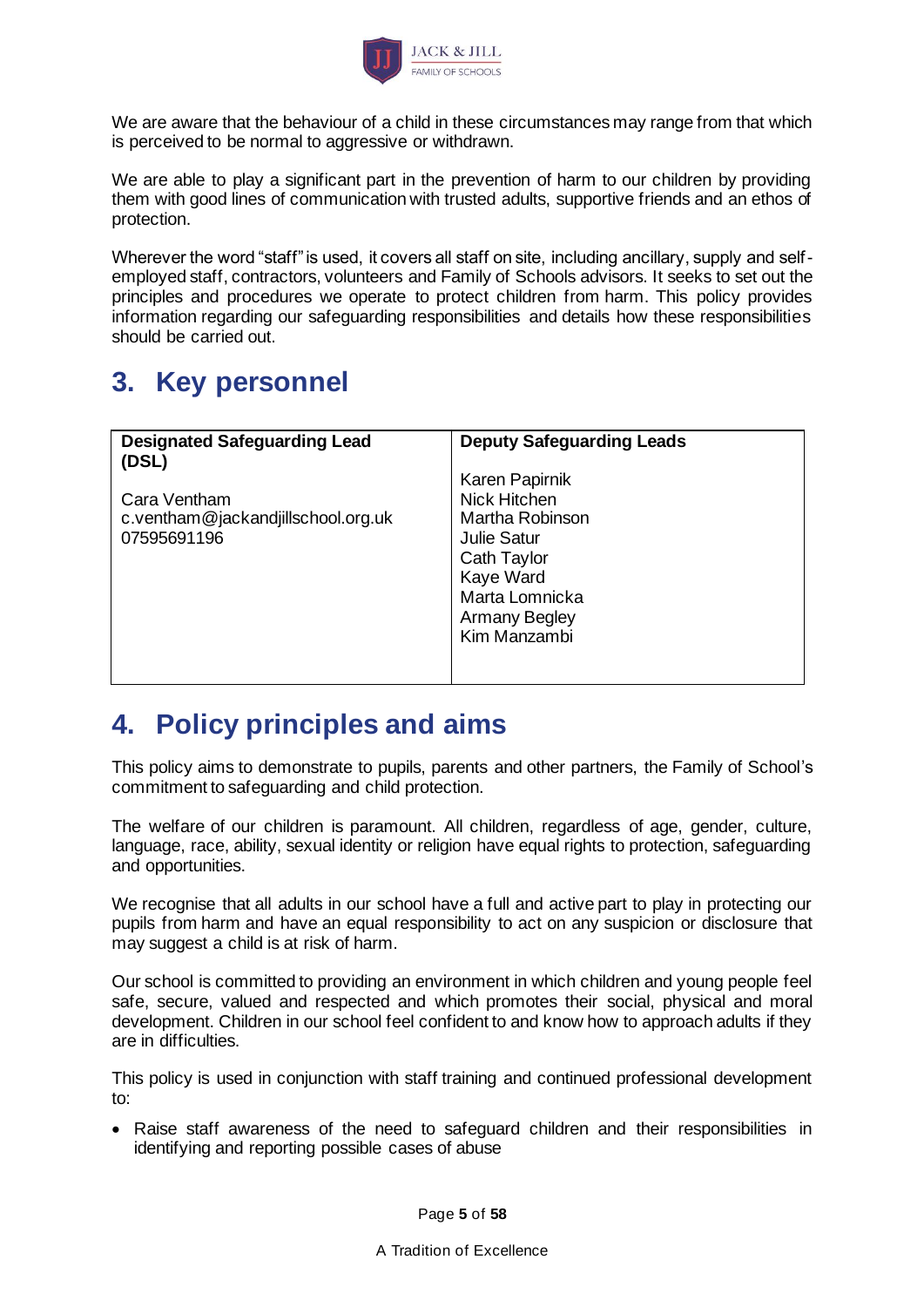

We are aware that the behaviour of a child in these circumstances may range from that which is perceived to be normal to aggressive or withdrawn.

We are able to play a significant part in the prevention of harm to our children by providing them with good lines of communication with trusted adults, supportive friends and an ethos of protection.

Wherever the word "staff" is used, it covers all staff on site, including ancillary, supply and selfemployed staff, contractors, volunteers and Family of Schools advisors. It seeks to set out the principles and procedures we operate to protect children from harm. This policy provides information regarding our safeguarding responsibilities and details how these responsibilities should be carried out.

# <span id="page-4-0"></span>**3. Key personnel**

| <b>Designated Safeguarding Lead</b><br>(DSL)                      | <b>Deputy Safeguarding Leads</b>                                                                                                                                     |
|-------------------------------------------------------------------|----------------------------------------------------------------------------------------------------------------------------------------------------------------------|
| Cara Ventham<br>c.ventham@jackandjillschool.org.uk<br>07595691196 | <b>Karen Papirnik</b><br>Nick Hitchen<br>Martha Robinson<br><b>Julie Satur</b><br>Cath Taylor<br>Kaye Ward<br>Marta Lomnicka<br><b>Armany Begley</b><br>Kim Manzambi |

## <span id="page-4-1"></span>**4. Policy principles and aims**

This policy aims to demonstrate to pupils, parents and other partners, the Family of School's commitment to safeguarding and child protection.

The welfare of our children is paramount. All children, regardless of age, gender, culture, language, race, ability, sexual identity or religion have equal rights to protection, safeguarding and opportunities.

We recognise that all adults in our school have a full and active part to play in protecting our pupils from harm and have an equal responsibility to act on any suspicion or disclosure that may suggest a child is at risk of harm.

Our school is committed to providing an environment in which children and young people feel safe, secure, valued and respected and which promotes their social, physical and moral development. Children in our school feel confident to and know how to approach adults if they are in difficulties.

This policy is used in conjunction with staff training and continued professional development to:

• Raise staff awareness of the need to safeguard children and their responsibilities in identifying and reporting possible cases of abuse

Page **5** of **58**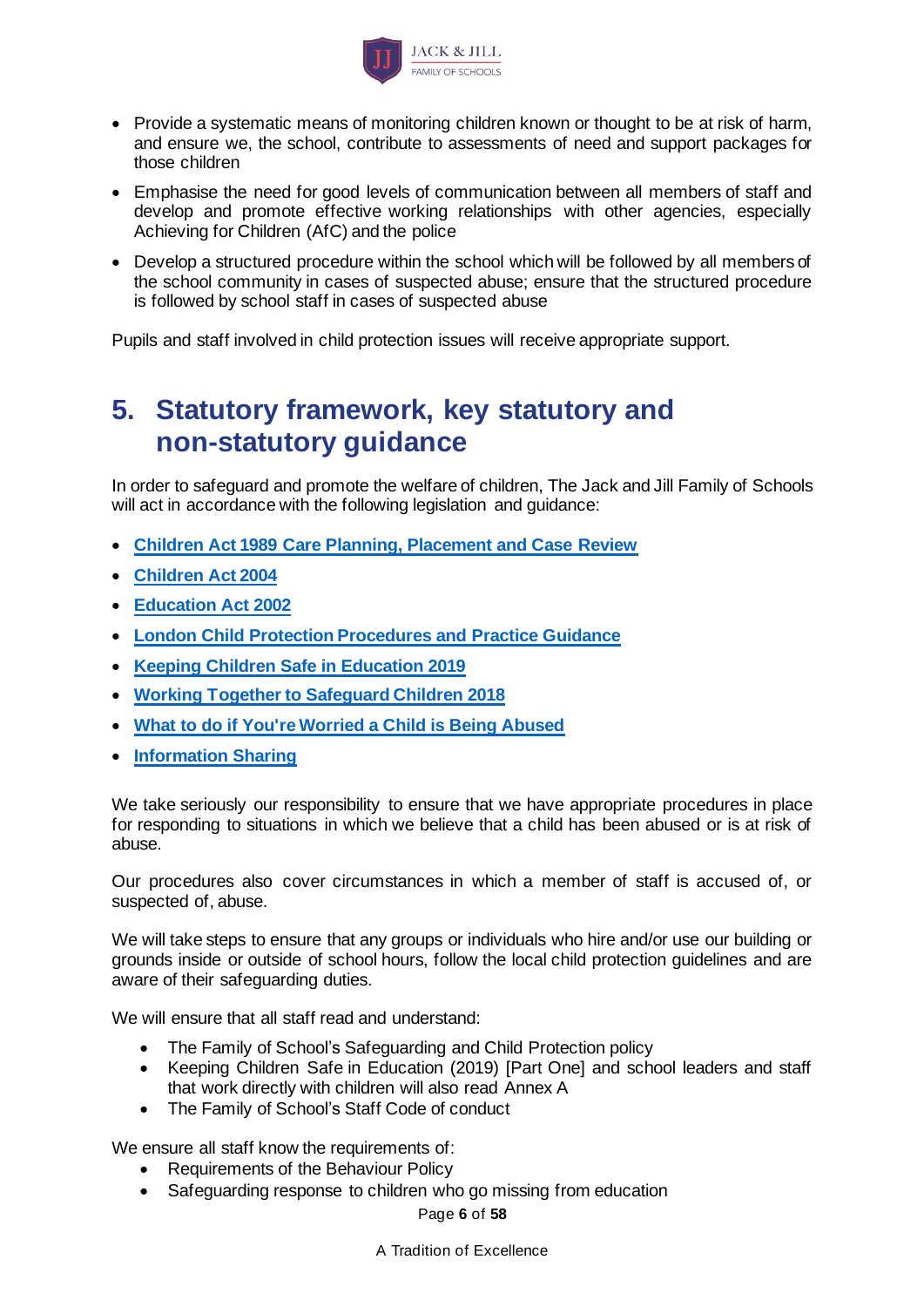

- Provide a systematic means of monitoring children known or thought to be at risk of harm, and ensure we, the school, contribute to assessments of need and support packages for those children
- Emphasise the need for good levels of communication between all members of staff and develop and promote effective working relationships with other agencies, especially Achieving for Children (AfC) and the police
- Develop a structured procedure within the school which will be followed by all members of the school community in cases of suspected abuse; ensure that the structured procedure is followed by school staff in cases of suspected abuse

Pupils and staff involved in child protection issues will receive appropriate support.

## <span id="page-5-0"></span>**5. Statutory framework, key statutory and non-statutory guidance**

In order to safeguard and promote the welfare of children, The Jack and Jill Family of Schools will act in accordance with the following legislation and guidance:

- **[Children Act 1989 Care Planning, Placement and Case Review](https://www.gov.uk/government/publications/children-act-1989-care-planning-placement-and-case-review)**
- **[Children Act 2004](http://www.legislation.gov.uk/ukpga/2004/31/contents)**
- **[Education Act 2002](http://www.legislation.gov.uk/ukpga/2002/32/section/175)**
- **[London Child Protection Procedures and Practice Guidance](http://www.londoncp.co.uk/)**
- **[Keeping Children Safe in Education 2019](https://www.gov.uk/government/publications/keeping-children-safe-in-education--2)**
- **[Working Together to Safeguard Children 2018](https://www.gov.uk/government/publications/working-together-to-safeguard-children--2)**
- **[What to do if You're Worried a Child is Being Abused](https://www.gov.uk/government/publications/what-to-do-if-youre-worried-a-child-is-being-abused--2)**
- **[Information Sharing](https://www.gov.uk/government/publications/safeguarding-practitioners-information-sharing-advice)**

We take seriously our responsibility to ensure that we have appropriate procedures in place for responding to situations in which we believe that a child has been abused or is at risk of abuse.

Our procedures also cover circumstances in which a member of staff is accused of, or suspected of, abuse.

We will take steps to ensure that any groups or individuals who hire and/or use our building or grounds inside or outside of school hours, follow the local child protection guidelines and are aware of their safeguarding duties.

We will ensure that all staff read and understand:

- The Family of School's Safeguarding and Child Protection policy
- Keeping Children Safe in Education (2019) [Part One] and school leaders and staff that work directly with children will also read Annex A
- The Family of School's Staff Code of conduct

We ensure all staff know the requirements of:

- Requirements of the Behaviour Policy
- Safeguarding response to children who go missing from education

Page **6** of **58**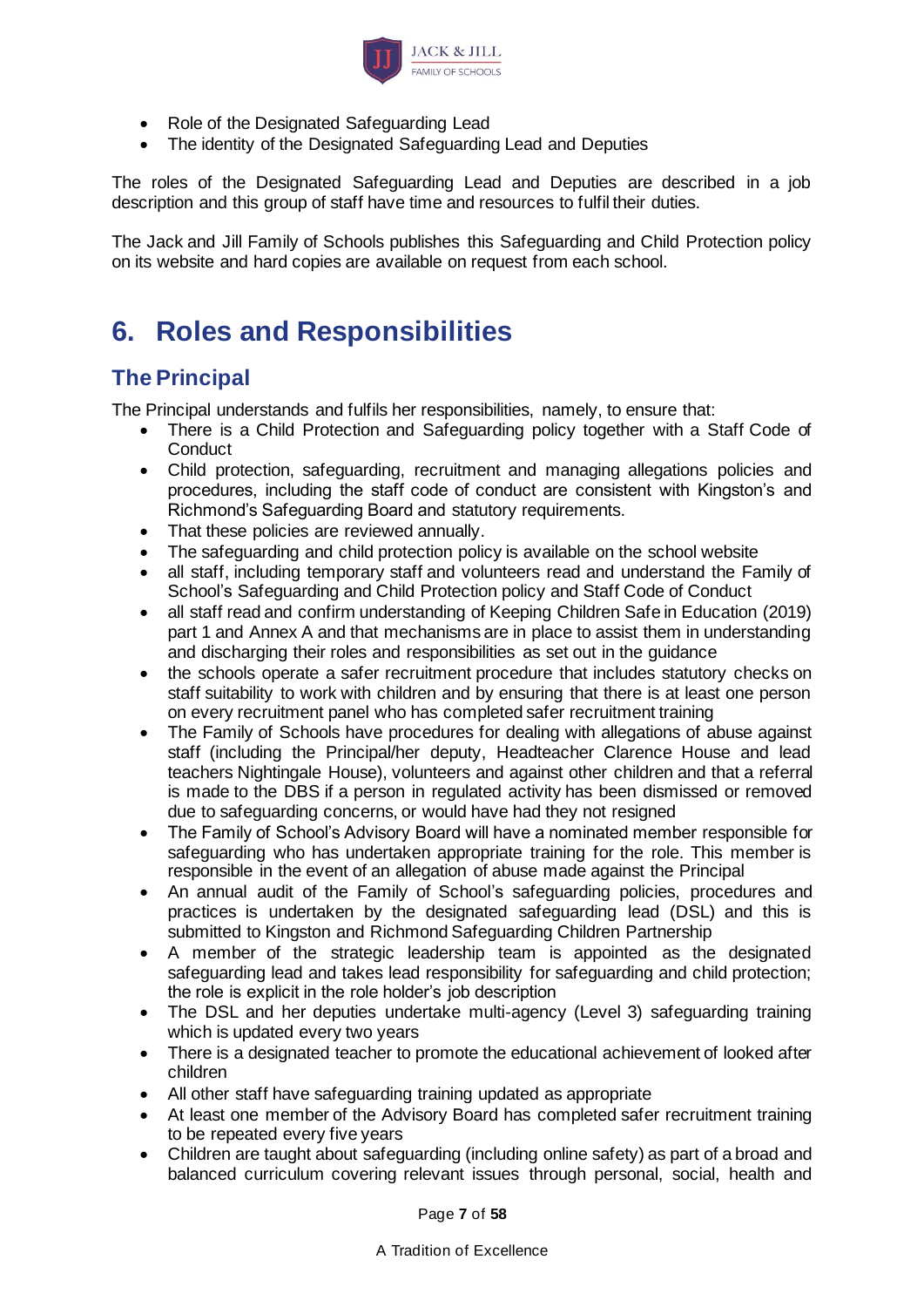

- Role of the Designated Safeguarding Lead
- The identity of the Designated Safeguarding Lead and Deputies

The roles of the Designated Safeguarding Lead and Deputies are described in a job description and this group of staff have time and resources to fulfil their duties.

The Jack and Jill Family of Schools publishes this Safeguarding and Child Protection policy on its website and hard copies are available on request from each school.

# <span id="page-6-0"></span>**6. Roles and Responsibilities**

## **The Principal**

The Principal understands and fulfils her responsibilities, namely, to ensure that:

- There is a Child Protection and Safeguarding policy together with a Staff Code of **Conduct**
- Child protection, safeguarding, recruitment and managing allegations policies and procedures, including the staff code of conduct are consistent with Kingston's and Richmond's Safeguarding Board and statutory requirements.
- That these policies are reviewed annually.
- The safeguarding and child protection policy is available on the school website
- all staff, including temporary staff and volunteers read and understand the Family of School's Safeguarding and Child Protection policy and Staff Code of Conduct
- all staff read and confirm understanding of Keeping Children Safe in Education (2019) part 1 and Annex A and that mechanisms are in place to assist them in understanding and discharging their roles and responsibilities as set out in the guidance
- the schools operate a safer recruitment procedure that includes statutory checks on staff suitability to work with children and by ensuring that there is at least one person on every recruitment panel who has completed safer recruitment training
- The Family of Schools have procedures for dealing with allegations of abuse against staff (including the Principal/her deputy, Headteacher Clarence House and lead teachers Nightingale House), volunteers and against other children and that a referral is made to the DBS if a person in regulated activity has been dismissed or removed due to safeguarding concerns, or would have had they not resigned
- The Family of School's Advisory Board will have a nominated member responsible for safeguarding who has undertaken appropriate training for the role. This member is responsible in the event of an allegation of abuse made against the Principal
- An annual audit of the Family of School's safeguarding policies, procedures and practices is undertaken by the designated safeguarding lead (DSL) and this is submitted to Kingston and Richmond Safeguarding Children Partnership
- A member of the strategic leadership team is appointed as the designated safeguarding lead and takes lead responsibility for safeguarding and child protection; the role is explicit in the role holder's job description
- The DSL and her deputies undertake multi-agency (Level 3) safeguarding training which is updated every two years
- There is a designated teacher to promote the educational achievement of looked after children
- All other staff have safeguarding training updated as appropriate
- At least one member of the Advisory Board has completed safer recruitment training to be repeated every five years
- Children are taught about safeguarding (including online safety) as part of a broad and balanced curriculum covering relevant issues through personal, social, health and

Page **7** of **58**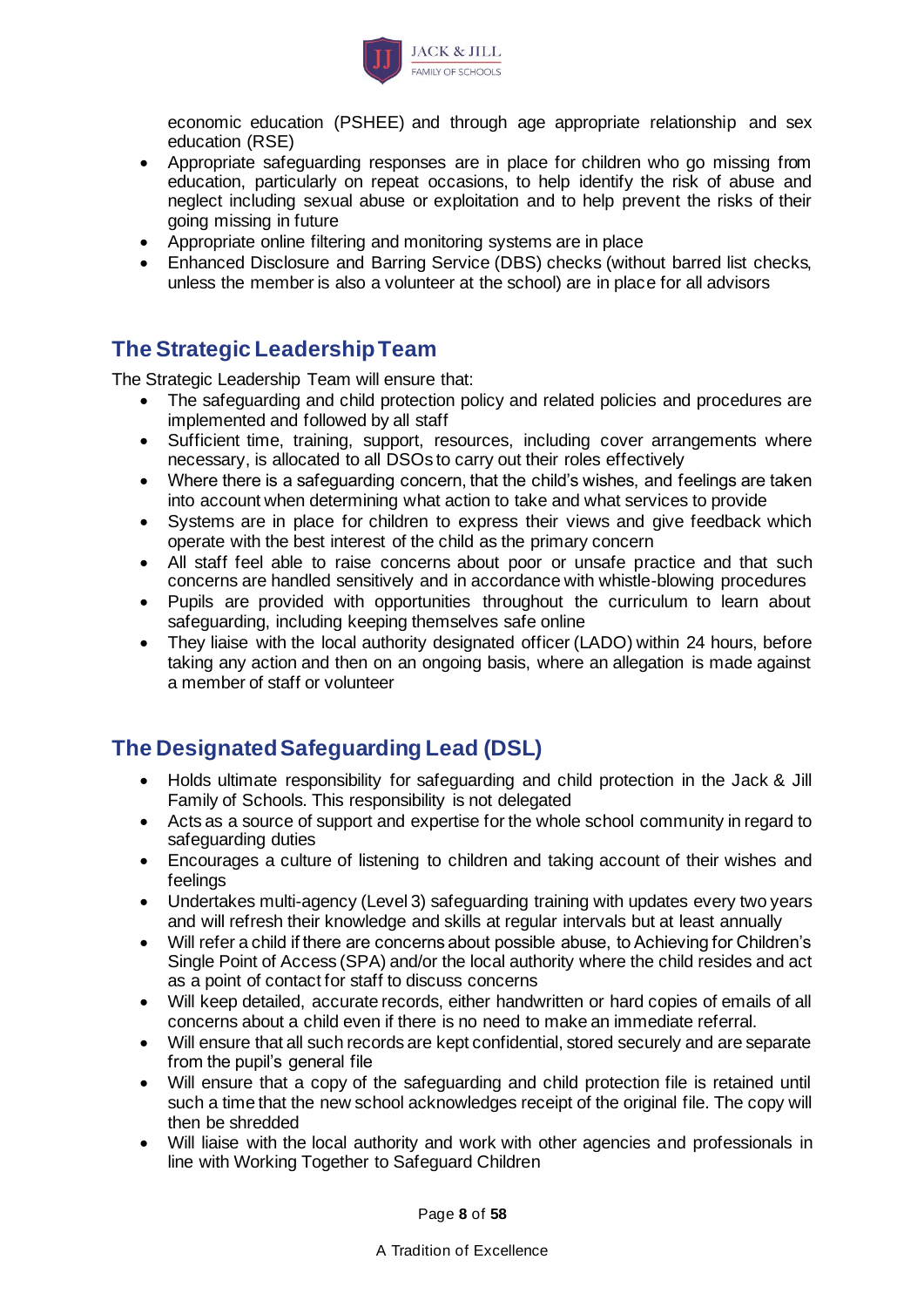

economic education (PSHEE) and through age appropriate relationship and sex education (RSE)

- Appropriate safeguarding responses are in place for children who go missing from education, particularly on repeat occasions, to help identify the risk of abuse and neglect including sexual abuse or exploitation and to help prevent the risks of their going missing in future
- Appropriate online filtering and monitoring systems are in place
- Enhanced Disclosure and Barring Service (DBS) checks (without barred list checks, unless the member is also a volunteer at the school) are in place for all advisors

## **The Strategic Leadership Team**

The Strategic Leadership Team will ensure that:

- The safeguarding and child protection policy and related policies and procedures are implemented and followed by all staff
- Sufficient time, training, support, resources, including cover arrangements where necessary, is allocated to all DSOs to carry out their roles effectively
- Where there is a safeguarding concern, that the child's wishes, and feelings are taken into account when determining what action to take and what services to provide
- Systems are in place for children to express their views and give feedback which operate with the best interest of the child as the primary concern
- All staff feel able to raise concerns about poor or unsafe practice and that such concerns are handled sensitively and in accordance with whistle-blowing procedures
- Pupils are provided with opportunities throughout the curriculum to learn about safeguarding, including keeping themselves safe online
- They liaise with the local authority designated officer (LADO) within 24 hours, before taking any action and then on an ongoing basis, where an allegation is made against a member of staff or volunteer

## **The Designated Safeguarding Lead (DSL)**

- Holds ultimate responsibility for safeguarding and child protection in the Jack & Jill Family of Schools. This responsibility is not delegated
- Acts as a source of support and expertise for the whole school community in regard to safeguarding duties
- Encourages a culture of listening to children and taking account of their wishes and feelings
- Undertakes multi-agency (Level 3) safeguarding training with updates every two years and will refresh their knowledge and skills at regular intervals but at least annually
- Will refer a child if there are concerns about possible abuse, to Achieving for Children's Single Point of Access (SPA) and/or the local authority where the child resides and act as a point of contact for staff to discuss concerns
- Will keep detailed, accurate records, either handwritten or hard copies of emails of all concerns about a child even if there is no need to make an immediate referral.
- Will ensure that all such records are kept confidential, stored securely and are separate from the pupil's general file
- Will ensure that a copy of the safeguarding and child protection file is retained until such a time that the new school acknowledges receipt of the original file. The copy will then be shredded
- Will liaise with the local authority and work with other agencies and professionals in line with Working Together to Safeguard Children

Page **8** of **58**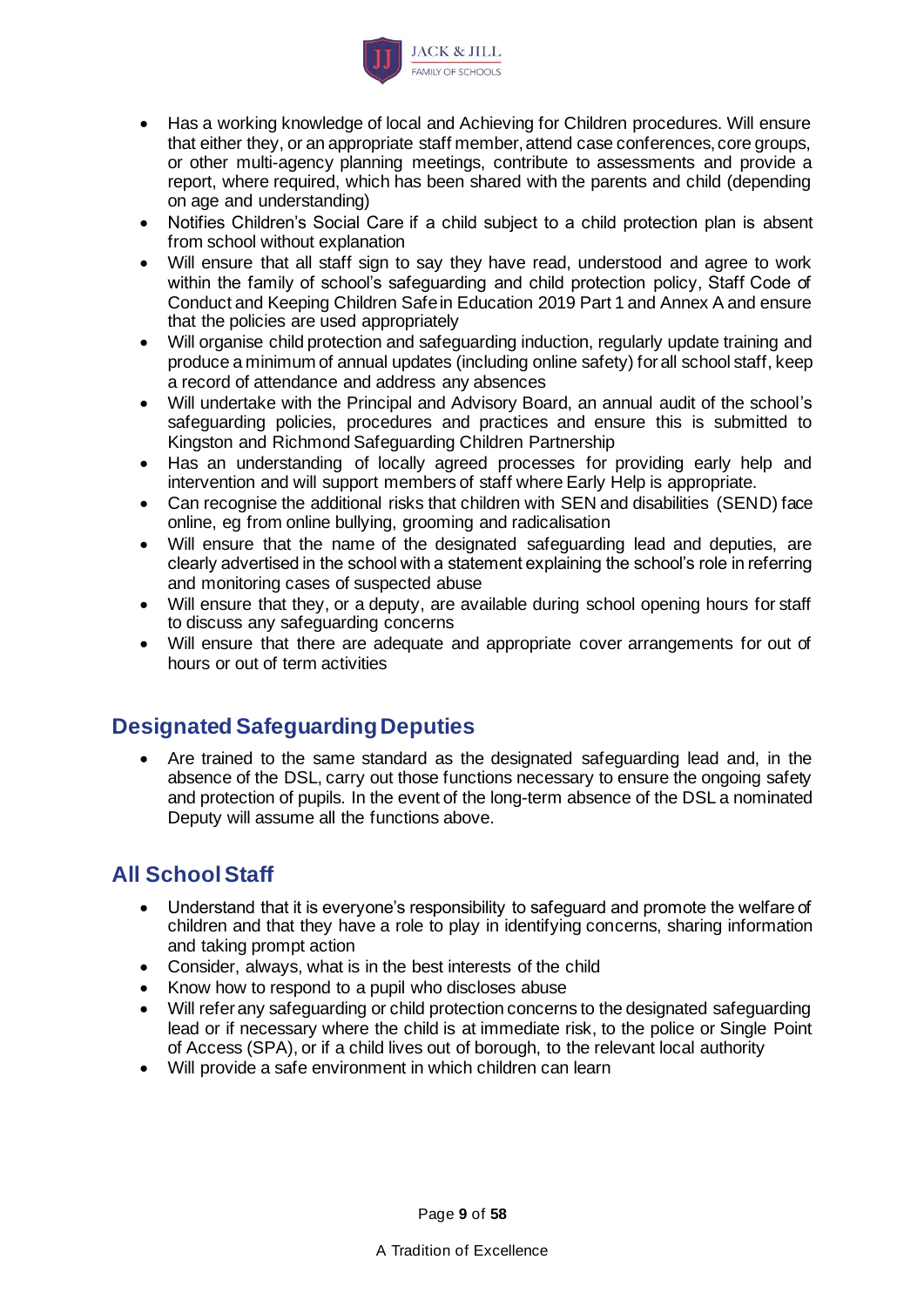

- Has a working knowledge of local and Achieving for Children procedures. Will ensure that either they, or an appropriate staff member, attend case conferences, core groups, or other multi-agency planning meetings, contribute to assessments and provide a report, where required, which has been shared with the parents and child (depending on age and understanding)
- Notifies Children's Social Care if a child subject to a child protection plan is absent from school without explanation
- Will ensure that all staff sign to say they have read, understood and agree to work within the family of school's safeguarding and child protection policy, Staff Code of Conduct and Keeping Children Safe in Education 2019 Part 1 and Annex A and ensure that the policies are used appropriately
- Will organise child protection and safeguarding induction, regularly update training and produce a minimum of annual updates (including online safety) for all school staff, keep a record of attendance and address any absences
- Will undertake with the Principal and Advisory Board, an annual audit of the school's safeguarding policies, procedures and practices and ensure this is submitted to Kingston and Richmond Safeguarding Children Partnership
- Has an understanding of locally agreed processes for providing early help and intervention and will support members of staff where Early Help is appropriate.
- Can recognise the additional risks that children with SEN and disabilities (SEND) face online, eg from online bullying, grooming and radicalisation
- Will ensure that the name of the designated safeguarding lead and deputies, are clearly advertised in the school with a statement explaining the school's role in referring and monitoring cases of suspected abuse
- Will ensure that they, or a deputy, are available during school opening hours for staff to discuss any safeguarding concerns
- Will ensure that there are adequate and appropriate cover arrangements for out of hours or out of term activities

## **Designated Safeguarding Deputies**

• Are trained to the same standard as the designated safeguarding lead and, in the absence of the DSL, carry out those functions necessary to ensure the ongoing safety and protection of pupils. In the event of the long-term absence of the DSL a nominated Deputy will assume all the functions above.

## **All School Staff**

- Understand that it is everyone's responsibility to safeguard and promote the welfare of children and that they have a role to play in identifying concerns, sharing information and taking prompt action
- Consider, always, what is in the best interests of the child
- Know how to respond to a pupil who discloses abuse
- Will refer any safeguarding or child protection concerns to the designated safeguarding lead or if necessary where the child is at immediate risk, to the police or Single Point of Access (SPA), or if a child lives out of borough, to the relevant local authority
- Will provide a safe environment in which children can learn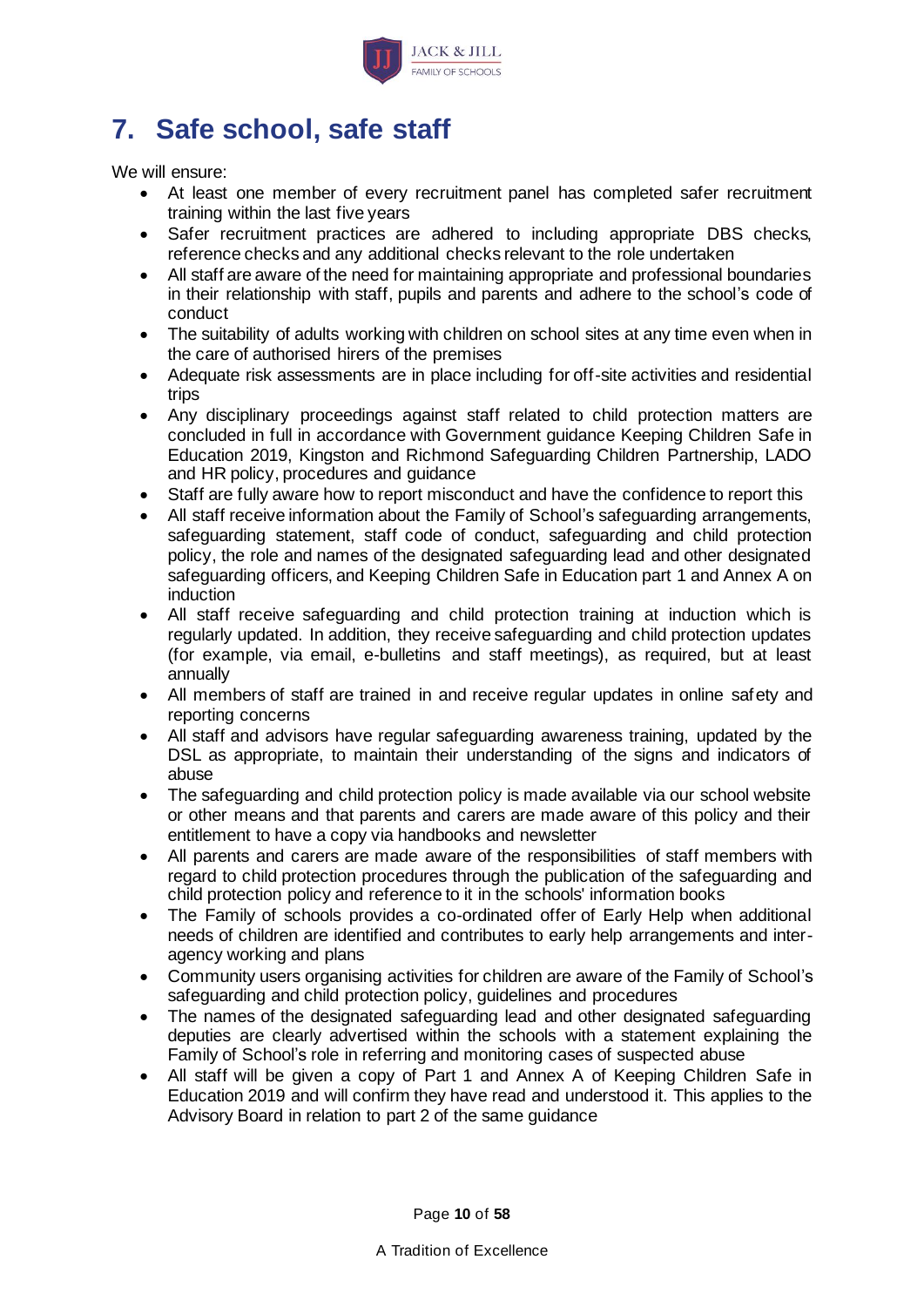

# <span id="page-9-0"></span>**7. Safe school, safe staff**

We will ensure:

- At least one member of every recruitment panel has completed safer recruitment training within the last five years
- Safer recruitment practices are adhered to including appropriate DBS checks, reference checks and any additional checks relevant to the role undertaken
- All staff are aware of the need for maintaining appropriate and professional boundaries in their relationship with staff, pupils and parents and adhere to the school's code of conduct
- The suitability of adults working with children on school sites at any time even when in the care of authorised hirers of the premises
- Adequate risk assessments are in place including for off-site activities and residential trips
- Any disciplinary proceedings against staff related to child protection matters are concluded in full in accordance with Government guidance Keeping Children Safe in Education 2019, Kingston and Richmond Safeguarding Children Partnership, LADO and HR policy, procedures and guidance
- Staff are fully aware how to report misconduct and have the confidence to report this
- All staff receive information about the Family of School's safeguarding arrangements, safeguarding statement, staff code of conduct, safeguarding and child protection policy, the role and names of the designated safeguarding lead and other designated safeguarding officers, and Keeping Children Safe in Education part 1 and Annex A on induction
- All staff receive safeguarding and child protection training at induction which is regularly updated. In addition, they receive safeguarding and child protection updates (for example, via email, e-bulletins and staff meetings), as required, but at least annually
- All members of staff are trained in and receive regular updates in online safety and reporting concerns
- All staff and advisors have regular safeguarding awareness training, updated by the DSL as appropriate, to maintain their understanding of the signs and indicators of abuse
- The safeguarding and child protection policy is made available via our school website or other means and that parents and carers are made aware of this policy and their entitlement to have a copy via handbooks and newsletter
- All parents and carers are made aware of the responsibilities of staff members with regard to child protection procedures through the publication of the safeguarding and child protection policy and reference to it in the schools' information books
- The Family of schools provides a co-ordinated offer of Early Help when additional needs of children are identified and contributes to early help arrangements and interagency working and plans
- Community users organising activities for children are aware of the Family of School's safeguarding and child protection policy, guidelines and procedures
- The names of the designated safeguarding lead and other designated safeguarding deputies are clearly advertised within the schools with a statement explaining the Family of School's role in referring and monitoring cases of suspected abuse
- All staff will be given a copy of Part 1 and Annex A of Keeping Children Safe in Education 2019 and will confirm they have read and understood it. This applies to the Advisory Board in relation to part 2 of the same guidance

Page **10** of **58**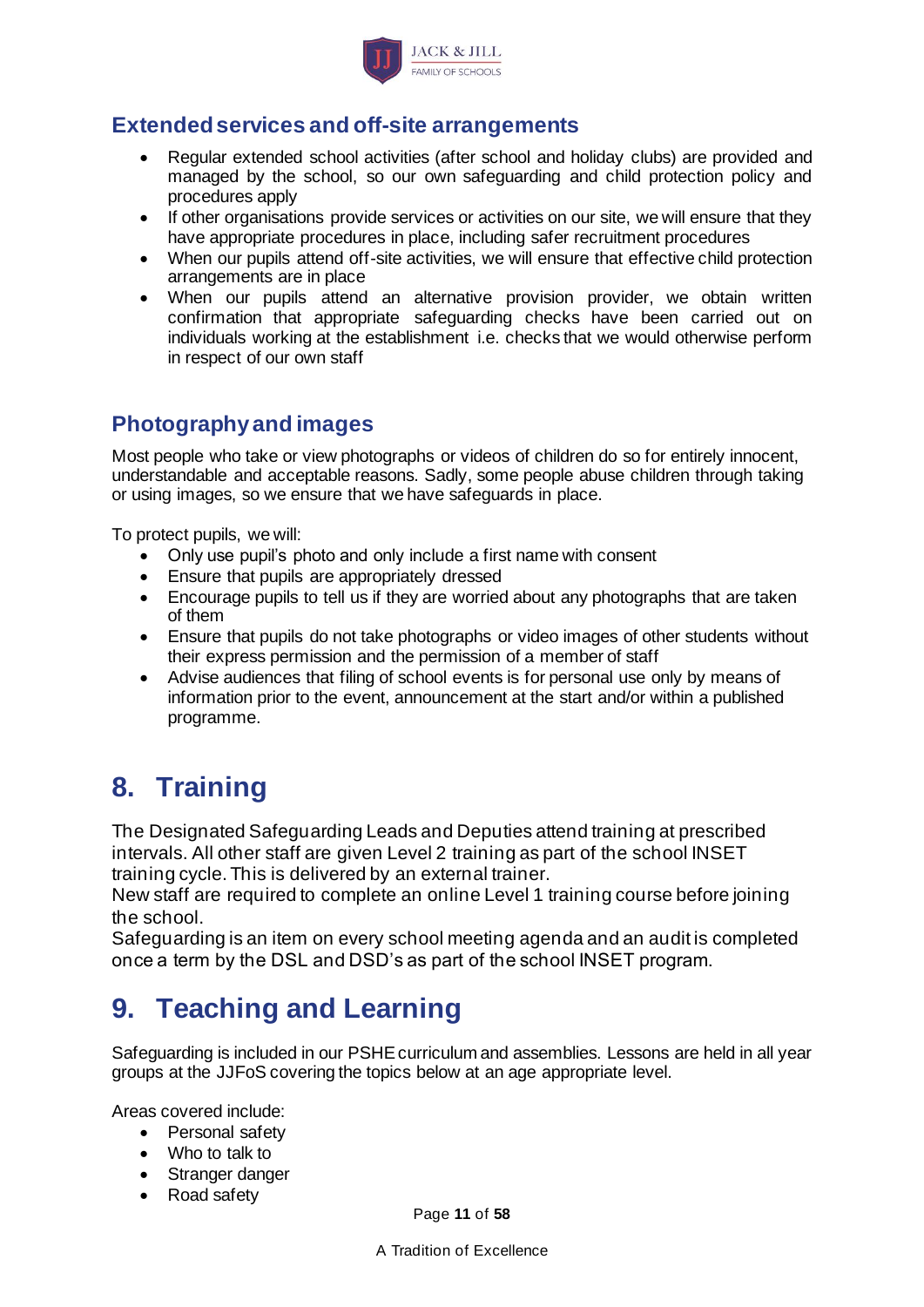

## **Extended services and off-site arrangements**

- Regular extended school activities (after school and holiday clubs) are provided and managed by the school, so our own safeguarding and child protection policy and procedures apply
- If other organisations provide services or activities on our site, we will ensure that they have appropriate procedures in place, including safer recruitment procedures
- When our pupils attend off-site activities, we will ensure that effective child protection arrangements are in place
- When our pupils attend an alternative provision provider, we obtain written confirmation that appropriate safeguarding checks have been carried out on individuals working at the establishment i.e. checks that we would otherwise perform in respect of our own staff

## **Photography and images**

Most people who take or view photographs or videos of children do so for entirely innocent, understandable and acceptable reasons. Sadly, some people abuse children through taking or using images, so we ensure that we have safeguards in place.

To protect pupils, we will:

- Only use pupil's photo and only include a first name with consent
- Ensure that pupils are appropriately dressed
- Encourage pupils to tell us if they are worried about any photographs that are taken of them
- Ensure that pupils do not take photographs or video images of other students without their express permission and the permission of a member of staff
- Advise audiences that filing of school events is for personal use only by means of information prior to the event, announcement at the start and/or within a published programme.

# <span id="page-10-0"></span>**8. Training**

The Designated Safeguarding Leads and Deputies attend training at prescribed intervals. All other staff are given Level 2 training as part of the school INSET training cycle. This is delivered by an external trainer.

New staff are required to complete an online Level 1 training course before joining the school.

Safeguarding is an item on every school meeting agenda and an audit is completed once a term by the DSL and DSD's as part of the school INSET program.

# <span id="page-10-1"></span>**9. Teaching and Learning**

Safeguarding is included in our PSHE curriculum and assemblies. Lessons are held in all year groups at the JJFoS covering the topics below at an age appropriate level.

Areas covered include:

- Personal safety
- Who to talk to
- Stranger danger
- Road safety

Page **11** of **58**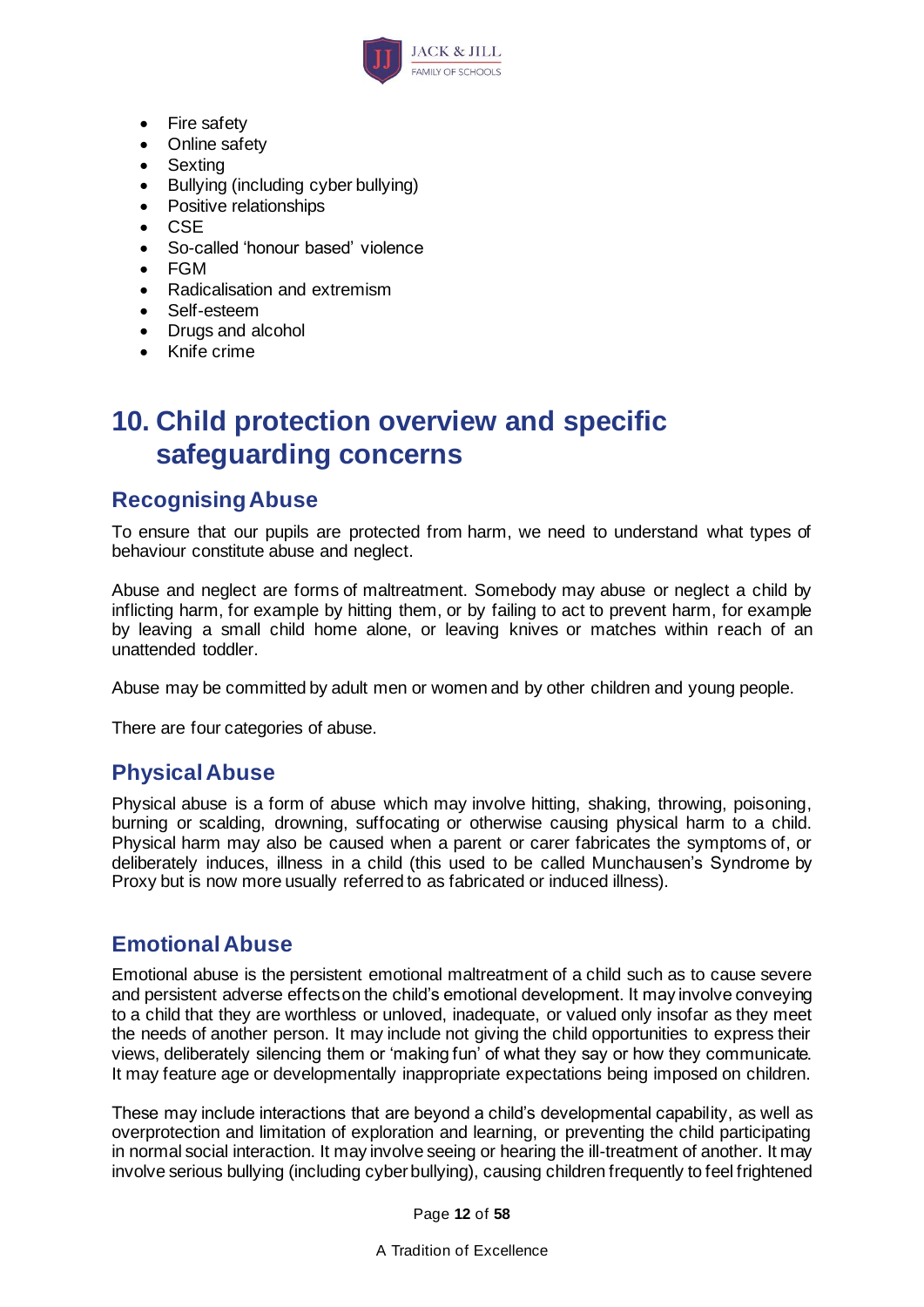

- Fire safety
- Online safety
- Sexting
- Bullying (including cyber bullying)
- Positive relationships
- CSE
- So-called 'honour based' violence
- FGM
- Radicalisation and extremism
- Self-esteem
- Drugs and alcohol
- Knife crime

## <span id="page-11-0"></span>**10. Child protection overview and specific safeguarding concerns**

### <span id="page-11-1"></span>**Recognising Abuse**

To ensure that our pupils are protected from harm, we need to understand what types of behaviour constitute abuse and neglect.

Abuse and neglect are forms of maltreatment. Somebody may abuse or neglect a child by inflicting harm, for example by hitting them, or by failing to act to prevent harm, for example by leaving a small child home alone, or leaving knives or matches within reach of an unattended toddler.

Abuse may be committed by adult men or women and by other children and young people.

There are four categories of abuse.

### <span id="page-11-2"></span>**Physical Abuse**

Physical abuse is a form of abuse which may involve hitting, shaking, throwing, poisoning, burning or scalding, drowning, suffocating or otherwise causing physical harm to a child. Physical harm may also be caused when a parent or carer fabricates the symptoms of, or deliberately induces, illness in a child (this used to be called Munchausen's Syndrome by Proxy but is now more usually referred to as fabricated or induced illness).

### <span id="page-11-3"></span>**Emotional Abuse**

Emotional abuse is the persistent emotional maltreatment of a child such as to cause severe and persistent adverse effects on the child's emotional development. It may involve conveying to a child that they are worthless or unloved, inadequate, or valued only insofar as they meet the needs of another person. It may include not giving the child opportunities to express their views, deliberately silencing them or 'making fun' of what they say or how they communicate. It may feature age or developmentally inappropriate expectations being imposed on children.

These may include interactions that are beyond a child's developmental capability, as well as overprotection and limitation of exploration and learning, or preventing the child participating in normal social interaction. It may involve seeing or hearing the ill-treatment of another. It may involve serious bullying (including cyber bullying), causing children frequently to feel frightened

Page **12** of **58**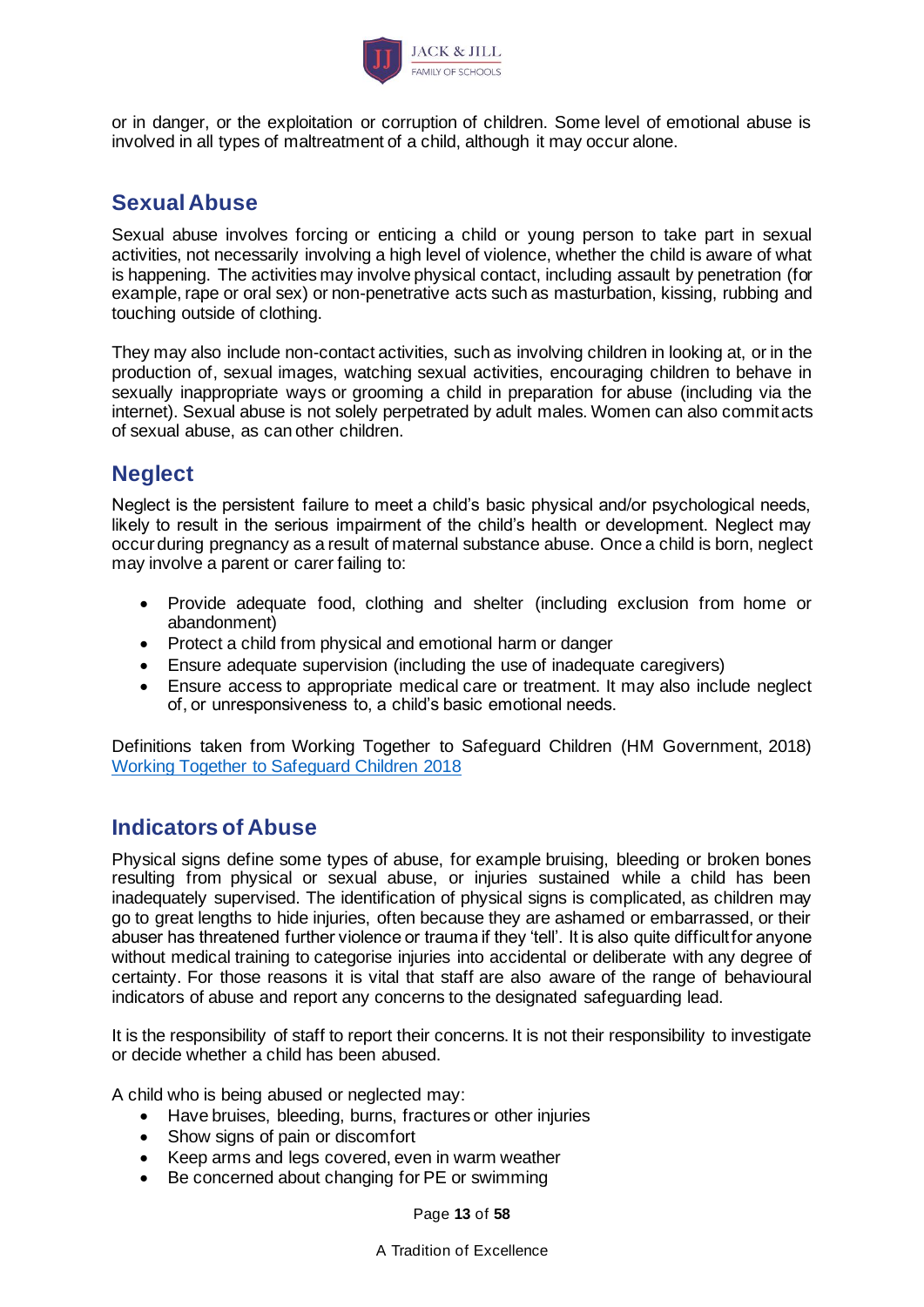

or in danger, or the exploitation or corruption of children. Some level of emotional abuse is involved in all types of maltreatment of a child, although it may occur alone.

### <span id="page-12-0"></span>**Sexual Abuse**

Sexual abuse involves forcing or enticing a child or young person to take part in sexual activities, not necessarily involving a high level of violence, whether the child is aware of what is happening. The activities may involve physical contact, including assault by penetration (for example, rape or oral sex) or non-penetrative acts such as masturbation, kissing, rubbing and touching outside of clothing.

They may also include non-contact activities, such as involving children in looking at, or in the production of, sexual images, watching sexual activities, encouraging children to behave in sexually inappropriate ways or grooming a child in preparation for abuse (including via the internet). Sexual abuse is not solely perpetrated by adult males. Women can also commit acts of sexual abuse, as can other children.

## <span id="page-12-1"></span>**Neglect**

Neglect is the persistent failure to meet a child's basic physical and/or psychological needs, likely to result in the serious impairment of the child's health or development. Neglect may occur during pregnancy as a result of maternal substance abuse. Once a child is born, neglect may involve a parent or carer failing to:

- Provide adequate food, clothing and shelter (including exclusion from home or abandonment)
- Protect a child from physical and emotional harm or danger
- Ensure adequate supervision (including the use of inadequate caregivers)
- Ensure access to appropriate medical care or treatment. It may also include neglect of, or unresponsiveness to, a child's basic emotional needs.

Definitions taken from Working Together to Safeguard Children (HM Government, 2018) [Working Together to Safeguard Children 2018](https://www.gov.uk/government/uploads/system/uploads/attachment_data/file/592101/Working_Together_to_Safeguard_Children_20170213.pdf)

### <span id="page-12-2"></span>**Indicators of Abuse**

Physical signs define some types of abuse, for example bruising, bleeding or broken bones resulting from physical or sexual abuse, or injuries sustained while a child has been inadequately supervised. The identification of physical signs is complicated, as children may go to great lengths to hide injuries, often because they are ashamed or embarrassed, or their abuser has threatened further violence or trauma if they 'tell'. It is also quite difficult for anyone without medical training to categorise injuries into accidental or deliberate with any degree of certainty. For those reasons it is vital that staff are also aware of the range of behavioural indicators of abuse and report any concerns to the designated safeguarding lead.

It is the responsibility of staff to report their concerns. It is not their responsibility to investigate or decide whether a child has been abused.

A child who is being abused or neglected may:

- Have bruises, bleeding, burns, fractures or other injuries
- Show signs of pain or discomfort
- Keep arms and legs covered, even in warm weather
- Be concerned about changing for PE or swimming

Page **13** of **58**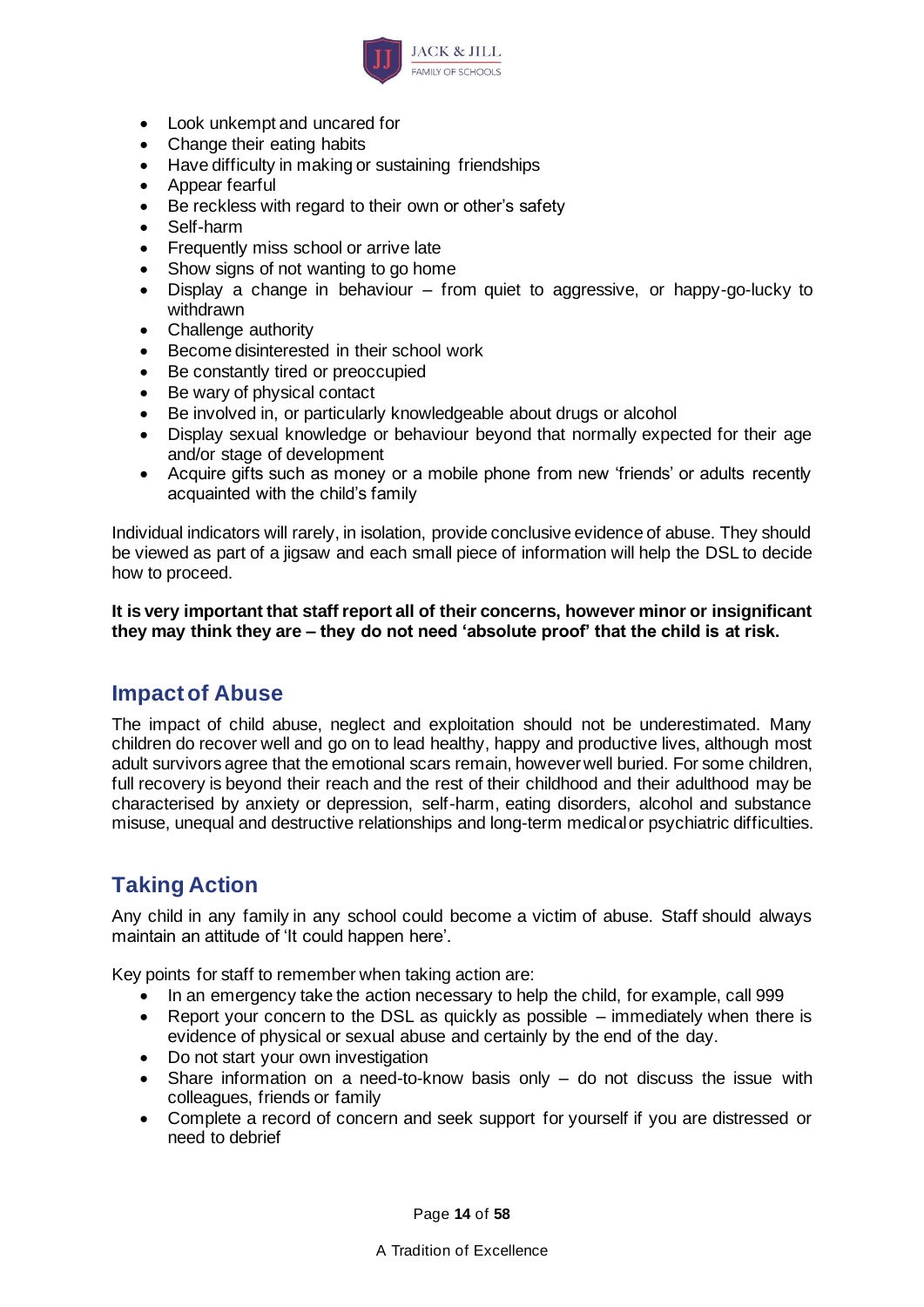

- Look unkempt and uncared for
- Change their eating habits
- Have difficulty in making or sustaining friendships
- Appear fearful
- Be reckless with regard to their own or other's safety
- Self-harm
- Frequently miss school or arrive late
- Show signs of not wanting to go home
- Display a change in behaviour from quiet to aggressive, or happy-go-lucky to withdrawn
- Challenge authority
- Become disinterested in their school work
- Be constantly tired or preoccupied
- Be wary of physical contact
- Be involved in, or particularly knowledgeable about drugs or alcohol
- Display sexual knowledge or behaviour beyond that normally expected for their age and/or stage of development
- Acquire gifts such as money or a mobile phone from new 'friends' or adults recently acquainted with the child's family

Individual indicators will rarely, in isolation, provide conclusive evidence of abuse. They should be viewed as part of a jigsaw and each small piece of information will help the DSL to decide how to proceed.

**It is very important that staff report all of their concerns, however minor or insignificant they may think they are – they do not need 'absolute proof' that the child is at risk.**

### <span id="page-13-0"></span>**Impact of Abuse**

The impact of child abuse, neglect and exploitation should not be underestimated. Many children do recover well and go on to lead healthy, happy and productive lives, although most adult survivors agree that the emotional scars remain, however well buried. For some children, full recovery is beyond their reach and the rest of their childhood and their adulthood may be characterised by anxiety or depression, self-harm, eating disorders, alcohol and substance misuse, unequal and destructive relationships and long-term medical or psychiatric difficulties.

## <span id="page-13-1"></span>**Taking Action**

Any child in any family in any school could become a victim of abuse. Staff should always maintain an attitude of 'It could happen here'.

Key points for staff to remember when taking action are:

- In an emergency take the action necessary to help the child, for example, call 999
- Report your concern to the DSL as quickly as possible immediately when there is evidence of physical or sexual abuse and certainly by the end of the day.
- Do not start your own investigation
- Share information on a need-to-know basis only do not discuss the issue with colleagues, friends or family
- Complete a record of concern and seek support for yourself if you are distressed or need to debrief

Page **14** of **58**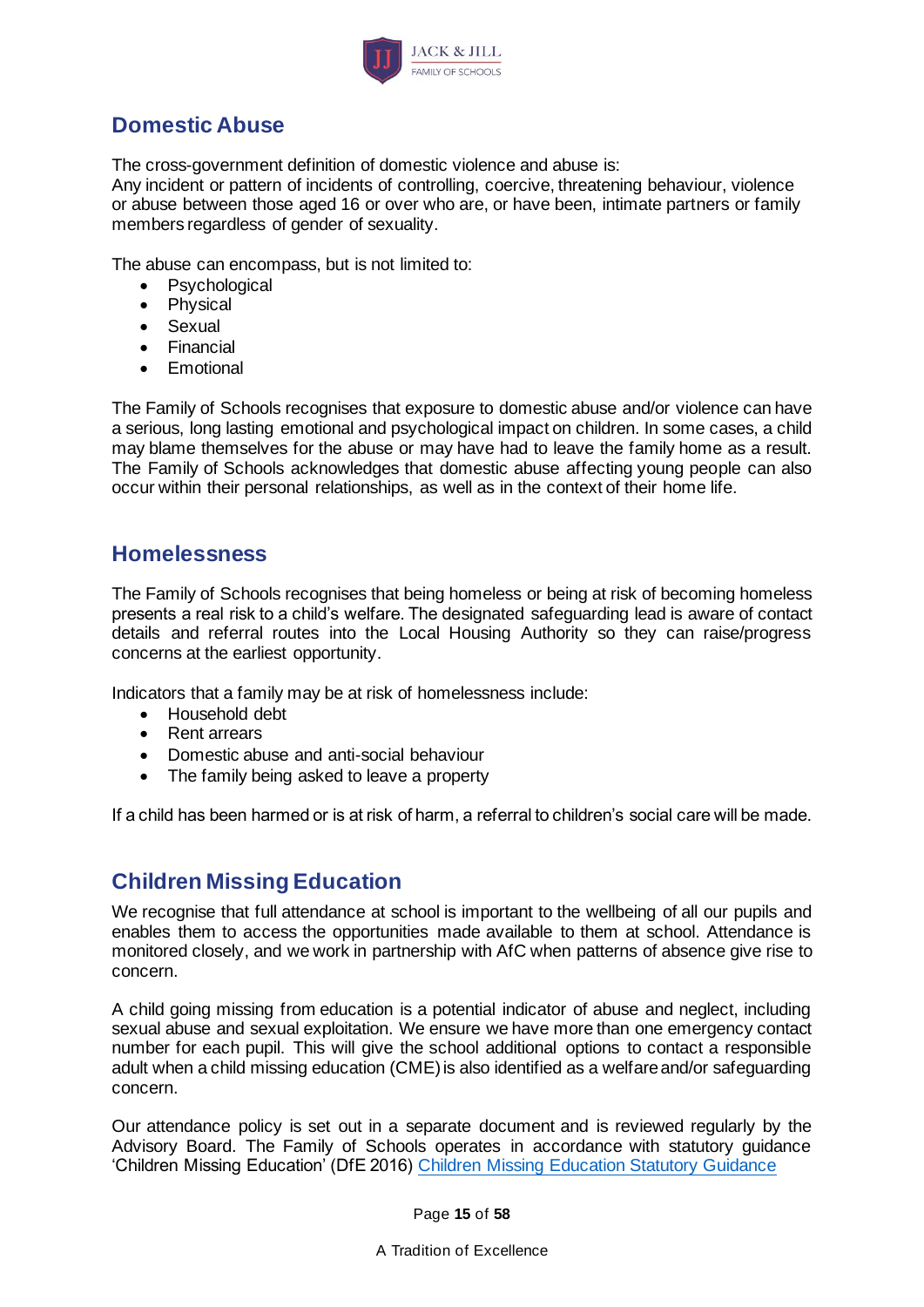

## **Domestic Abuse**

The cross-government definition of domestic violence and abuse is:

Any incident or pattern of incidents of controlling, coercive, threatening behaviour, violence or abuse between those aged 16 or over who are, or have been, intimate partners or family members regardless of gender of sexuality.

The abuse can encompass, but is not limited to:

- Psychological
- Physical
- Sexual
- Financial
- Emotional

The Family of Schools recognises that exposure to domestic abuse and/or violence can have a serious, long lasting emotional and psychological impact on children. In some cases, a child may blame themselves for the abuse or may have had to leave the family home as a result. The Family of Schools acknowledges that domestic abuse affecting young people can also occur within their personal relationships, as well as in the context of their home life.

### **Homelessness**

The Family of Schools recognises that being homeless or being at risk of becoming homeless presents a real risk to a child's welfare. The designated safeguarding lead is aware of contact details and referral routes into the Local Housing Authority so they can raise/progress concerns at the earliest opportunity.

Indicators that a family may be at risk of homelessness include:

- Household debt
- Rent arrears
- Domestic abuse and anti-social behaviour
- The family being asked to leave a property

If a child has been harmed or is at risk of harm, a referral to children's social care will be made.

### <span id="page-14-0"></span>**Children Missing Education**

We recognise that full attendance at school is important to the wellbeing of all our pupils and enables them to access the opportunities made available to them at school. Attendance is monitored closely, and we work in partnership with AfC when patterns of absence give rise to concern.

A child going missing from education is a potential indicator of abuse and neglect, including sexual abuse and sexual exploitation. We ensure we have more than one emergency contact number for each pupil. This will give the school additional options to contact a responsible adult when a child missing education (CME) is also identified as a welfare and/or safeguarding concern.

Our attendance policy is set out in a separate document and is reviewed regularly by the Advisory Board. The Family of Schools operates in accordance with statutory guidance 'Children Missing Education' (DfE 2016) [Children Missing Education Statutory Guidance](https://www.gov.uk/government/uploads/system/uploads/attachment_data/file/550416/Children_Missing_Education_-_statutory_guidance.pdf)

Page **15** of **58**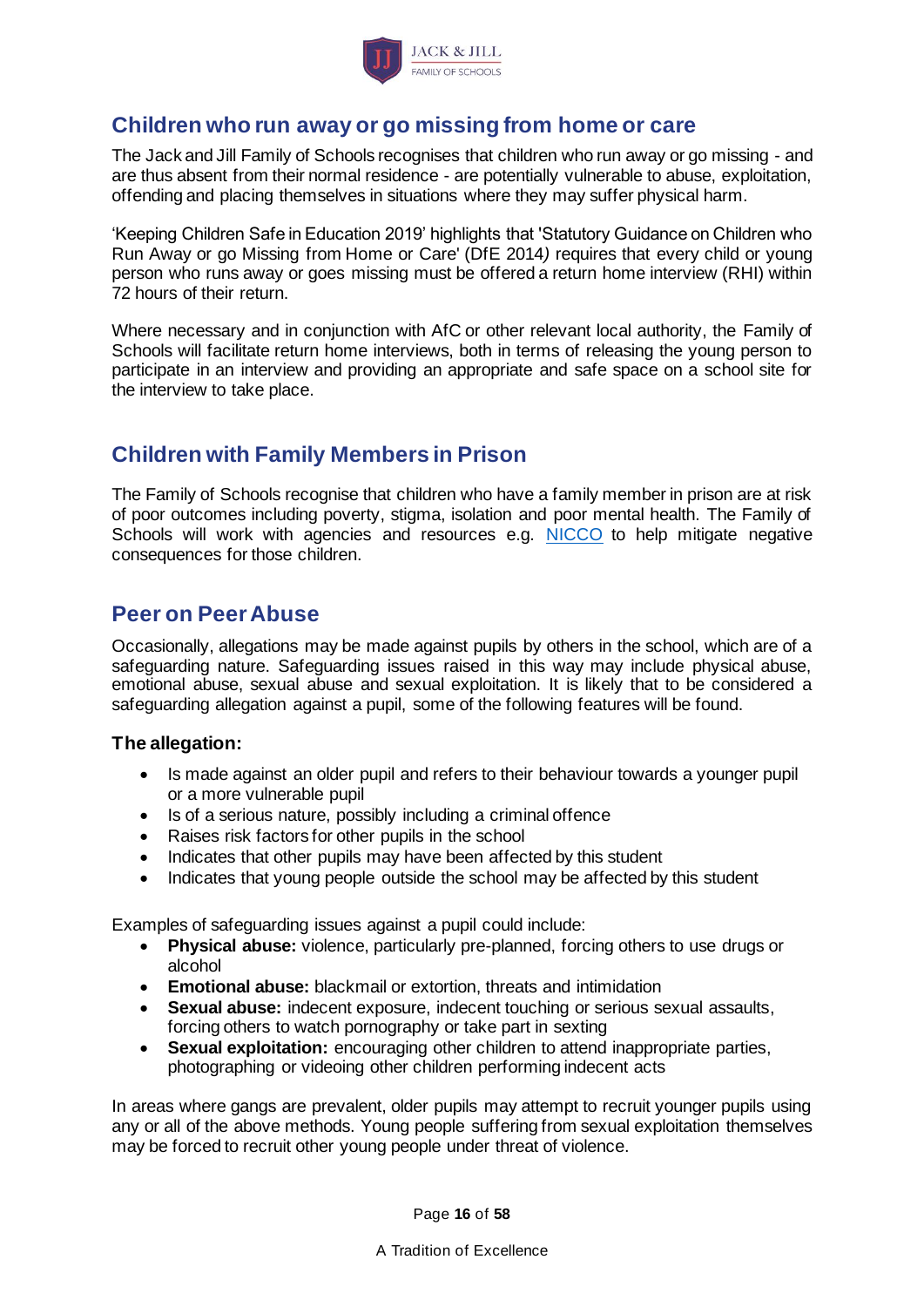

### <span id="page-15-0"></span>**Children who run away or go missing from home or care**

The Jack and Jill Family of Schools recognises that children who run away or go missing - and are thus absent from their normal residence - are potentially vulnerable to abuse, exploitation, offending and placing themselves in situations where they may suffer physical harm.

'Keeping Children Safe in Education 2019' highlights that 'Statutory Guidance on Children who Run Away or go Missing from Home or Care' (DfE 2014*)* requires that every child or young person who runs away or goes missing must be offered a return home interview (RHI) within 72 hours of their return.

Where necessary and in conjunction with AfC or other relevant local authority, the Family of Schools will facilitate return home interviews, both in terms of releasing the young person to participate in an interview and providing an appropriate and safe space on a school site for the interview to take place.

## **Children with Family Members in Prison**

The Family of Schools recognise that children who have a family member in prison are at risk of poor outcomes including poverty, stigma, isolation and poor mental health. The Family of Schools will work with agencies and resources e.g. [NICCO](https://www.nicco.org.uk/) to help mitigate negative consequences for those children.

### <span id="page-15-1"></span>**Peer on Peer Abuse**

Occasionally, allegations may be made against pupils by others in the school, which are of a safeguarding nature. Safeguarding issues raised in this way may include physical abuse, emotional abuse, sexual abuse and sexual exploitation. It is likely that to be considered a safeguarding allegation against a pupil, some of the following features will be found.

### **The allegation:**

- Is made against an older pupil and refers to their behaviour towards a younger pupil or a more vulnerable pupil
- Is of a serious nature, possibly including a criminal offence
- Raises risk factors for other pupils in the school
- Indicates that other pupils may have been affected by this student
- Indicates that young people outside the school may be affected by this student

Examples of safeguarding issues against a pupil could include:

- **Physical abuse:** violence, particularly pre-planned, forcing others to use drugs or alcohol
- **Emotional abuse:** blackmail or extortion, threats and intimidation
- **Sexual abuse:** indecent exposure, indecent touching or serious sexual assaults, forcing others to watch pornography or take part in sexting
- **Sexual exploitation:** encouraging other children to attend inappropriate parties, photographing or videoing other children performing indecent acts

In areas where gangs are prevalent, older pupils may attempt to recruit younger pupils using any or all of the above methods. Young people suffering from sexual exploitation themselves may be forced to recruit other young people under threat of violence.

Page **16** of **58**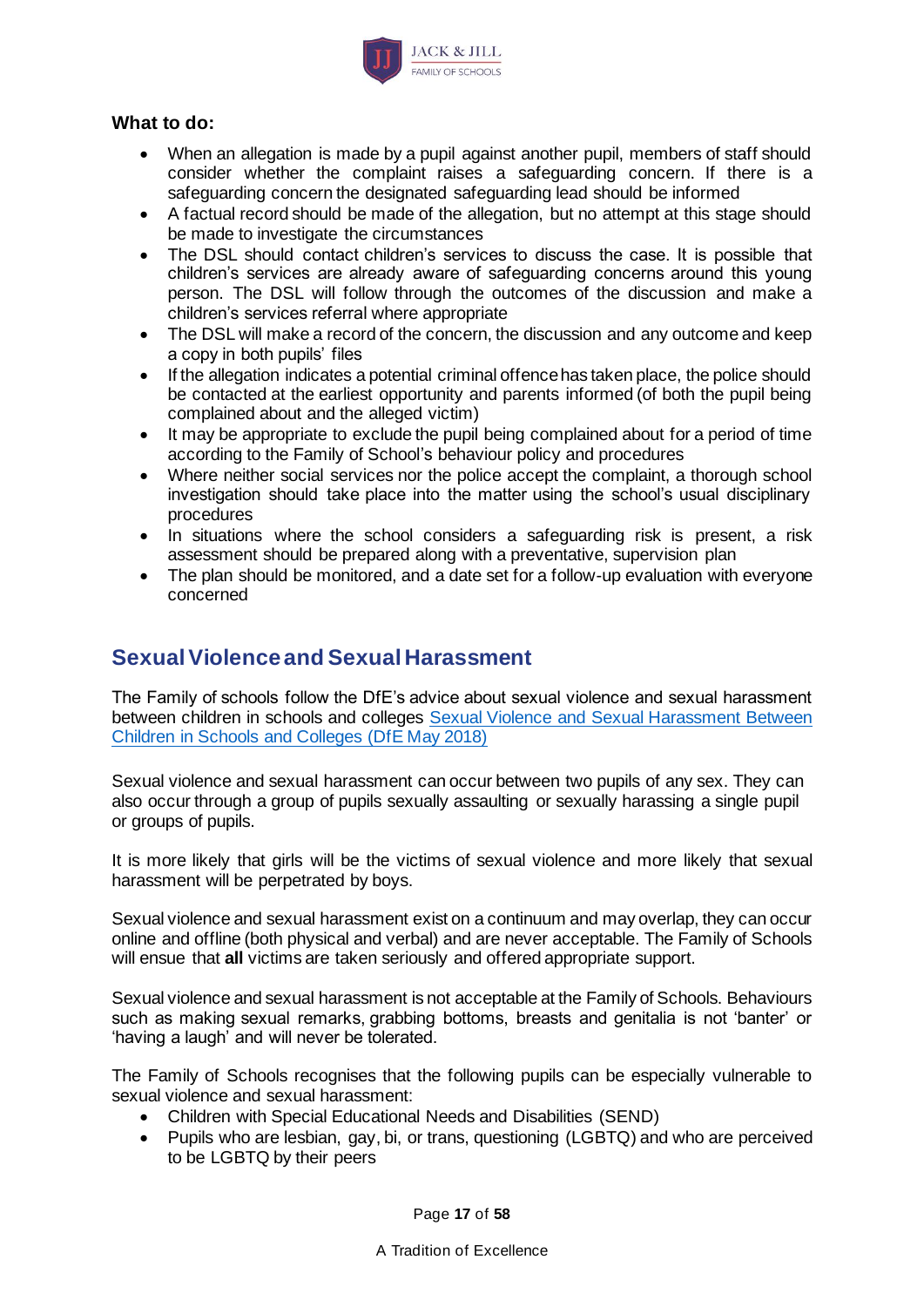

#### **What to do:**

- When an allegation is made by a pupil against another pupil, members of staff should consider whether the complaint raises a safeguarding concern. If there is a safeguarding concern the designated safeguarding lead should be informed
- A factual record should be made of the allegation, but no attempt at this stage should be made to investigate the circumstances
- The DSL should contact children's services to discuss the case. It is possible that children's services are already aware of safeguarding concerns around this young person. The DSL will follow through the outcomes of the discussion and make a children's services referral where appropriate
- The DSL will make a record of the concern, the discussion and any outcome and keep a copy in both pupils' files
- If the allegation indicates a potential criminal offence has taken place, the police should be contacted at the earliest opportunity and parents informed (of both the pupil being complained about and the alleged victim)
- It may be appropriate to exclude the pupil being complained about for a period of time according to the Family of School's behaviour policy and procedures
- Where neither social services nor the police accept the complaint, a thorough school investigation should take place into the matter using the school's usual disciplinary procedures
- In situations where the school considers a safeguarding risk is present, a risk assessment should be prepared along with a preventative, supervision plan
- The plan should be monitored, and a date set for a follow-up evaluation with everyone concerned

### **Sexual Violence and Sexual Harassment**

The Family of schools follow the DfE's advice about sexual violence and sexual harassment between children in schools and colleges [Sexual Violence and Sexual Harassment Between](https://www.gov.uk/government/publications/sexual-violence-and-sexual-harassment-between-children-in-schools-and-colleges)  [Children in Schools and Colleges \(DfE May 2018\)](https://www.gov.uk/government/publications/sexual-violence-and-sexual-harassment-between-children-in-schools-and-colleges)

Sexual violence and sexual harassment can occur between two pupils of any sex. They can also occur through a group of pupils sexually assaulting or sexually harassing a single pupil or groups of pupils.

It is more likely that girls will be the victims of sexual violence and more likely that sexual harassment will be perpetrated by boys.

Sexual violence and sexual harassment exist on a continuum and may overlap, they can occur online and offline (both physical and verbal) and are never acceptable. The Family of Schools will ensue that **all** victims are taken seriously and offered appropriate support.

Sexual violence and sexual harassment is not acceptable at the Family of Schools. Behaviours such as making sexual remarks, grabbing bottoms, breasts and genitalia is not 'banter' or 'having a laugh' and will never be tolerated.

The Family of Schools recognises that the following pupils can be especially vulnerable to sexual violence and sexual harassment:

- Children with Special Educational Needs and Disabilities (SEND)
- Pupils who are lesbian, gay, bi, or trans, questioning (LGBTQ) and who are perceived to be LGBTQ by their peers

Page **17** of **58**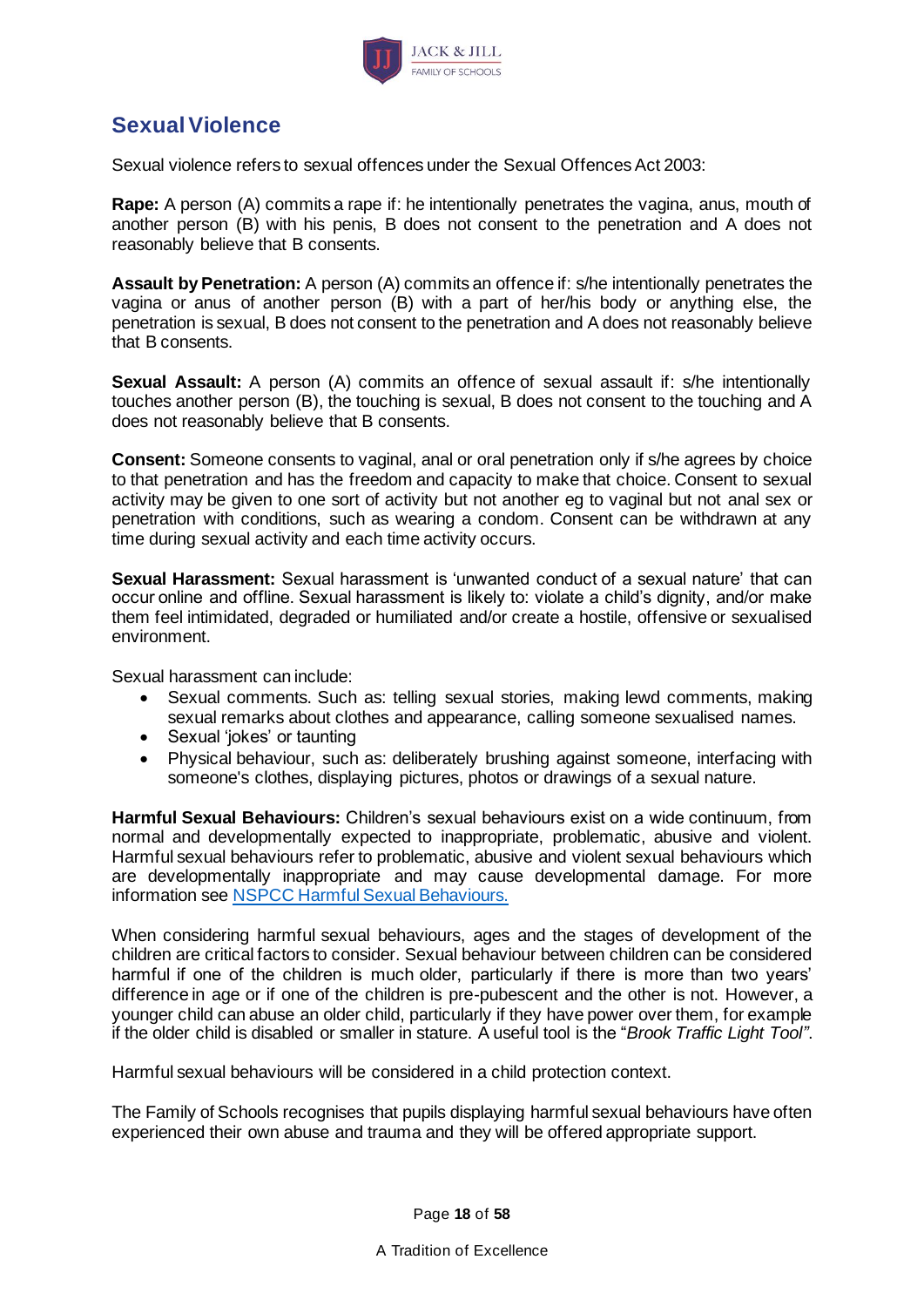

## **Sexual Violence**

Sexual violence refers to sexual offences under the Sexual Offences Act 2003:

**Rape:** A person (A) commits a rape if: he intentionally penetrates the vagina, anus, mouth of another person (B) with his penis, B does not consent to the penetration and A does not reasonably believe that B consents.

**Assault by Penetration:** A person (A) commits an offence if: s/he intentionally penetrates the vagina or anus of another person (B) with a part of her/his body or anything else, the penetration is sexual, B does not consent to the penetration and A does not reasonably believe that B consents.

**Sexual Assault:** A person (A) commits an offence of sexual assault if: s/he intentionally touches another person (B), the touching is sexual, B does not consent to the touching and A does not reasonably believe that B consents.

**Consent:** Someone consents to vaginal, anal or oral penetration only if s/he agrees by choice to that penetration and has the freedom and capacity to make that choice. Consent to sexual activity may be given to one sort of activity but not another eg to vaginal but not anal sex or penetration with conditions, such as wearing a condom. Consent can be withdrawn at any time during sexual activity and each time activity occurs.

**Sexual Harassment:** Sexual harassment is 'unwanted conduct of a sexual nature' that can occur online and offline. Sexual harassment is likely to: violate a child's dignity, and/or make them feel intimidated, degraded or humiliated and/or create a hostile, offensive or sexualised environment.

Sexual harassment can include:

- Sexual comments. Such as: telling sexual stories, making lewd comments, making sexual remarks about clothes and appearance, calling someone sexualised names.
- Sexual 'jokes' or taunting
- Physical behaviour, such as: deliberately brushing against someone, interfacing with someone's clothes, displaying pictures, photos or drawings of a sexual nature.

**Harmful Sexual Behaviours:** Children's sexual behaviours exist on a wide continuum, from normal and developmentally expected to inappropriate, problematic, abusive and violent. Harmful sexual behaviours refer to problematic, abusive and violent sexual behaviours which are developmentally inappropriate and may cause developmental damage. For more information see [NSPCC Harmful Sexual Behaviours.](https://www.nspcc.org.uk/preventing-abuse/keeping-children-safe/healthy-sexual-behaviour-children-young-people/)

When considering harmful sexual behaviours, ages and the stages of development of the children are critical factors to consider. Sexual behaviour between children can be considered harmful if one of the children is much older, particularly if there is more than two years' difference in age or if one of the children is pre-pubescent and the other is not. However, a younger child can abuse an older child, particularly if they have power over them, for example if the older child is disabled or smaller in stature. A useful tool is the "*Brook Traffic Light Tool"*.

Harmful sexual behaviours will be considered in a child protection context.

The Family of Schools recognises that pupils displaying harmful sexual behaviours have often experienced their own abuse and trauma and they will be offered appropriate support.

Page **18** of **58**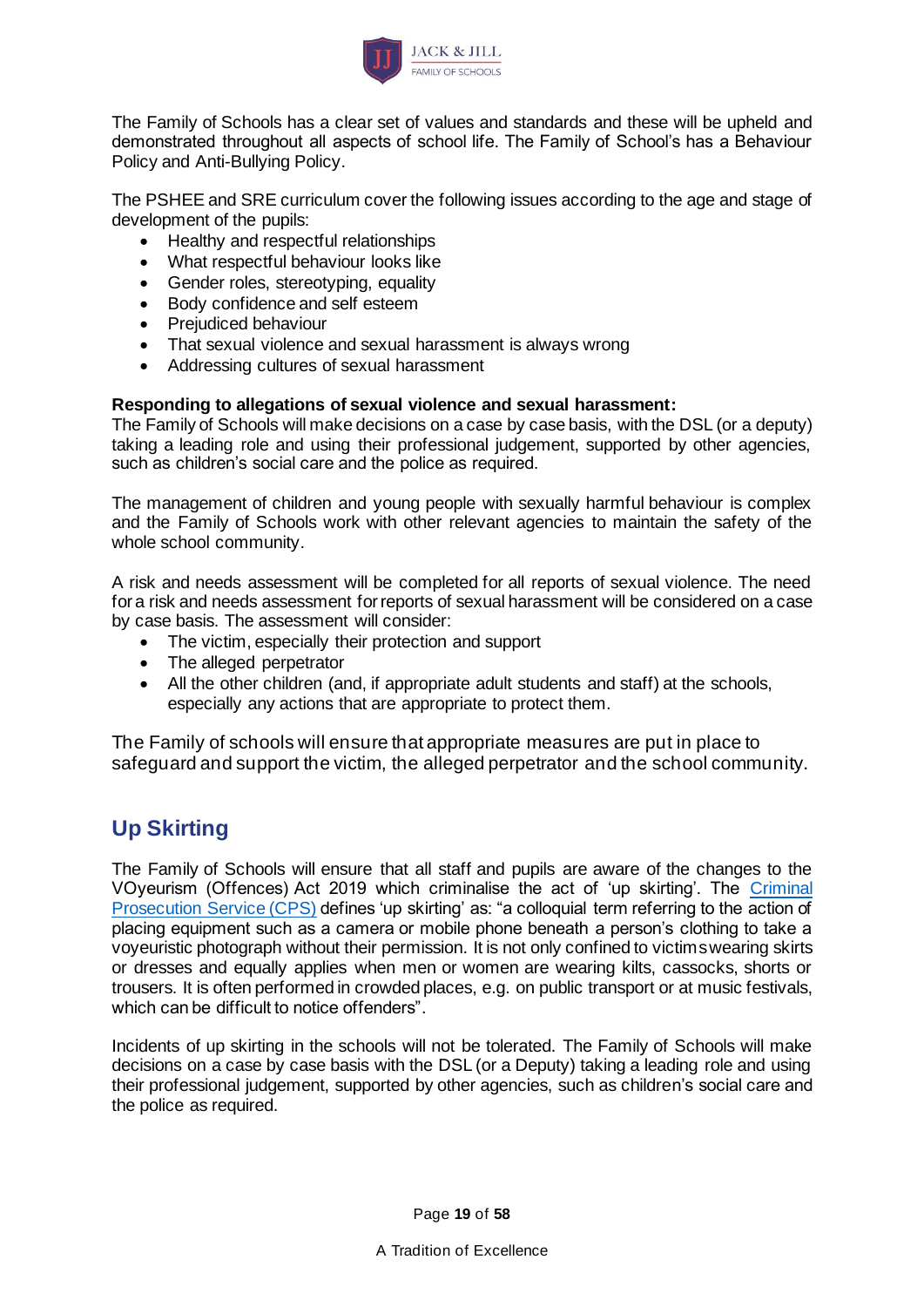

The Family of Schools has a clear set of values and standards and these will be upheld and demonstrated throughout all aspects of school life. The Family of School's has a Behaviour Policy and Anti-Bullying Policy.

The PSHEE and SRE curriculum cover the following issues according to the age and stage of development of the pupils:

- Healthy and respectful relationships
- What respectful behaviour looks like
- Gender roles, stereotyping, equality
- Body confidence and self esteem
- Prejudiced behaviour
- That sexual violence and sexual harassment is always wrong
- Addressing cultures of sexual harassment

#### **Responding to allegations of sexual violence and sexual harassment:**

The Family of Schools will make decisions on a case by case basis, with the DSL (or a deputy) taking a leading role and using their professional judgement, supported by other agencies, such as children's social care and the police as required.

The management of children and young people with sexually harmful behaviour is complex and the Family of Schools work with other relevant agencies to maintain the safety of the whole school community.

A risk and needs assessment will be completed for all reports of sexual violence. The need for a risk and needs assessment for reports of sexual harassment will be considered on a case by case basis. The assessment will consider:

- The victim, especially their protection and support
- The alleged perpetrator
- All the other children (and, if appropriate adult students and staff) at the schools, especially any actions that are appropriate to protect them.

The Family of schools will ensure that appropriate measures are put in place to safeguard and support the victim, the alleged perpetrator and the school community.

## **Up Skirting**

The Family of Schools will ensure that all staff and pupils are aware of the changes to the VOyeurism (Offences) Act 2019 which criminalise the act of 'up skirting'. The [Criminal](https://www.cps.gov.uk/legal-guidance/voyeurism)  [Prosecution Service \(CPS\)](https://www.cps.gov.uk/legal-guidance/voyeurism) defines 'up skirting' as: "a colloquial term referring to the action of placing equipment such as a camera or mobile phone beneath a person's clothing to take a voyeuristic photograph without their permission. It is not only confined to victims wearing skirts or dresses and equally applies when men or women are wearing kilts, cassocks, shorts or trousers. It is often performed in crowded places, e.g. on public transport or at music festivals, which can be difficult to notice offenders".

Incidents of up skirting in the schools will not be tolerated. The Family of Schools will make decisions on a case by case basis with the DSL (or a Deputy) taking a leading role and using their professional judgement, supported by other agencies, such as children's social care and the police as required.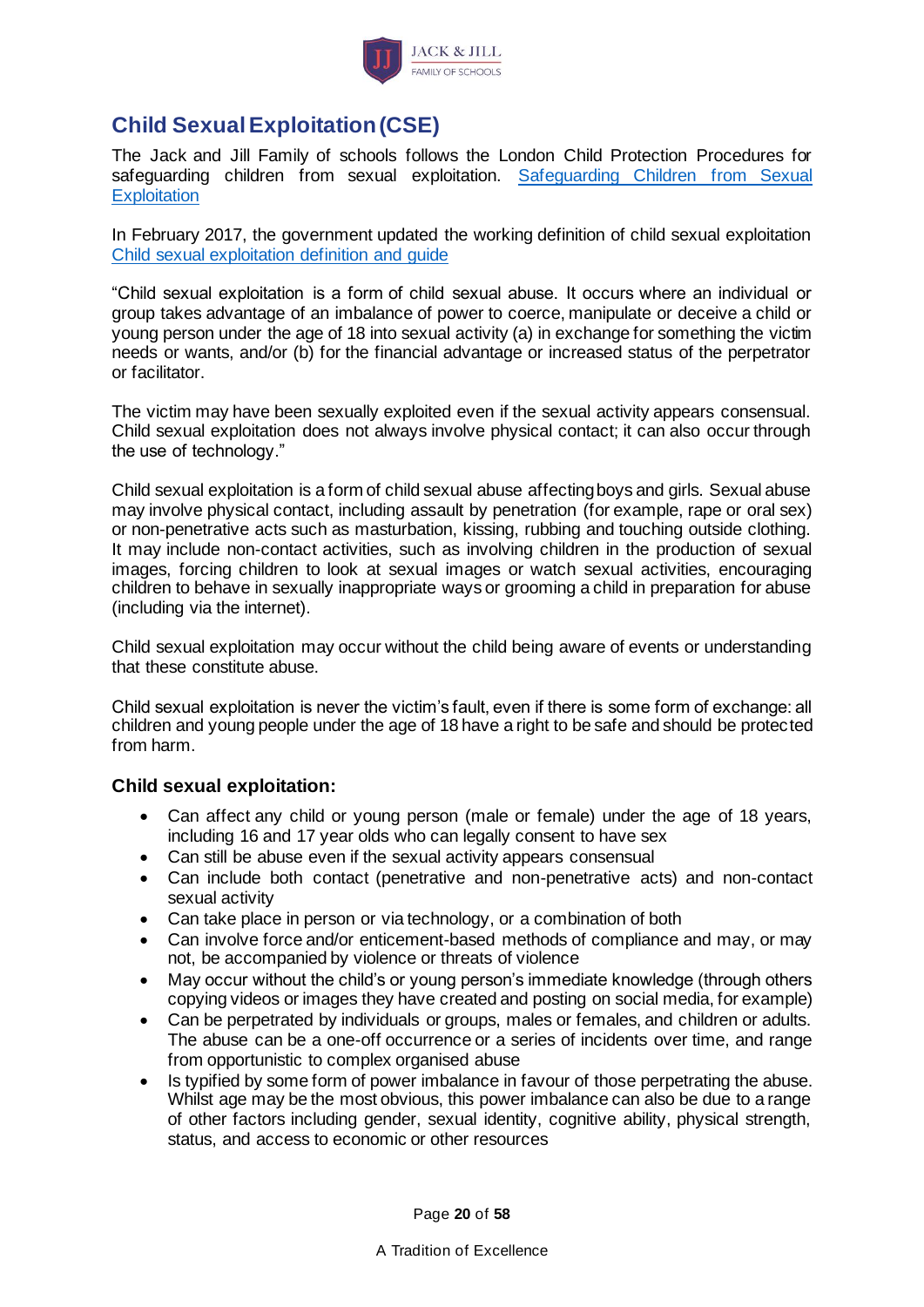

## <span id="page-19-0"></span>**Child Sexual Exploitation (CSE)**

The Jack and Jill Family of schools follows the London Child Protection Procedures for safeguarding children from sexual exploitation. [Safeguarding Children from Sexual](http://www.londoncp.co.uk/chapters/sg_sex_exploit_ch.html)  **[Exploitation](http://www.londoncp.co.uk/chapters/sg_sex_exploit_ch.html)** 

In February 2017, the government updated the working definition of child sexual exploitation [Child sexual exploitation definition and guide](https://www.gov.uk/government/publications/child-sexual-exploitation-definition-and-guide-for-practitioners)

"Child sexual exploitation is a form of child sexual abuse. It occurs where an individual or group takes advantage of an imbalance of power to coerce, manipulate or deceive a child or young person under the age of 18 into sexual activity (a) in exchange for something the victim needs or wants, and/or (b) for the financial advantage or increased status of the perpetrator or facilitator.

The victim may have been sexually exploited even if the sexual activity appears consensual. Child sexual exploitation does not always involve physical contact; it can also occur through the use of technology."

Child sexual exploitation is a form of child sexual abuse affecting boys and girls. Sexual abuse may involve physical contact, including assault by penetration (for example, rape or oral sex) or non-penetrative acts such as masturbation, kissing, rubbing and touching outside clothing. It may include non-contact activities, such as involving children in the production of sexual images, forcing children to look at sexual images or watch sexual activities, encouraging children to behave in sexually inappropriate ways or grooming a child in preparation for abuse (including via the internet).

Child sexual exploitation may occur without the child being aware of events or understanding that these constitute abuse.

Child sexual exploitation is never the victim's fault, even if there is some form of exchange: all children and young people under the age of 18 have a right to be safe and should be protected from harm.

### **Child sexual exploitation:**

- Can affect any child or young person (male or female) under the age of 18 years, including 16 and 17 year olds who can legally consent to have sex
- Can still be abuse even if the sexual activity appears consensual
- Can include both contact (penetrative and non-penetrative acts) and non-contact sexual activity
- Can take place in person or via technology, or a combination of both
- Can involve force and/or enticement-based methods of compliance and may, or may not, be accompanied by violence or threats of violence
- May occur without the child's or young person's immediate knowledge (through others copying videos or images they have created and posting on social media, for example)
- Can be perpetrated by individuals or groups, males or females, and children or adults. The abuse can be a one-off occurrence or a series of incidents over time, and range from opportunistic to complex organised abuse
- Is typified by some form of power imbalance in favour of those perpetrating the abuse. Whilst age may be the most obvious, this power imbalance can also be due to a range of other factors including gender, sexual identity, cognitive ability, physical strength, status, and access to economic or other resources

Page **20** of **58**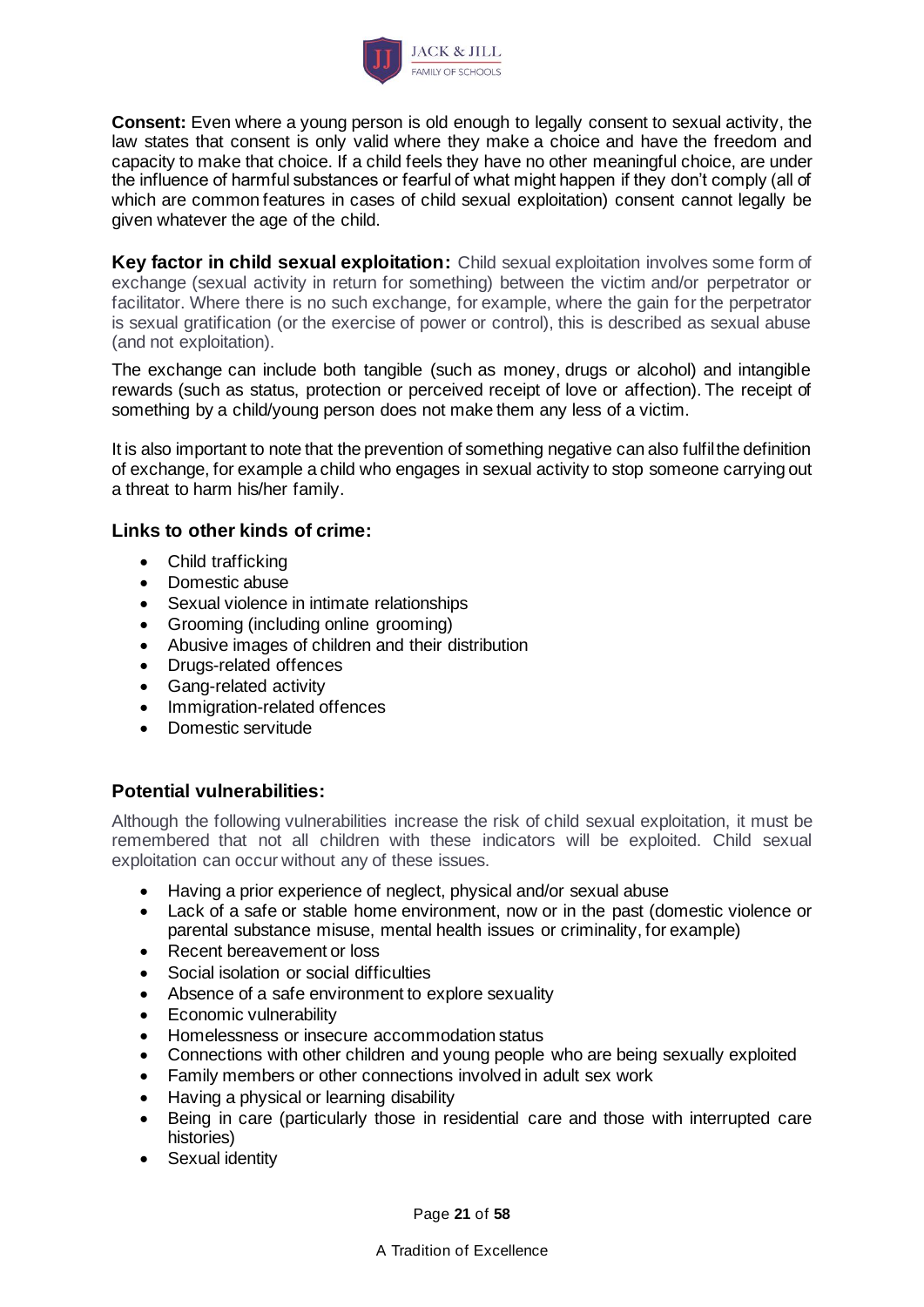

**Consent:** Even where a young person is old enough to legally consent to sexual activity, the law states that consent is only valid where they make a choice and have the freedom and capacity to make that choice. If a child feels they have no other meaningful choice, are under the influence of harmful substances or fearful of what might happen if they don't comply (all of which are common features in cases of child sexual exploitation) consent cannot legally be given whatever the age of the child.

**Key factor in child sexual exploitation:** Child sexual exploitation involves some form of exchange (sexual activity in return for something) between the victim and/or perpetrator or facilitator. Where there is no such exchange, for example, where the gain for the perpetrator is sexual gratification (or the exercise of power or control), this is described as sexual abuse (and not exploitation).

The exchange can include both tangible (such as money, drugs or alcohol) and intangible rewards (such as status, protection or perceived receipt of love or affection). The receipt of something by a child/young person does not make them any less of a victim.

It is also important to note that the prevention of something negative can also fulfil the definition of exchange, for example a child who engages in sexual activity to stop someone carrying out a threat to harm his/her family.

### **Links to other kinds of crime:**

- Child trafficking
- Domestic abuse
- Sexual violence in intimate relationships
- Grooming (including online grooming)
- Abusive images of children and their distribution
- Drugs-related offences
- Gang-related activity
- Immigration-related offences
- Domestic servitude

#### **Potential vulnerabilities:**

Although the following vulnerabilities increase the risk of child sexual exploitation, it must be remembered that not all children with these indicators will be exploited. Child sexual exploitation can occur without any of these issues.

- Having a prior experience of neglect, physical and/or sexual abuse
- Lack of a safe or stable home environment, now or in the past (domestic violence or parental substance misuse, mental health issues or criminality, for example)
- Recent bereavement or loss
- Social isolation or social difficulties
- Absence of a safe environment to explore sexuality
- Economic vulnerability
- Homelessness or insecure accommodation status
- Connections with other children and young people who are being sexually exploited
- Family members or other connections involved in adult sex work
- Having a physical or learning disability
- Being in care (particularly those in residential care and those with interrupted care histories)
- Sexual identity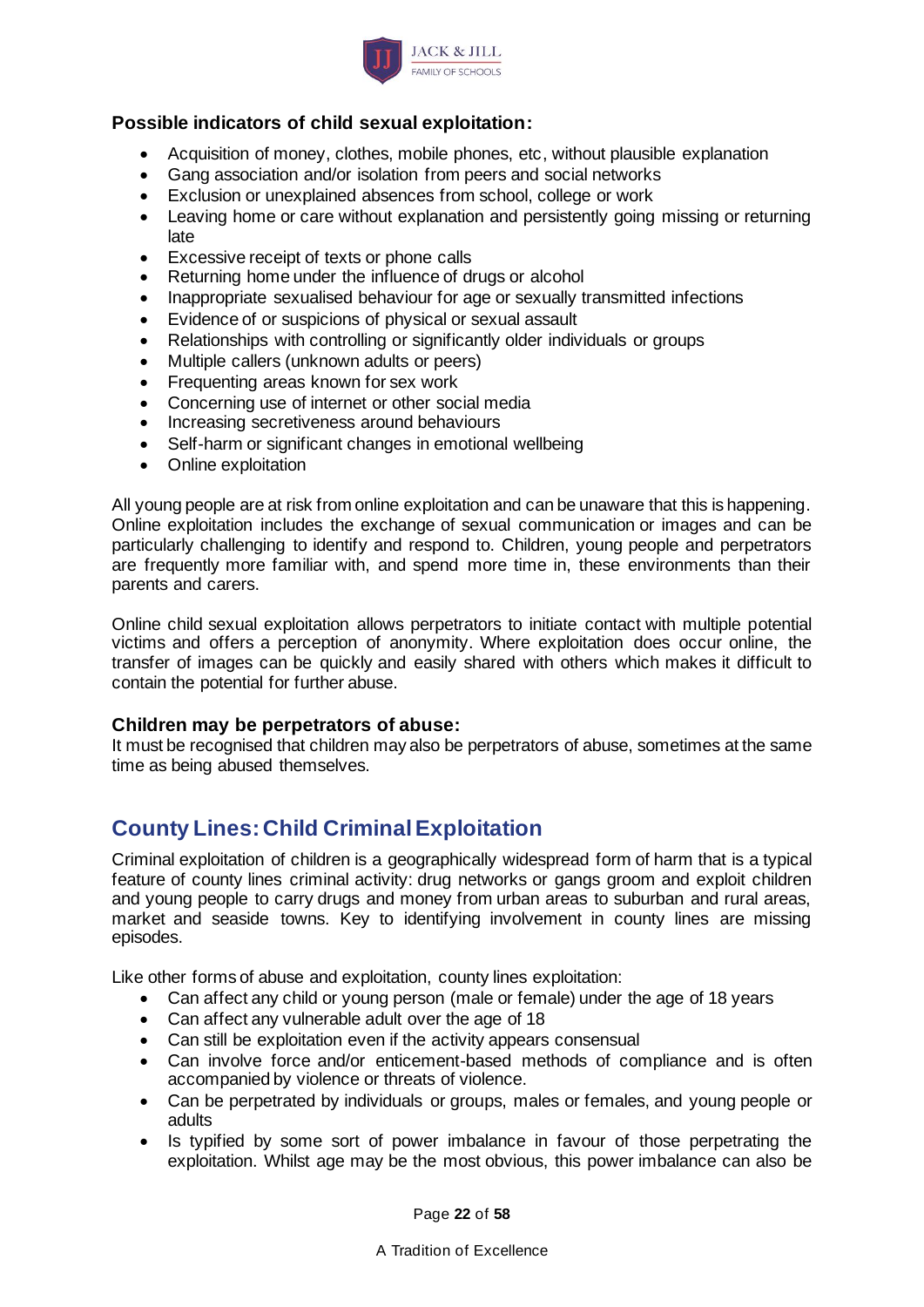

### **Possible indicators of child sexual exploitation:**

- Acquisition of money, clothes, mobile phones, etc, without plausible explanation
- Gang association and/or isolation from peers and social networks
- Exclusion or unexplained absences from school, college or work
- Leaving home or care without explanation and persistently going missing or returning late
- Excessive receipt of texts or phone calls
- Returning home under the influence of drugs or alcohol
- Inappropriate sexualised behaviour for age or sexually transmitted infections
- Evidence of or suspicions of physical or sexual assault
- Relationships with controlling or significantly older individuals or groups
- Multiple callers (unknown adults or peers)
- Frequenting areas known for sex work
- Concerning use of internet or other social media
- Increasing secretiveness around behaviours
- Self-harm or significant changes in emotional wellbeing
- Online exploitation

All young people are at risk from online exploitation and can be unaware that this is happening. Online exploitation includes the exchange of sexual communication or images and can be particularly challenging to identify and respond to. Children, young people and perpetrators are frequently more familiar with, and spend more time in, these environments than their parents and carers.

Online child sexual exploitation allows perpetrators to initiate contact with multiple potential victims and offers a perception of anonymity. Where exploitation does occur online, the transfer of images can be quickly and easily shared with others which makes it difficult to contain the potential for further abuse.

#### **Children may be perpetrators of abuse:**

It must be recognised that children may also be perpetrators of abuse, sometimes at the same time as being abused themselves.

## **County Lines: Child Criminal Exploitation**

Criminal exploitation of children is a geographically widespread form of harm that is a typical feature of county lines criminal activity: drug networks or gangs groom and exploit children and young people to carry drugs and money from urban areas to suburban and rural areas, market and seaside towns. Key to identifying involvement in county lines are missing episodes.

Like other forms of abuse and exploitation, county lines exploitation:

- Can affect any child or young person (male or female) under the age of 18 years
- Can affect any vulnerable adult over the age of 18
- Can still be exploitation even if the activity appears consensual
- Can involve force and/or enticement-based methods of compliance and is often accompanied by violence or threats of violence.
- Can be perpetrated by individuals or groups, males or females, and young people or adults
- Is typified by some sort of power imbalance in favour of those perpetrating the exploitation. Whilst age may be the most obvious, this power imbalance can also be

Page **22** of **58**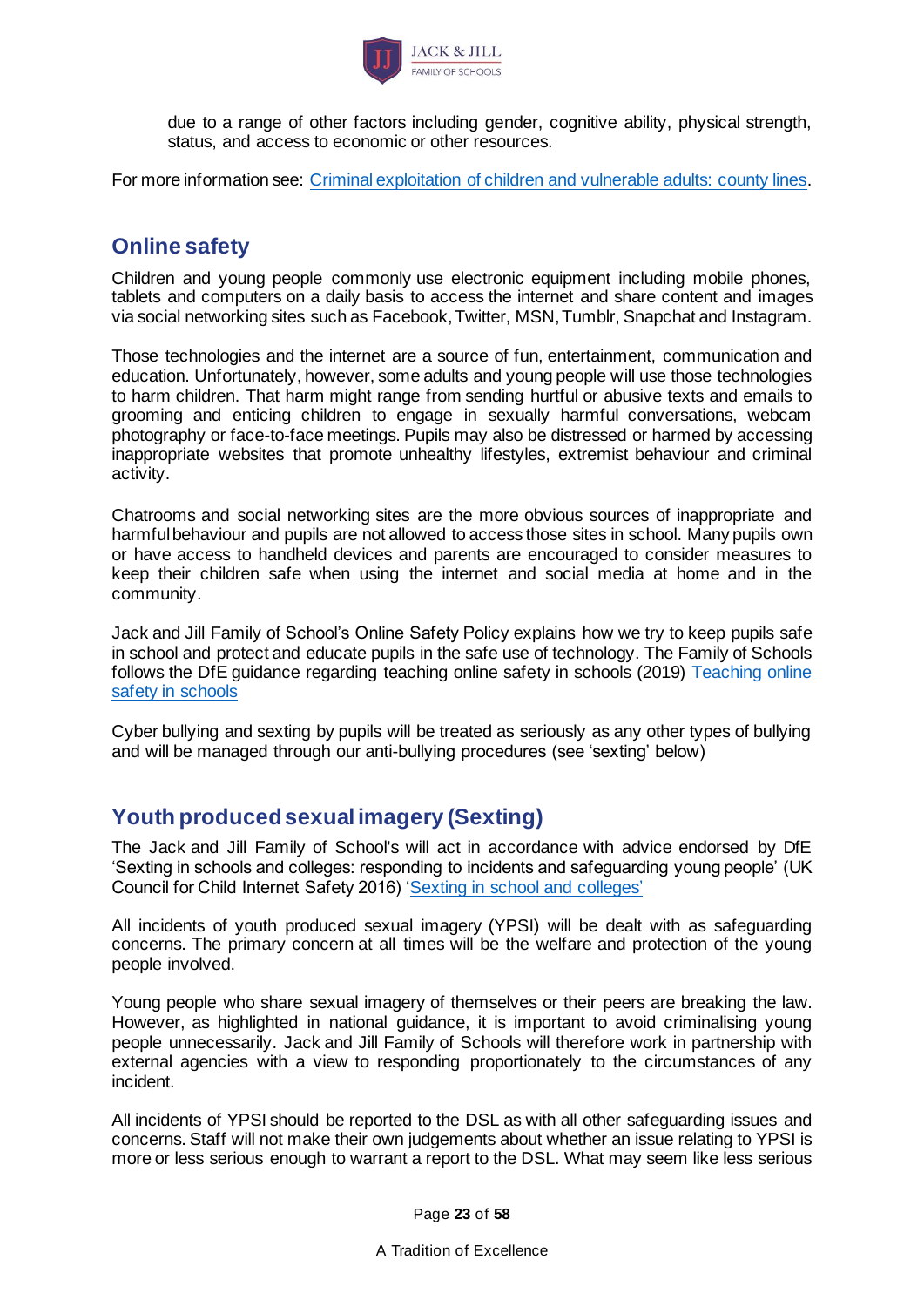

due to a range of other factors including gender, cognitive ability, physical strength, status, and access to economic or other resources.

For more information see: [Criminal exploitation of children and vulnerable adults: county lines.](https://www.gov.uk/government/publications/criminal-exploitation-of-children-and-vulnerable-adults-county-lines)

### <span id="page-22-0"></span>**Online safety**

Children and young people commonly use electronic equipment including mobile phones, tablets and computers on a daily basis to access the internet and share content and images via social networking sites such as Facebook, Twitter, MSN, Tumblr, Snapchat and Instagram.

Those technologies and the internet are a source of fun, entertainment, communication and education. Unfortunately, however, some adults and young people will use those technologies to harm children. That harm might range from sending hurtful or abusive texts and emails to grooming and enticing children to engage in sexually harmful conversations, webcam photography or face-to-face meetings. Pupils may also be distressed or harmed by accessing inappropriate websites that promote unhealthy lifestyles, extremist behaviour and criminal activity.

Chatrooms and social networking sites are the more obvious sources of inappropriate and harmful behaviour and pupils are not allowed to access those sites in school. Many pupils own or have access to handheld devices and parents are encouraged to consider measures to keep their children safe when using the internet and social media at home and in the community.

Jack and Jill Family of School's Online Safety Policy explains how we try to keep pupils safe in school and protect and educate pupils in the safe use of technology. The Family of Schools follows the DfE guidance regarding teaching online safety in schools (2019) [Teaching online](https://www.gov.uk/government/publications/teaching-online-safety-in-schools)  [safety in schools](https://www.gov.uk/government/publications/teaching-online-safety-in-schools)

Cyber bullying and sexting by pupils will be treated as seriously as any other types of bullying and will be managed through our anti-bullying procedures (see 'sexting' below)

## <span id="page-22-1"></span>**Youth produced sexual imagery (Sexting)**

The Jack and Jill Family of School's will act in accordance with advice endorsed by DfE 'Sexting in schools and colleges: responding to incidents and safeguarding young people' (UK Council for Child Internet Safety 2016) ['Sexting in school and colleges'](https://www.gov.uk/government/uploads/system/uploads/attachment_data/file/609874/6_2939_SP_NCA_Sexting_In_Schools_FINAL_Update_Jan17.pdf)

All incidents of youth produced sexual imagery (YPSI) will be dealt with as safeguarding concerns. The primary concern at all times will be the welfare and protection of the young people involved.

Young people who share sexual imagery of themselves or their peers are breaking the law. However, as highlighted in national guidance, it is important to avoid criminalising young people unnecessarily. Jack and Jill Family of Schools will therefore work in partnership with external agencies with a view to responding proportionately to the circumstances of any incident.

All incidents of YPSI should be reported to the DSL as with all other safeguarding issues and concerns. Staff will not make their own judgements about whether an issue relating to YPSI is more or less serious enough to warrant a report to the DSL. What may seem like less serious

Page **23** of **58**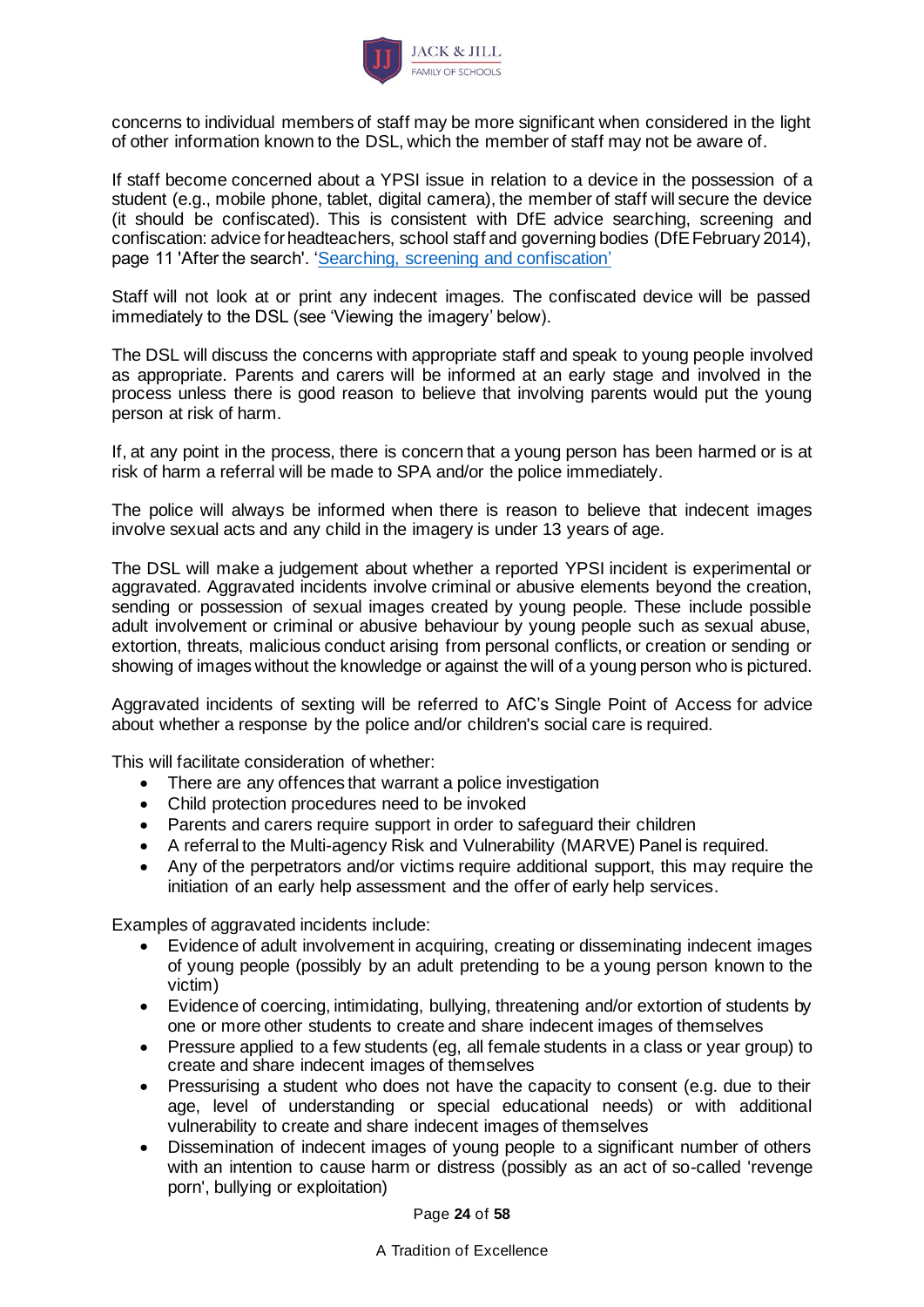

concerns to individual members of staff may be more significant when considered in the light of other information known to the DSL, which the member of staff may not be aware of.

If staff become concerned about a YPSI issue in relation to a device in the possession of a student (e.g., mobile phone, tablet, digital camera), the member of staff will secure the device (it should be confiscated). This is consistent with DfE advice searching, screening and confiscation: advice for headteachers, school staff and governing bodies (DfE February 2014), page 11 'After the search'. ['Searching, screening and confiscation'](https://www.gov.uk/government/uploads/system/uploads/attachment_data/file/554415/searching_screening_confiscation_advice_Sept_2016.pdf)

Staff will not look at or print any indecent images. The confiscated device will be passed immediately to the DSL (see 'Viewing the imagery' below).

The DSL will discuss the concerns with appropriate staff and speak to young people involved as appropriate. Parents and carers will be informed at an early stage and involved in the process unless there is good reason to believe that involving parents would put the young person at risk of harm.

If, at any point in the process, there is concern that a young person has been harmed or is at risk of harm a referral will be made to SPA and/or the police immediately.

The police will always be informed when there is reason to believe that indecent images involve sexual acts and any child in the imagery is under 13 years of age.

The DSL will make a judgement about whether a reported YPSI incident is experimental or aggravated. Aggravated incidents involve criminal or abusive elements beyond the creation, sending or possession of sexual images created by young people. These include possible adult involvement or criminal or abusive behaviour by young people such as sexual abuse, extortion, threats, malicious conduct arising from personal conflicts, or creation or sending or showing of images without the knowledge or against the will of a young person who is pictured.

Aggravated incidents of sexting will be referred to AfC's Single Point of Access for advice about whether a response by the police and/or children's social care is required.

This will facilitate consideration of whether:

- There are any offences that warrant a police investigation
- Child protection procedures need to be invoked
- Parents and carers require support in order to safeguard their children
- A referral to the Multi-agency Risk and Vulnerability (MARVE) Panel is required.
- Any of the perpetrators and/or victims require additional support, this may require the initiation of an early help assessment and the offer of early help services.

Examples of aggravated incidents include:

- Evidence of adult involvement in acquiring, creating or disseminating indecent images of young people (possibly by an adult pretending to be a young person known to the victim)
- Evidence of coercing, intimidating, bullying, threatening and/or extortion of students by one or more other students to create and share indecent images of themselves
- Pressure applied to a few students (eg, all female students in a class or year group) to create and share indecent images of themselves
- Pressurising a student who does not have the capacity to consent (e.g. due to their age, level of understanding or special educational needs) or with additional vulnerability to create and share indecent images of themselves
- Dissemination of indecent images of young people to a significant number of others with an intention to cause harm or distress (possibly as an act of so-called 'revenge porn', bullying or exploitation)

Page **24** of **58**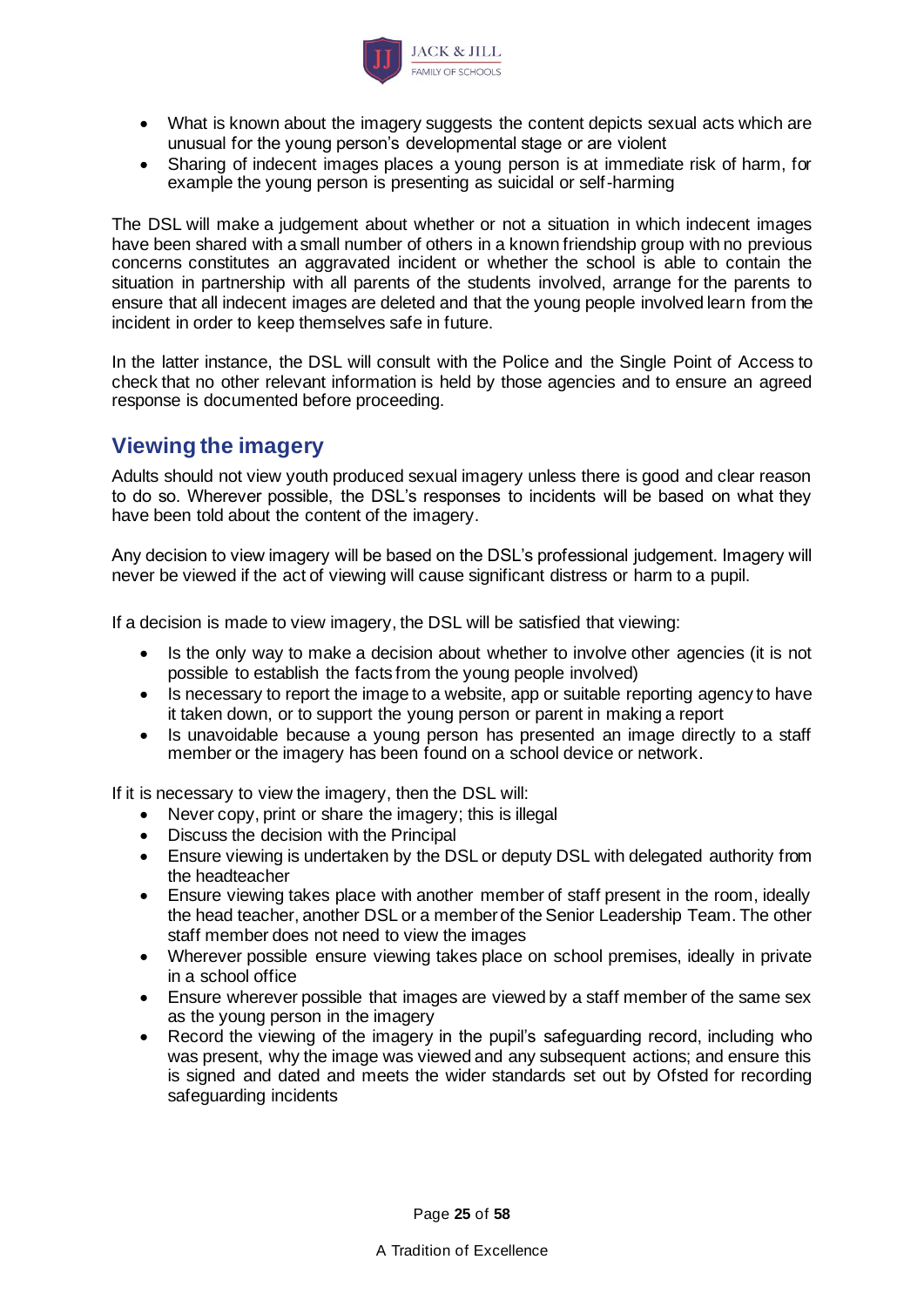

- What is known about the imagery suggests the content depicts sexual acts which are unusual for the young person's developmental stage or are violent
- Sharing of indecent images places a young person is at immediate risk of harm, for example the young person is presenting as suicidal or self-harming

The DSL will make a judgement about whether or not a situation in which indecent images have been shared with a small number of others in a known friendship group with no previous concerns constitutes an aggravated incident or whether the school is able to contain the situation in partnership with all parents of the students involved, arrange for the parents to ensure that all indecent images are deleted and that the young people involved learn from the incident in order to keep themselves safe in future.

In the latter instance, the DSL will consult with the Police and the Single Point of Access to check that no other relevant information is held by those agencies and to ensure an agreed response is documented before proceeding.

## **Viewing the imagery**

Adults should not view youth produced sexual imagery unless there is good and clear reason to do so. Wherever possible, the DSL's responses to incidents will be based on what they have been told about the content of the imagery.

Any decision to view imagery will be based on the DSL's professional judgement. Imagery will never be viewed if the act of viewing will cause significant distress or harm to a pupil.

If a decision is made to view imagery, the DSL will be satisfied that viewing:

- Is the only way to make a decision about whether to involve other agencies (it is not possible to establish the facts from the young people involved)
- Is necessary to report the image to a website, app or suitable reporting agency to have it taken down, or to support the young person or parent in making a report
- Is unavoidable because a young person has presented an image directly to a staff member or the imagery has been found on a school device or network.

If it is necessary to view the imagery, then the DSL will:

- Never copy, print or share the imagery; this is illegal
- Discuss the decision with the Principal
- Ensure viewing is undertaken by the DSL or deputy DSL with delegated authority from the headteacher
- Ensure viewing takes place with another member of staff present in the room, ideally the head teacher, another DSL or a member of the Senior Leadership Team. The other staff member does not need to view the images
- Wherever possible ensure viewing takes place on school premises, ideally in private in a school office
- Ensure wherever possible that images are viewed by a staff member of the same sex as the young person in the imagery
- Record the viewing of the imagery in the pupil's safeguarding record, including who was present, why the image was viewed and any subsequent actions; and ensure this is signed and dated and meets the wider standards set out by Ofsted for recording safeguarding incidents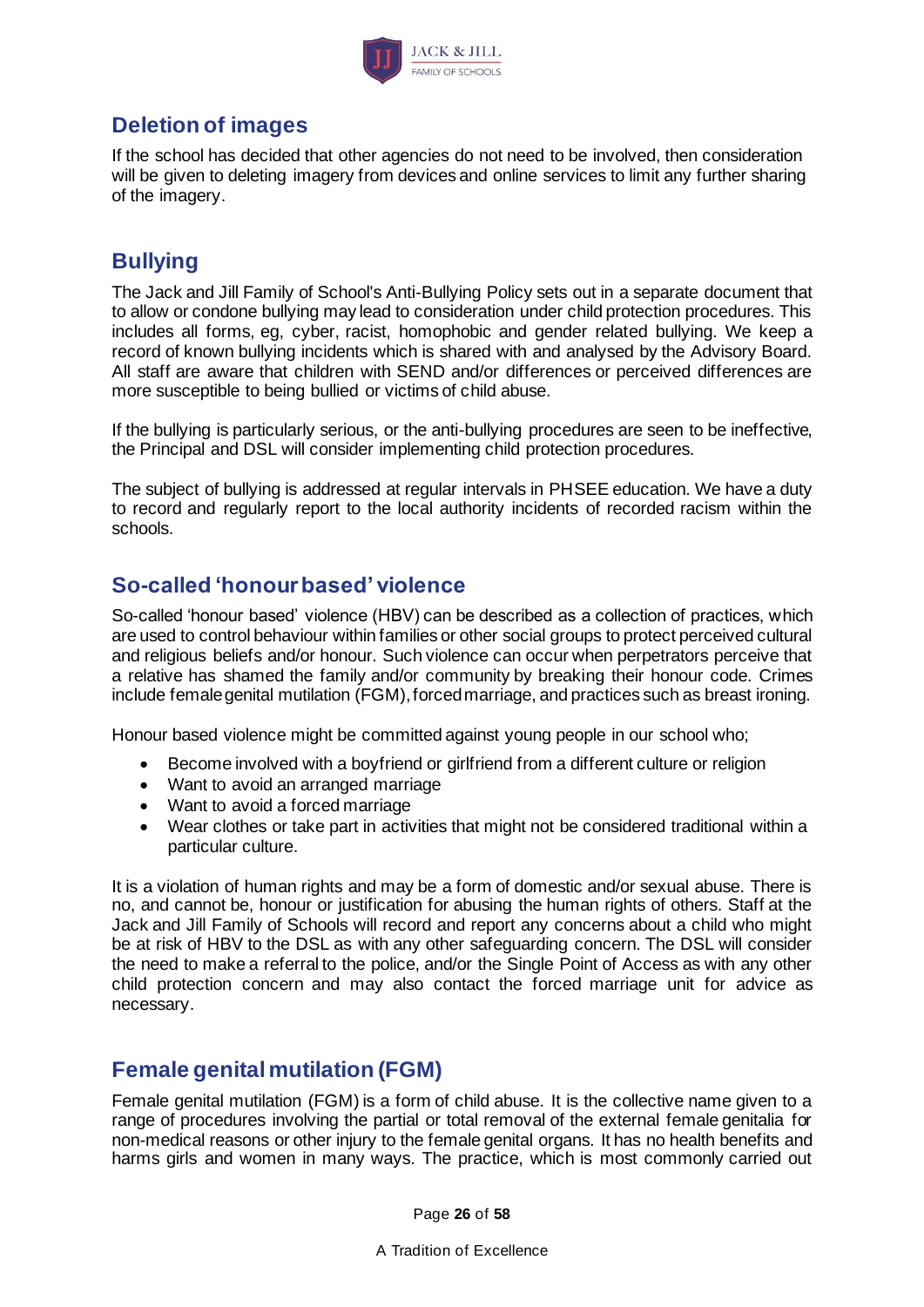

## **Deletion of images**

If the school has decided that other agencies do not need to be involved, then consideration will be given to deleting imagery from devices and online services to limit any further sharing of the imagery.

## <span id="page-25-0"></span>**Bullying**

The Jack and Jill Family of School's Anti-Bullying Policy sets out in a separate document that to allow or condone bullying may lead to consideration under child protection procedures. This includes all forms, eg, cyber, racist, homophobic and gender related bullying. We keep a record of known bullying incidents which is shared with and analysed by the Advisory Board. All staff are aware that children with SEND and/or differences or perceived differences are more susceptible to being bullied or victims of child abuse.

If the bullying is particularly serious, or the anti-bullying procedures are seen to be ineffective, the Principal and DSL will consider implementing child protection procedures.

The subject of bullying is addressed at regular intervals in PHSEE education. We have a duty to record and regularly report to the local authority incidents of recorded racism within the schools.

## <span id="page-25-1"></span>**So-called 'honour based' violence**

So-called 'honour based' violence (HBV) can be described as a collection of practices, which are used to control behaviour within families or other social groups to protect perceived cultural and religious beliefs and/or honour. Such violence can occur when perpetrators perceive that a relative has shamed the family and/or community by breaking their honour code. Crimes include female genital mutilation (FGM), forced marriage, and practices such as breast ironing.

Honour based violence might be committed against young people in our school who;

- Become involved with a boyfriend or girlfriend from a different culture or religion
- Want to avoid an arranged marriage
- Want to avoid a forced marriage
- Wear clothes or take part in activities that might not be considered traditional within a particular culture.

It is a violation of human rights and may be a form of domestic and/or sexual abuse. There is no, and cannot be, honour or justification for abusing the human rights of others. Staff at the Jack and Jill Family of Schools will record and report any concerns about a child who might be at risk of HBV to the DSL as with any other safeguarding concern. The DSL will consider the need to make a referral to the police, and/or the Single Point of Access as with any other child protection concern and may also contact the forced marriage unit for advice as necessary.

## <span id="page-25-2"></span>**Female genital mutilation (FGM)**

Female genital mutilation (FGM) is a form of child abuse. It is the collective name given to a range of procedures involving the partial or total removal of the external female genitalia for non-medical reasons or other injury to the female genital organs. It has no health benefits and harms girls and women in many ways. The practice, which is most commonly carried out

Page **26** of **58**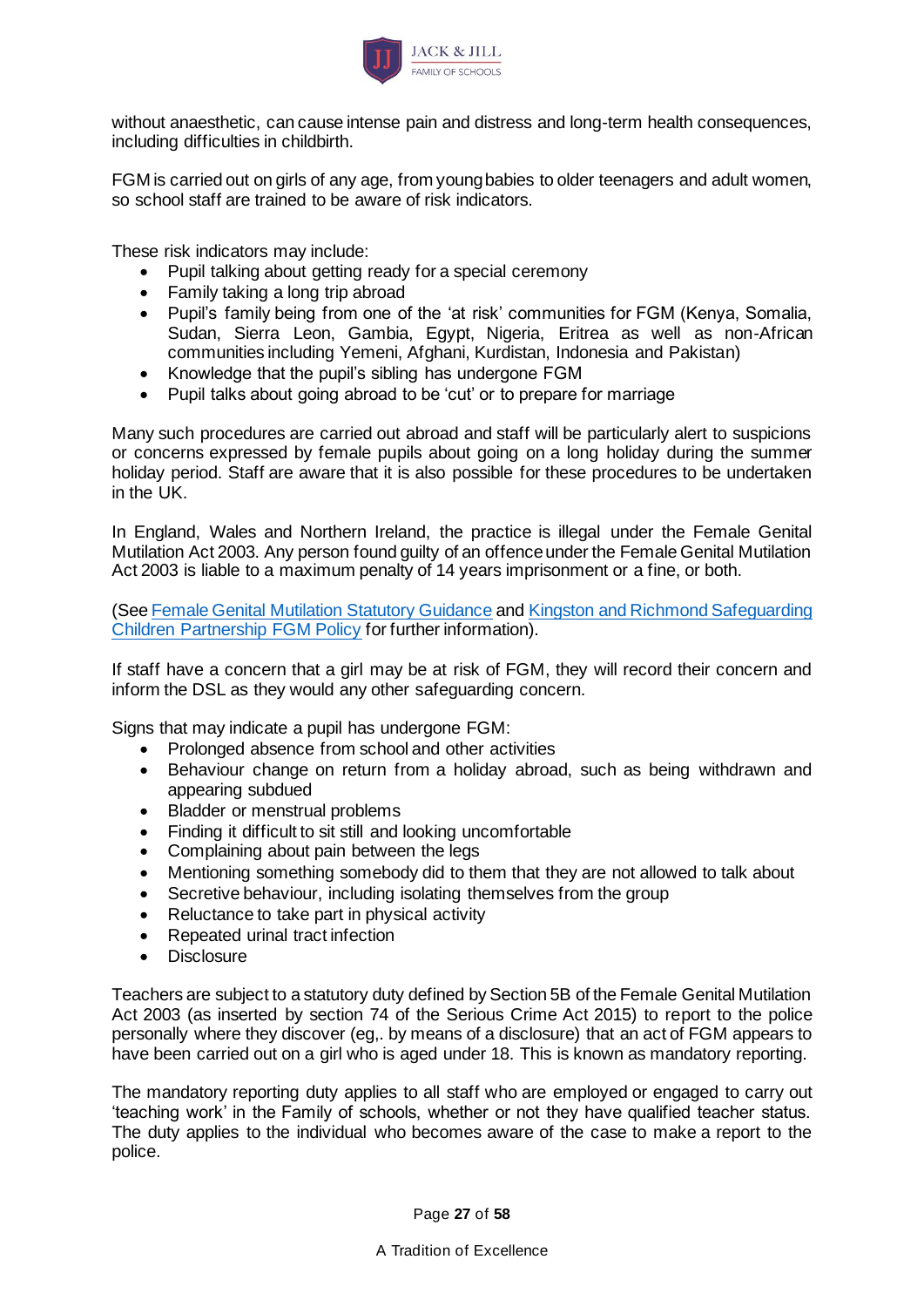

without anaesthetic, can cause intense pain and distress and long-term health consequences, including difficulties in childbirth.

FGM is carried out on girls of any age, from young babies to older teenagers and adult women, so school staff are trained to be aware of risk indicators.

These risk indicators may include:

- Pupil talking about getting ready for a special ceremony
- Family taking a long trip abroad
- Pupil's family being from one of the 'at risk' communities for FGM (Kenya, Somalia, Sudan, Sierra Leon, Gambia, Egypt, Nigeria, Eritrea as well as non-African communities including Yemeni, Afghani, Kurdistan, Indonesia and Pakistan)
- Knowledge that the pupil's sibling has undergone FGM
- Pupil talks about going abroad to be 'cut' or to prepare for marriage

Many such procedures are carried out abroad and staff will be particularly alert to suspicions or concerns expressed by female pupils about going on a long holiday during the summer holiday period. Staff are aware that it is also possible for these procedures to be undertaken in the UK.

In England, Wales and Northern Ireland, the practice is illegal under the Female Genital Mutilation Act 2003. Any person found guilty of an offence under the Female Genital Mutilation Act 2003 is liable to a maximum penalty of 14 years imprisonment or a fine, or both.

(Se[e Female Genital Mutilation Statutory Guidance](https://www.gov.uk/government/publications/female-genital-mutilation-guidelines) an[d Kingston and Richmond Safeguarding](https://kingstonandrichmondlscb.org.uk/news-resources/policies-and-procedures-87/female-genital-mutilation-policy-203.php)  [Children Partnership FGM Policy](https://kingstonandrichmondlscb.org.uk/news-resources/policies-and-procedures-87/female-genital-mutilation-policy-203.php) for further information).

If staff have a concern that a girl may be at risk of FGM, they will record their concern and inform the DSL as they would any other safeguarding concern.

Signs that may indicate a pupil has undergone FGM:

- Prolonged absence from school and other activities
- Behaviour change on return from a holiday abroad, such as being withdrawn and appearing subdued
- Bladder or menstrual problems
- Finding it difficult to sit still and looking uncomfortable
- Complaining about pain between the legs
- Mentioning something somebody did to them that they are not allowed to talk about
- Secretive behaviour, including isolating themselves from the group
- Reluctance to take part in physical activity
- Repeated urinal tract infection
- Disclosure

Teachers are subject to a statutory duty defined by Section 5B of the Female Genital Mutilation Act 2003 (as inserted by section 74 of the Serious Crime Act 2015) to report to the police personally where they discover (eg,. by means of a disclosure) that an act of FGM appears to have been carried out on a girl who is aged under 18. This is known as mandatory reporting.

The mandatory reporting duty applies to all staff who are employed or engaged to carry out 'teaching work' in the Family of schools, whether or not they have qualified teacher status. The duty applies to the individual who becomes aware of the case to make a report to the police.

Page **27** of **58**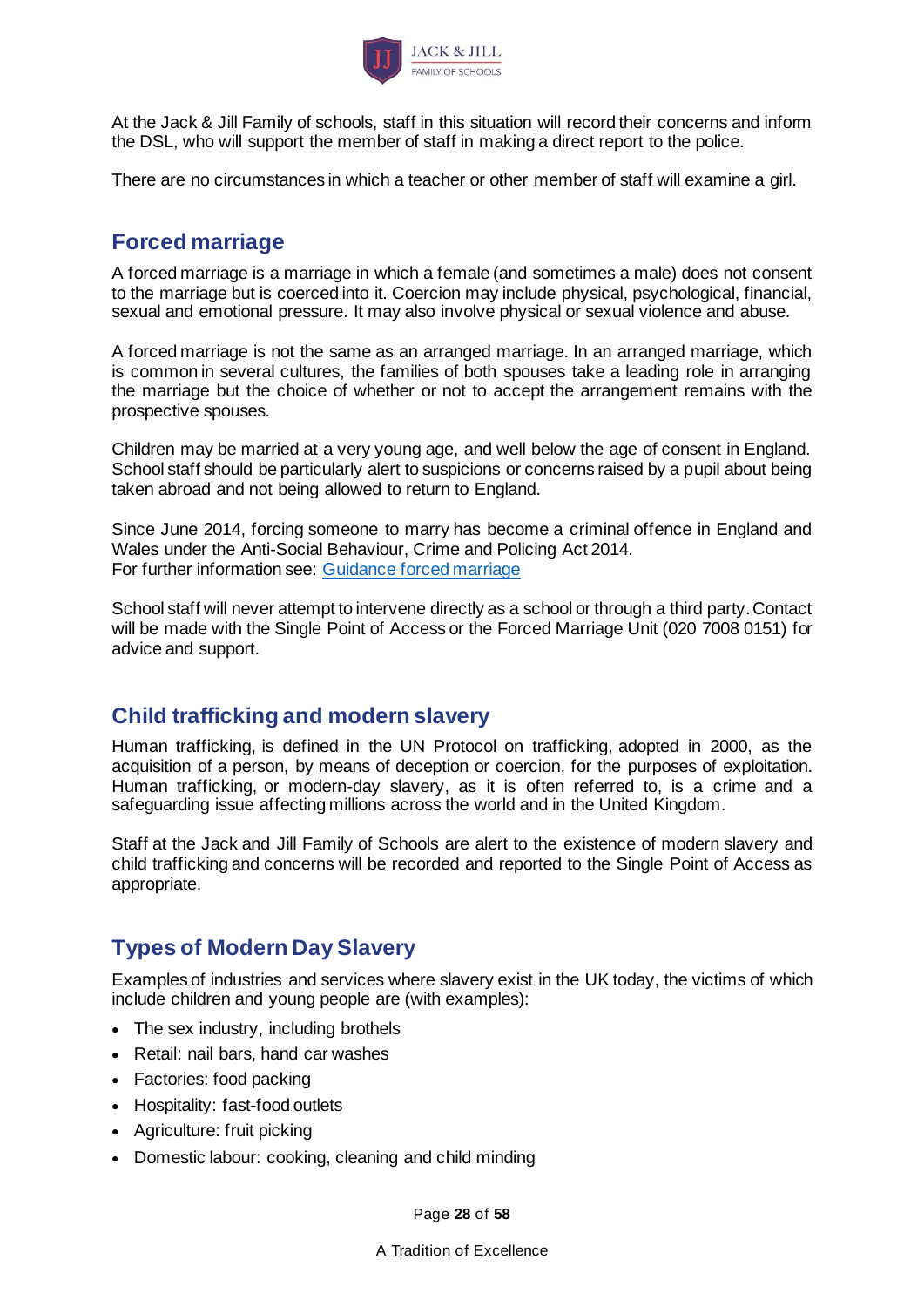

At the Jack & Jill Family of schools, staff in this situation will record their concerns and inform the DSL, who will support the member of staff in making a direct report to the police.

There are no circumstances in which a teacher or other member of staff will examine a girl.

### <span id="page-27-0"></span>**Forced marriage**

A forced marriage is a marriage in which a female (and sometimes a male) does not consent to the marriage but is coerced into it. Coercion may include physical, psychological, financial, sexual and emotional pressure. It may also involve physical or sexual violence and abuse.

A forced marriage is not the same as an arranged marriage. In an arranged marriage, which is common in several cultures, the families of both spouses take a leading role in arranging the marriage but the choice of whether or not to accept the arrangement remains with the prospective spouses.

Children may be married at a very young age, and well below the age of consent in England. School staff should be particularly alert to suspicions or concerns raised by a pupil about being taken abroad and not being allowed to return to England.

Since June 2014, forcing someone to marry has become a criminal offence in England and Wales under the Anti-Social Behaviour, Crime and Policing Act 2014. For further information see: [Guidance forced marriage](https://www.gov.uk/guidance/forced-marriage)

School staff will never attempt to intervene directly as a school or through a third party. Contact will be made with the Single Point of Access or the Forced Marriage Unit (020 7008 0151) for advice and support.

## <span id="page-27-1"></span>**Child trafficking and modern slavery**

Human trafficking, is defined in the UN Protocol on trafficking, adopted in 2000, as the acquisition of a person, by means of deception or coercion, for the purposes of exploitation. Human trafficking, or modern-day slavery, as it is often referred to, is a crime and a safeguarding issue affecting millions across the world and in the United Kingdom.

Staff at the Jack and Jill Family of Schools are alert to the existence of modern slavery and child trafficking and concerns will be recorded and reported to the Single Point of Access as appropriate.

## **Types of Modern Day Slavery**

Examples of industries and services where slavery exist in the UK today, the victims of which include children and young people are (with examples):

- The sex industry, including brothels
- Retail: nail bars, hand car washes
- Factories: food packing
- Hospitality: fast-food outlets
- Agriculture: fruit picking
- Domestic labour: cooking, cleaning and child minding

Page **28** of **58**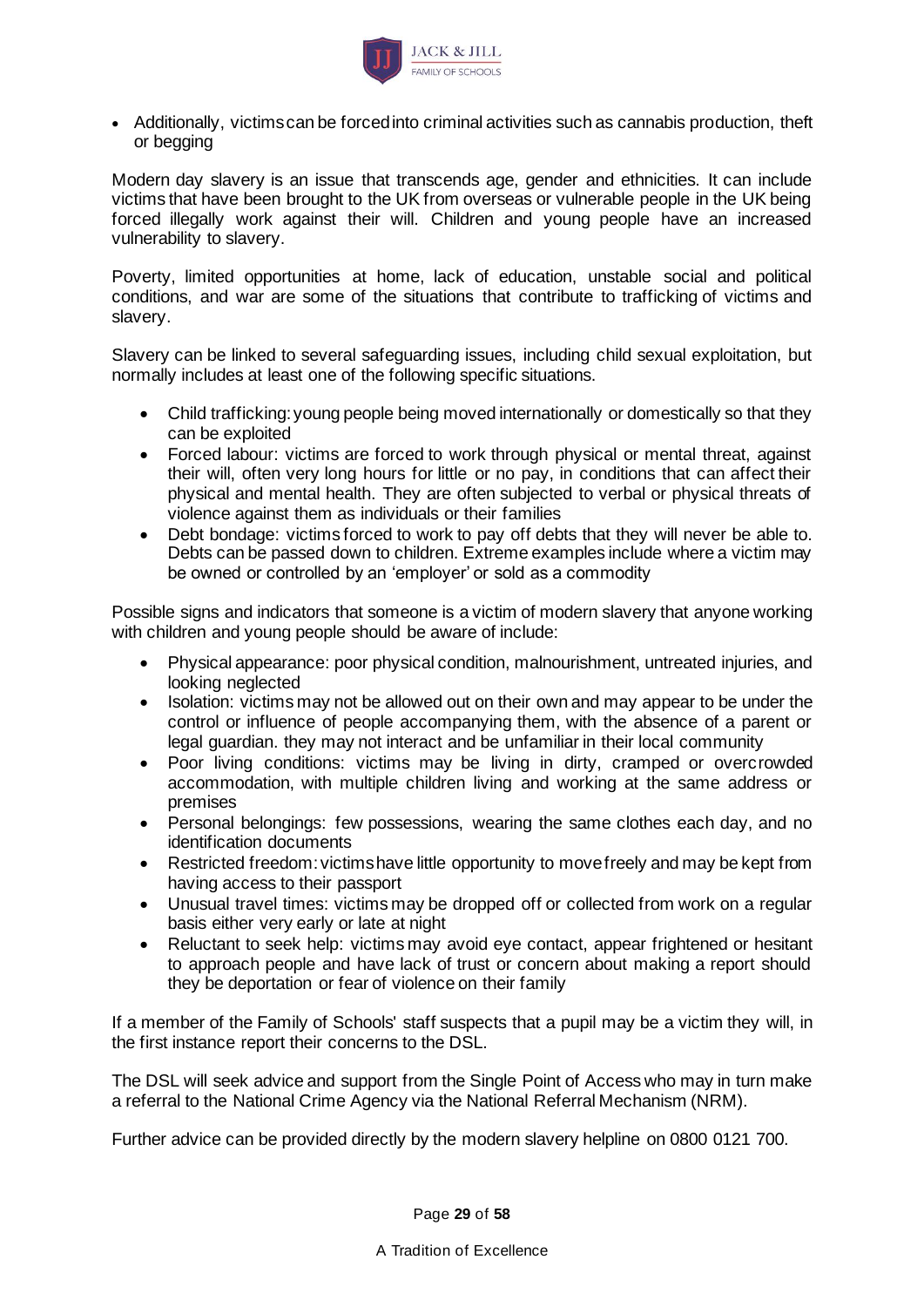

• Additionally, victims can be forced into criminal activities such as cannabis production, theft or begging

Modern day slavery is an issue that transcends age, gender and ethnicities. It can include victims that have been brought to the UK from overseas or vulnerable people in the UK being forced illegally work against their will. Children and young people have an increased vulnerability to slavery.

Poverty, limited opportunities at home, lack of education, unstable social and political conditions, and war are some of the situations that contribute to trafficking of victims and slavery.

Slavery can be linked to several safeguarding issues, including child sexual exploitation, but normally includes at least one of the following specific situations.

- Child trafficking: young people being moved internationally or domestically so that they can be exploited
- Forced labour: victims are forced to work through physical or mental threat, against their will, often very long hours for little or no pay, in conditions that can affect their physical and mental health. They are often subjected to verbal or physical threats of violence against them as individuals or their families
- Debt bondage: victims forced to work to pay off debts that they will never be able to. Debts can be passed down to children. Extreme examples include where a victim may be owned or controlled by an 'employer' or sold as a commodity

Possible signs and indicators that someone is a victim of modern slavery that anyone working with children and young people should be aware of include:

- Physical appearance: poor physical condition, malnourishment, untreated injuries, and looking neglected
- Isolation: victims may not be allowed out on their own and may appear to be under the control or influence of people accompanying them, with the absence of a parent or legal guardian. they may not interact and be unfamiliar in their local community
- Poor living conditions: victims may be living in dirty, cramped or overcrowded accommodation, with multiple children living and working at the same address or premises
- Personal belongings: few possessions, wearing the same clothes each day, and no identification documents
- Restricted freedom: victims have little opportunity to move freely and may be kept from having access to their passport
- Unusual travel times: victims may be dropped off or collected from work on a regular basis either very early or late at night
- Reluctant to seek help: victims may avoid eye contact, appear frightened or hesitant to approach people and have lack of trust or concern about making a report should they be deportation or fear of violence on their family

If a member of the Family of Schools' staff suspects that a pupil may be a victim they will, in the first instance report their concerns to the DSL.

The DSL will seek advice and support from the Single Point of Access who may in turn make a referral to the National Crime Agency via the National Referral Mechanism (NRM).

Further advice can be provided directly by the modern slavery helpline on 0800 0121 700.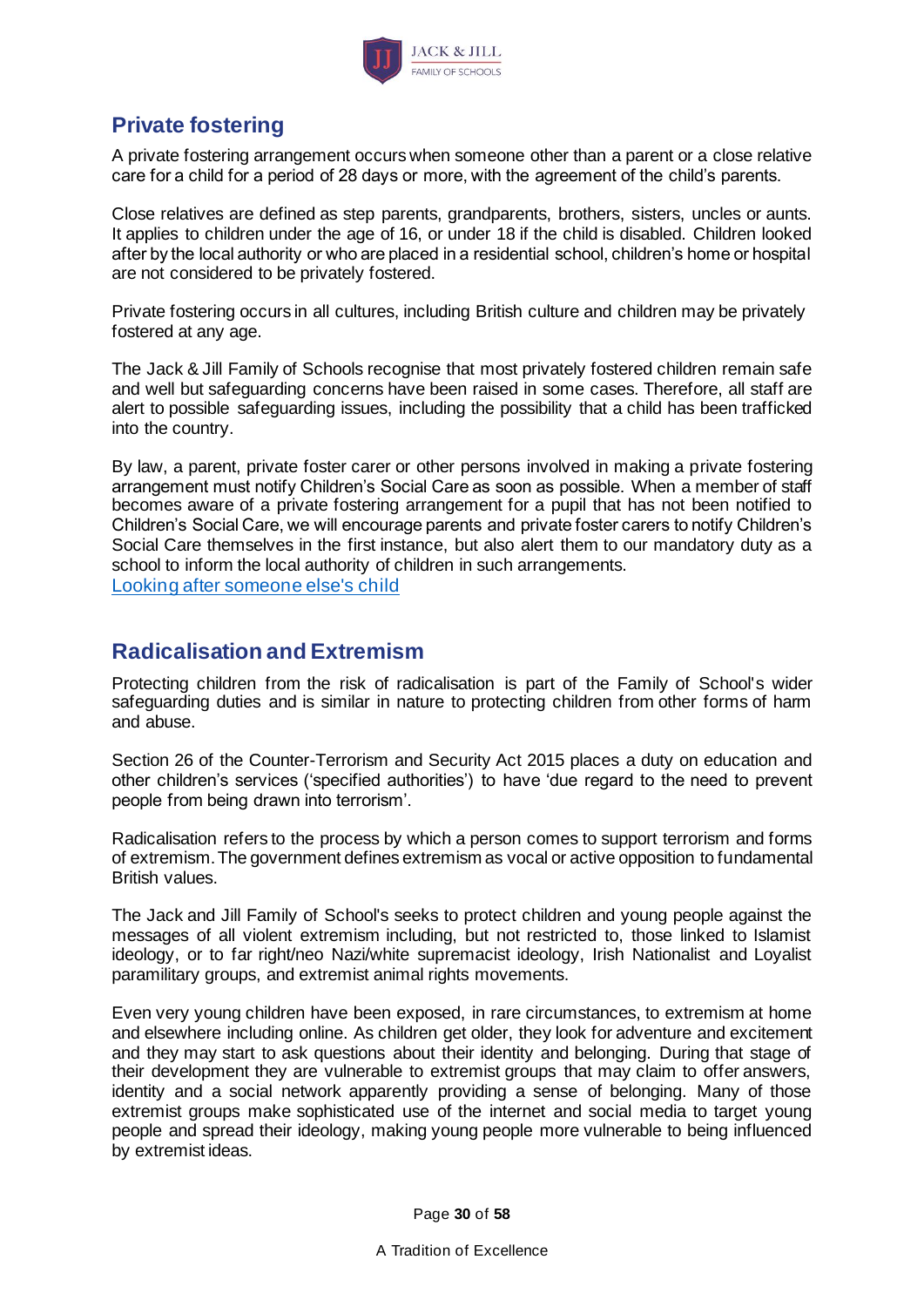

## <span id="page-29-0"></span>**Private fostering**

A private fostering arrangement occurs when someone other than a parent or a close relative care for a child for a period of 28 days or more, with the agreement of the child's parents.

Close relatives are defined as step parents, grandparents, brothers, sisters, uncles or aunts. It applies to children under the age of 16, or under 18 if the child is disabled. Children looked after by the local authority or who are placed in a residential school, children's home or hospital are not considered to be privately fostered.

Private fostering occurs in all cultures, including British culture and children may be privately fostered at any age.

The Jack & Jill Family of Schools recognise that most privately fostered children remain safe and well but safeguarding concerns have been raised in some cases. Therefore, all staff are alert to possible safeguarding issues, including the possibility that a child has been trafficked into the country.

By law, a parent, private foster carer or other persons involved in making a private fostering arrangement must notify Children's Social Care as soon as possible. When a member of staff becomes aware of a private fostering arrangement for a pupil that has not been notified to Children's Social Care, we will encourage parents and private foster carers to notify Children's Social Care themselves in the first instance, but also alert them to our mandatory duty as a school to inform the local authority of children in such arrangements. [Looking after someone else's child](https://www.gov.uk/looking-after-someone-elses-child)

### <span id="page-29-1"></span>**Radicalisation and Extremism**

Protecting children from the risk of radicalisation is part of the Family of School's wider safeguarding duties and is similar in nature to protecting children from other forms of harm and abuse.

Section 26 of the Counter-Terrorism and Security Act 2015 places a duty on education and other children's services ('specified authorities') to have 'due regard to the need to prevent people from being drawn into terrorism'.

Radicalisation refers to the process by which a person comes to support terrorism and forms of extremism. The government defines extremism as vocal or active opposition to fundamental British values.

The Jack and Jill Family of School's seeks to protect children and young people against the messages of all violent extremism including, but not restricted to, those linked to Islamist ideology, or to far right/neo Nazi/white supremacist ideology, Irish Nationalist and Loyalist paramilitary groups, and extremist animal rights movements.

Even very young children have been exposed, in rare circumstances, to extremism at home and elsewhere including online. As children get older, they look for adventure and excitement and they may start to ask questions about their identity and belonging. During that stage of their development they are vulnerable to extremist groups that may claim to offer answers, identity and a social network apparently providing a sense of belonging. Many of those extremist groups make sophisticated use of the internet and social media to target young people and spread their ideology, making young people more vulnerable to being influenced by extremist ideas.

Page **30** of **58**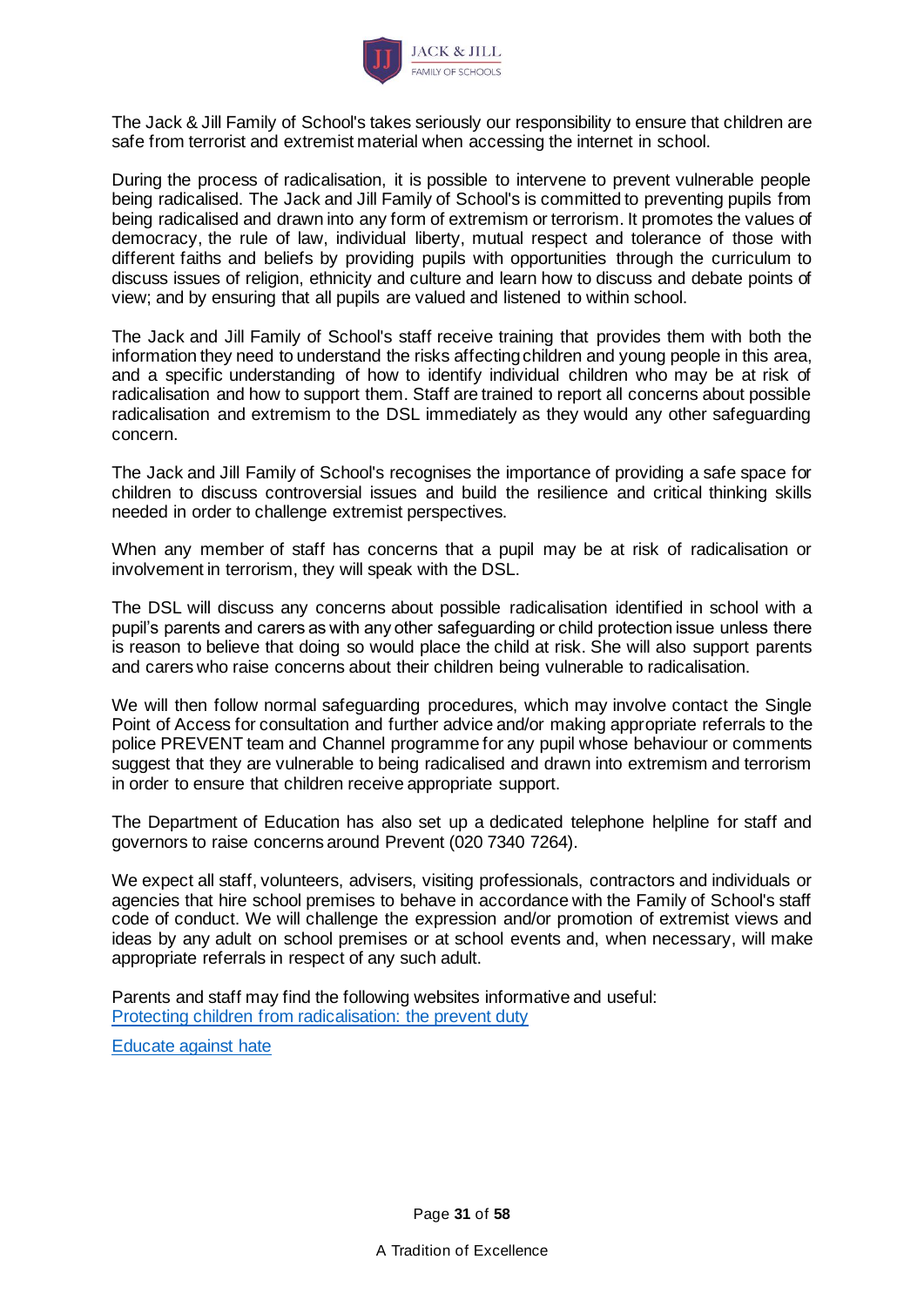

The Jack & Jill Family of School's takes seriously our responsibility to ensure that children are safe from terrorist and extremist material when accessing the internet in school.

During the process of radicalisation, it is possible to intervene to prevent vulnerable people being radicalised. The Jack and Jill Family of School's is committed to preventing pupils from being radicalised and drawn into any form of extremism or terrorism. It promotes the values of democracy, the rule of law, individual liberty, mutual respect and tolerance of those with different faiths and beliefs by providing pupils with opportunities through the curriculum to discuss issues of religion, ethnicity and culture and learn how to discuss and debate points of view; and by ensuring that all pupils are valued and listened to within school.

The Jack and Jill Family of School's staff receive training that provides them with both the information they need to understand the risks affecting children and young people in this area, and a specific understanding of how to identify individual children who may be at risk of radicalisation and how to support them. Staff are trained to report all concerns about possible radicalisation and extremism to the DSL immediately as they would any other safeguarding concern.

The Jack and Jill Family of School's recognises the importance of providing a safe space for children to discuss controversial issues and build the resilience and critical thinking skills needed in order to challenge extremist perspectives.

When any member of staff has concerns that a pupil may be at risk of radicalisation or involvement in terrorism, they will speak with the DSL.

The DSL will discuss any concerns about possible radicalisation identified in school with a pupil's parents and carers as with any other safeguarding or child protection issue unless there is reason to believe that doing so would place the child at risk. She will also support parents and carers who raise concerns about their children being vulnerable to radicalisation.

We will then follow normal safeguarding procedures, which may involve contact the Single Point of Access for consultation and further advice and/or making appropriate referrals to the police PREVENT team and Channel programme for any pupil whose behaviour or comments suggest that they are vulnerable to being radicalised and drawn into extremism and terrorism in order to ensure that children receive appropriate support.

The Department of Education has also set up a dedicated telephone helpline for staff and governors to raise concerns around Prevent (020 7340 7264).

We expect all staff, volunteers, advisers, visiting professionals, contractors and individuals or agencies that hire school premises to behave in accordance with the Family of School's staff code of conduct. We will challenge the expression and/or promotion of extremist views and ideas by any adult on school premises or at school events and, when necessary, will make appropriate referrals in respect of any such adult.

Parents and staff may find the following websites informative and useful: [Protecting children from radicalisation: the prevent duty](https://www.gov.uk/government/publications/protecting-children-from-radicalisation-the-prevent-duty)

[Educate against hate](http://educateagainsthate.com/)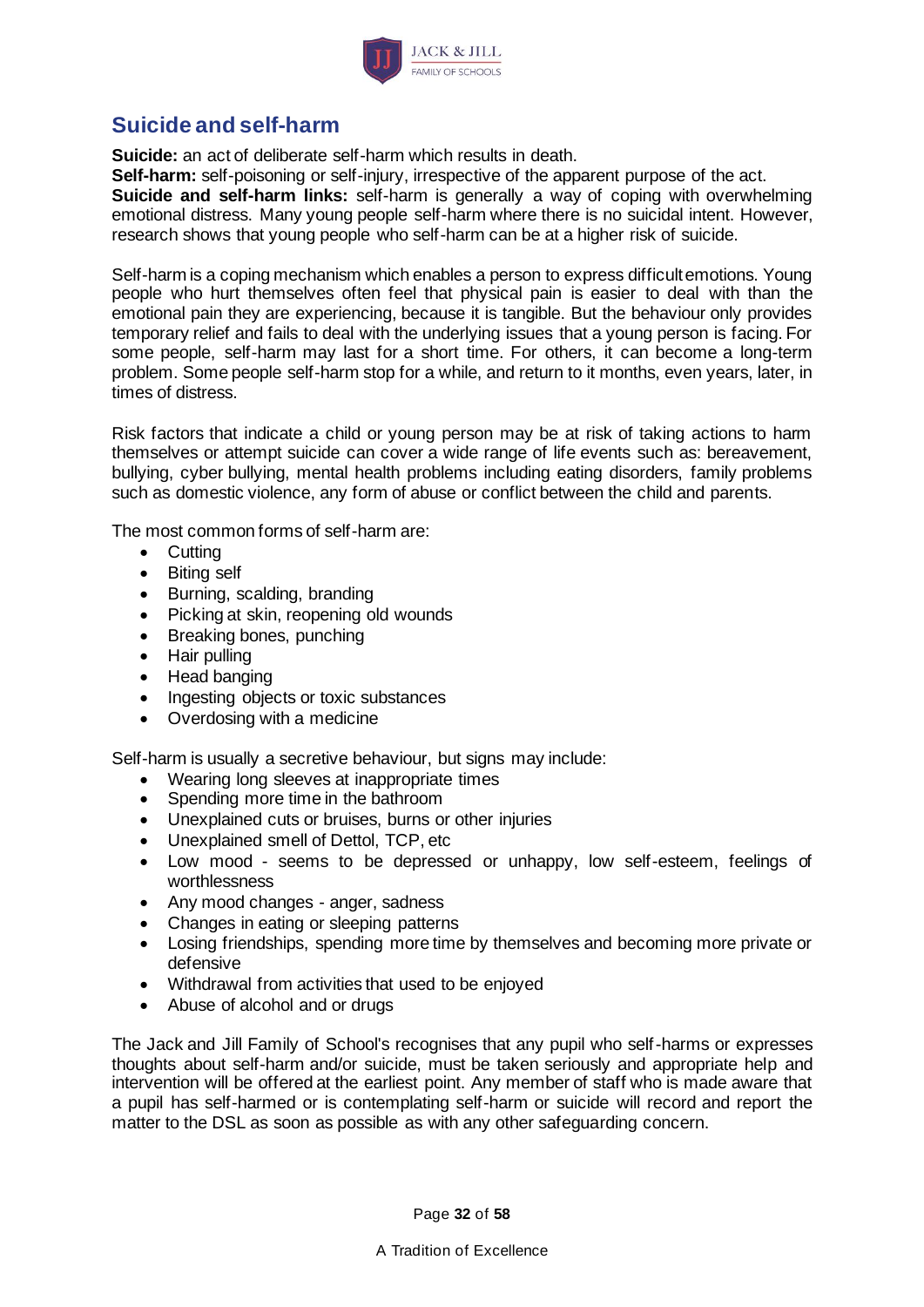

## <span id="page-31-0"></span>**Suicide and self-harm**

**Suicide:** an act of deliberate self-harm which results in death.

**Self-harm:** self-poisoning or self-injury, irrespective of the apparent purpose of the act. **Suicide and self-harm links:** self-harm is generally a way of coping with overwhelming emotional distress. Many young people self-harm where there is no suicidal intent. However, research shows that young people who self-harm can be at a higher risk of suicide.

Self-harm is a coping mechanism which enables a person to express difficult emotions. Young people who hurt themselves often feel that physical pain is easier to deal with than the emotional pain they are experiencing, because it is tangible. But the behaviour only provides temporary relief and fails to deal with the underlying issues that a young person is facing. For some people, self-harm may last for a short time. For others, it can become a long-term problem. Some people self-harm stop for a while, and return to it months, even years, later, in times of distress.

Risk factors that indicate a child or young person may be at risk of taking actions to harm themselves or attempt suicide can cover a wide range of life events such as: bereavement, bullying, cyber bullying, mental health problems including eating disorders, family problems such as domestic violence, any form of abuse or conflict between the child and parents.

The most common forms of self-harm are:

- Cutting
- Biting self
- Burning, scalding, branding
- Picking at skin, reopening old wounds
- Breaking bones, punching
- Hair pulling
- Head banging
- Ingesting objects or toxic substances
- Overdosing with a medicine

Self-harm is usually a secretive behaviour, but signs may include:

- Wearing long sleeves at inappropriate times
- Spending more time in the bathroom
- Unexplained cuts or bruises, burns or other injuries
- Unexplained smell of Dettol, TCP, etc
- Low mood seems to be depressed or unhappy, low self-esteem, feelings of worthlessness
- Any mood changes anger, sadness
- Changes in eating or sleeping patterns
- Losing friendships, spending more time by themselves and becoming more private or defensive
- Withdrawal from activities that used to be enjoyed
- Abuse of alcohol and or drugs

The Jack and Jill Family of School's recognises that any pupil who self-harms or expresses thoughts about self-harm and/or suicide, must be taken seriously and appropriate help and intervention will be offered at the earliest point. Any member of staff who is made aware that a pupil has self-harmed or is contemplating self-harm or suicide will record and report the matter to the DSL as soon as possible as with any other safeguarding concern.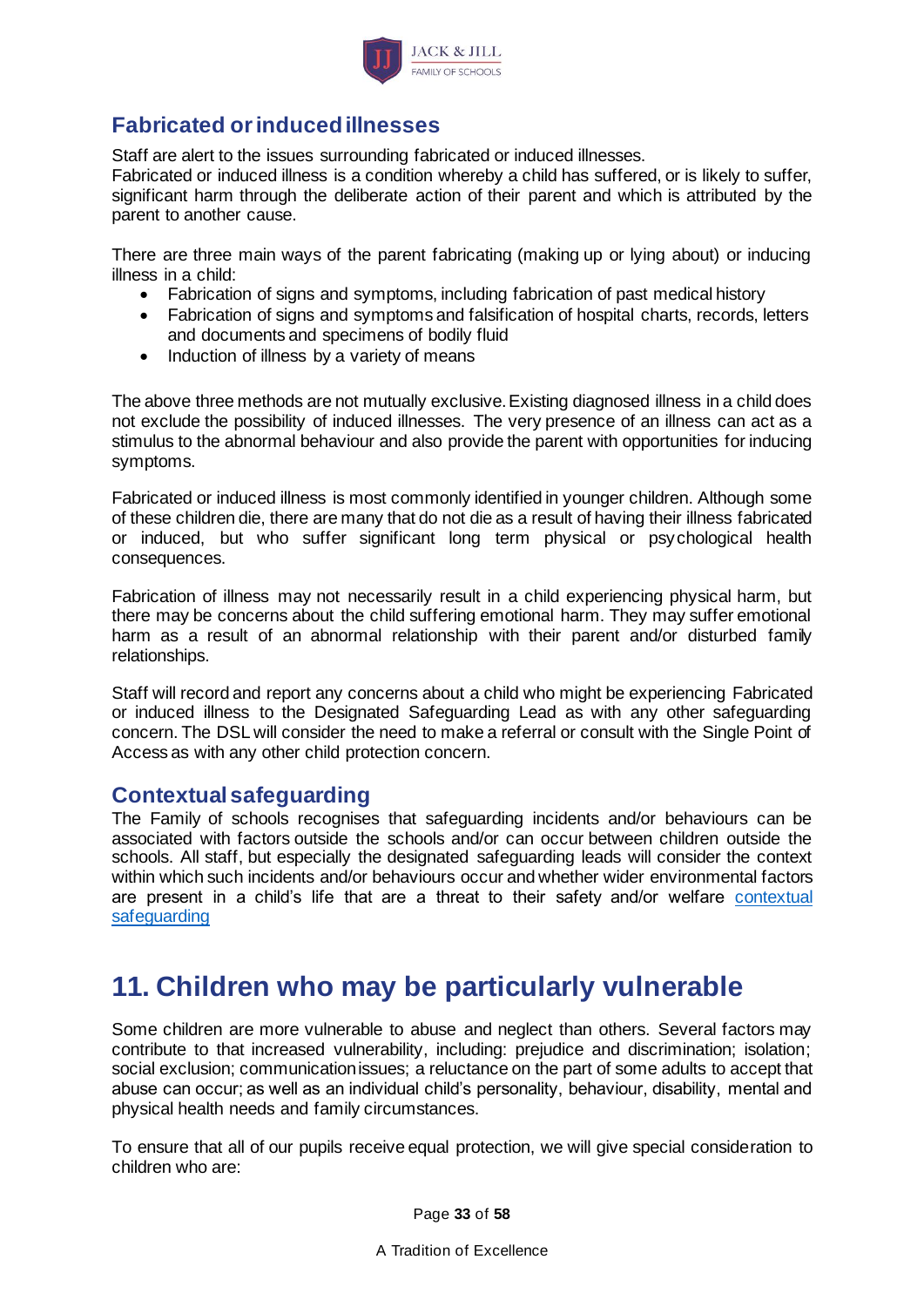

## <span id="page-32-0"></span>**Fabricated or induced illnesses**

Staff are alert to the issues surrounding fabricated or induced illnesses.

Fabricated or induced illness is a condition whereby a child has suffered, or is likely to suffer, significant harm through the deliberate action of their parent and which is attributed by the parent to another cause.

There are three main ways of the parent fabricating (making up or lying about) or inducing illness in a child:

- Fabrication of signs and symptoms, including fabrication of past medical history
- Fabrication of signs and symptoms and falsification of hospital charts, records, letters and documents and specimens of bodily fluid
- Induction of illness by a variety of means

The above three methods are not mutually exclusive. Existing diagnosed illness in a child does not exclude the possibility of induced illnesses. The very presence of an illness can act as a stimulus to the abnormal behaviour and also provide the parent with opportunities for inducing symptoms.

Fabricated or induced illness is most commonly identified in younger children. Although some of these children die, there are many that do not die as a result of having their illness fabricated or induced, but who suffer significant long term physical or psychological health consequences.

Fabrication of illness may not necessarily result in a child experiencing physical harm, but there may be concerns about the child suffering emotional harm. They may suffer emotional harm as a result of an abnormal relationship with their parent and/or disturbed family relationships.

Staff will record and report any concerns about a child who might be experiencing Fabricated or induced illness to the Designated Safeguarding Lead as with any other safeguarding concern. The DSL will consider the need to make a referral or consult with the Single Point of Access as with any other child protection concern.

### **Contextual safeguarding**

The Family of schools recognises that safeguarding incidents and/or behaviours can be associated with factors outside the schools and/or can occur between children outside the schools. All staff, but especially the designated safeguarding leads will consider the context within which such incidents and/or behaviours occur and whether wider environmental factors are present in a child's life that are a threat to their safety and/or welfare [contextual](https://contextualsafeguarding.org.uk/about/what-is-contextual-safeguarding) [safeguarding](https://contextualsafeguarding.org.uk/about/what-is-contextual-safeguarding)

# <span id="page-32-1"></span>**11. Children who may be particularly vulnerable**

Some children are more vulnerable to abuse and neglect than others. Several factors may contribute to that increased vulnerability, including: prejudice and discrimination; isolation; social exclusion; communication issues; a reluctance on the part of some adults to accept that abuse can occur; as well as an individual child's personality, behaviour, disability, mental and physical health needs and family circumstances.

To ensure that all of our pupils receive equal protection, we will give special consideration to children who are:

Page **33** of **58**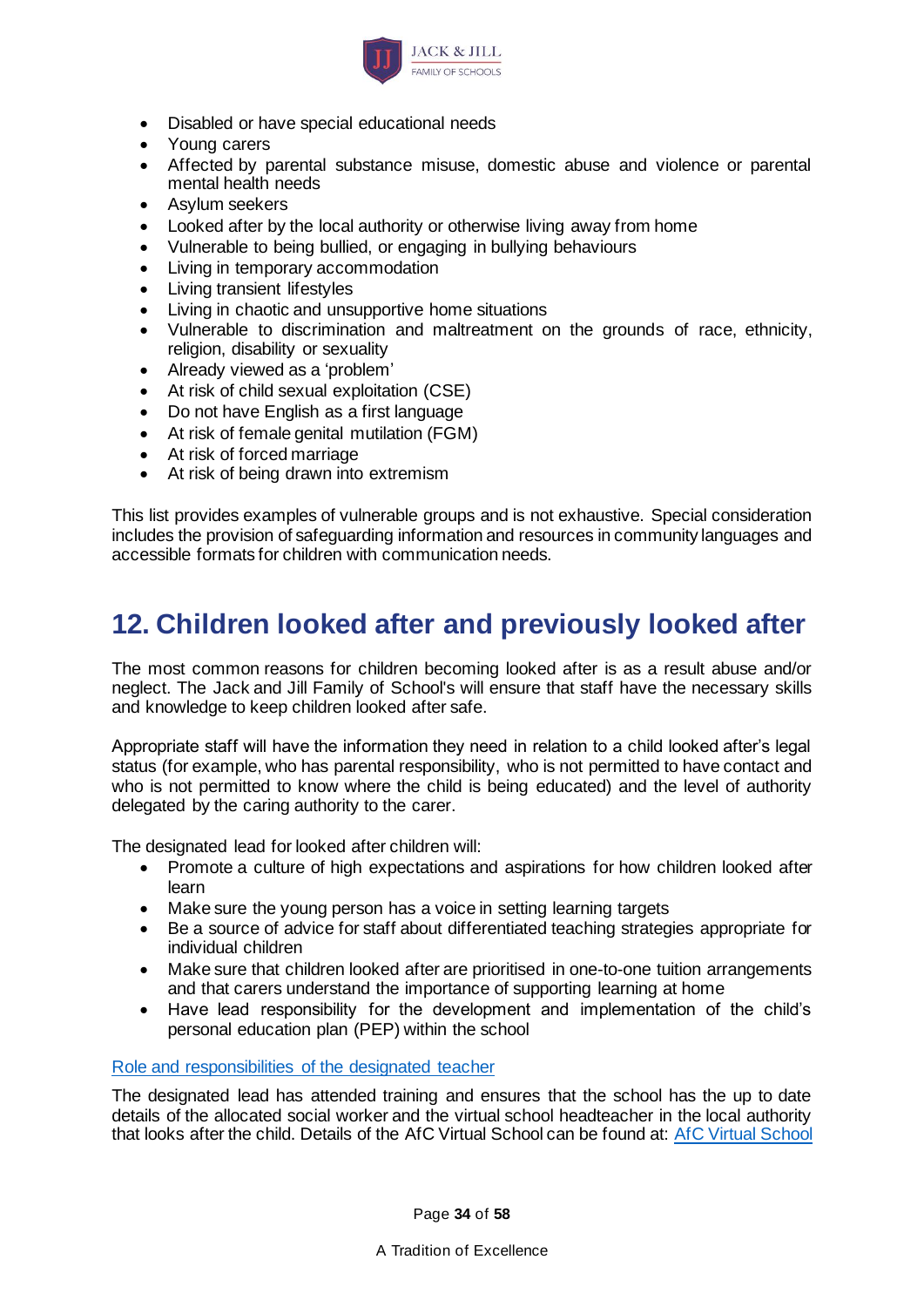

- Disabled or have special educational needs
- Young carers
- Affected by parental substance misuse, domestic abuse and violence or parental mental health needs
- Asylum seekers
- Looked after by the local authority or otherwise living away from home
- Vulnerable to being bullied, or engaging in bullying behaviours
- Living in temporary accommodation
- Living transient lifestyles
- Living in chaotic and unsupportive home situations
- Vulnerable to discrimination and maltreatment on the grounds of race, ethnicity, religion, disability or sexuality
- Already viewed as a 'problem'
- At risk of child sexual exploitation (CSE)
- Do not have English as a first language
- At risk of female genital mutilation (FGM)
- At risk of forced marriage
- At risk of being drawn into extremism

This list provides examples of vulnerable groups and is not exhaustive. Special consideration includes the provision of safeguarding information and resources in community languages and accessible formats for children with communication needs.

## <span id="page-33-0"></span>**12. Children looked after and previously looked after**

The most common reasons for children becoming looked after is as a result abuse and/or neglect. The Jack and Jill Family of School's will ensure that staff have the necessary skills and knowledge to keep children looked after safe.

Appropriate staff will have the information they need in relation to a child looked after's legal status (for example, who has parental responsibility, who is not permitted to have contact and who is not permitted to know where the child is being educated) and the level of authority delegated by the caring authority to the carer.

The designated lead for looked after children will:

- Promote a culture of high expectations and aspirations for how children looked after learn
- Make sure the young person has a voice in setting learning targets
- Be a source of advice for staff about differentiated teaching strategies appropriate for individual children
- Make sure that children looked after are prioritised in one-to-one tuition arrangements and that carers understand the importance of supporting learning at home
- Have lead responsibility for the development and implementation of the child's personal education plan (PEP) within the school

#### [Role and responsibilities of the designated teacher](https://www.gov.uk/government/uploads/system/uploads/attachment_data/file/269764/role_and_responsibilities_of_the_designated_teacher_for_looked_after_children.pdf)

The designated lead has attended training and ensures that the school has the up to date details of the allocated social worker and the virtual school headteacher in the local authority that looks after the child. Details of the AfC Virtual School can be found at: [AfC Virtual School](http://www.afcvirtualschool.org.uk/)

Page **34** of **58**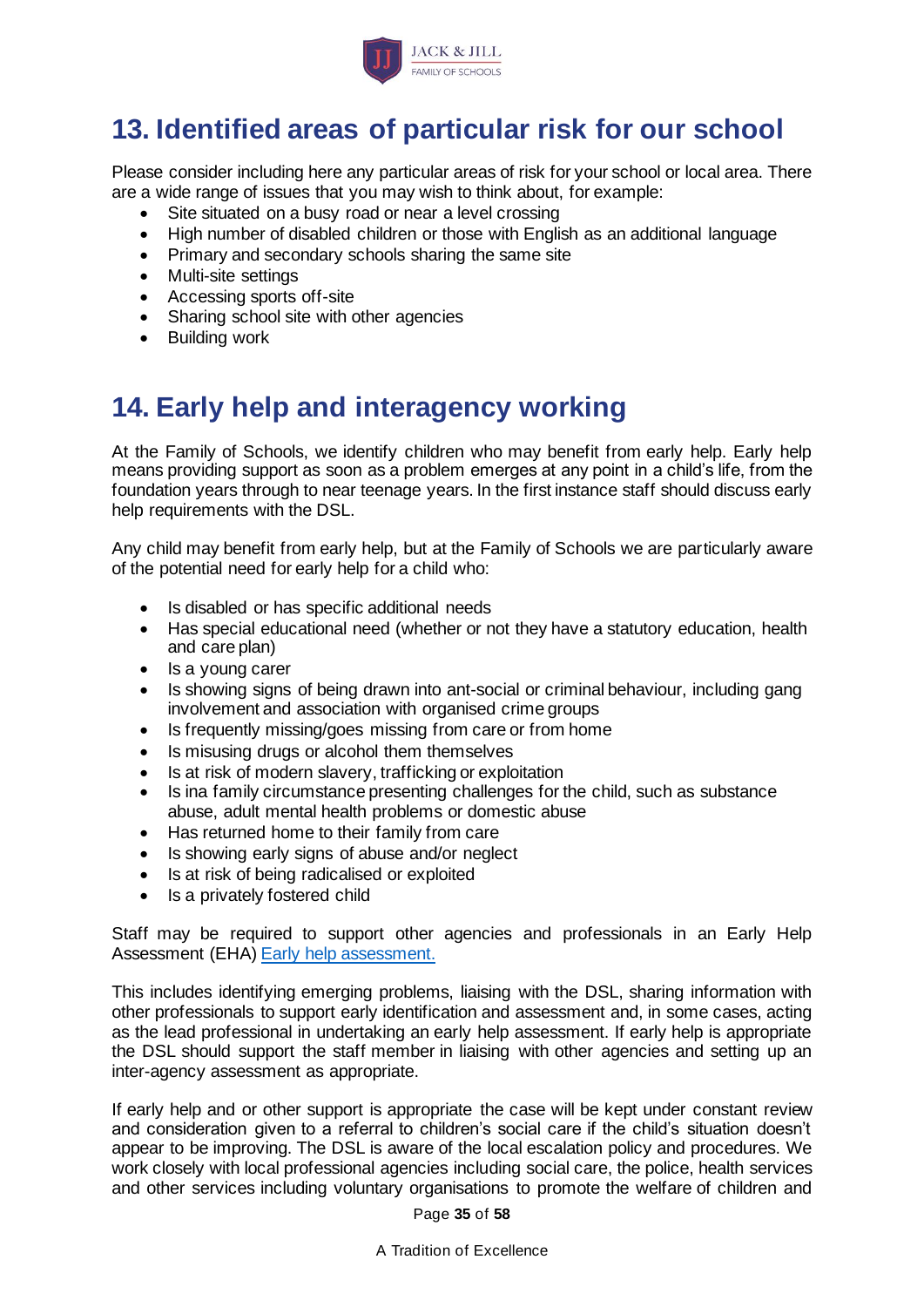

# <span id="page-34-0"></span>**13. Identified areas of particular risk for our school**

Please consider including here any particular areas of risk for your school or local area. There are a wide range of issues that you may wish to think about, for example:

- Site situated on a busy road or near a level crossing
- High number of disabled children or those with English as an additional language
- Primary and secondary schools sharing the same site
- Multi-site settings
- Accessing sports off-site
- Sharing school site with other agencies
- Building work

# <span id="page-34-1"></span>**14. Early help and interagency working**

At the Family of Schools, we identify children who may benefit from early help. Early help means providing support as soon as a problem emerges at any point in a child's life, from the foundation years through to near teenage years. In the first instance staff should discuss early help requirements with the DSL.

Any child may benefit from early help, but at the Family of Schools we are particularly aware of the potential need for early help for a child who:

- Is disabled or has specific additional needs
- Has special educational need (whether or not they have a statutory education, health and care plan)
- Is a young carer
- Is showing signs of being drawn into ant-social or criminal behaviour, including gang involvement and association with organised crime groups
- Is frequently missing/goes missing from care or from home
- Is misusing drugs or alcohol them themselves
- Is at risk of modern slavery, trafficking or exploitation
- Is ina family circumstance presenting challenges for the child, such as substance abuse, adult mental health problems or domestic abuse
- Has returned home to their family from care
- Is showing early signs of abuse and/or neglect
- Is at risk of being radicalised or exploited
- Is a privately fostered child

Staff may be required to support other agencies and professionals in an Early Help Assessment (EHA) [Early help assessment.](https://www.achievingforchildren.org.uk/early-help-assessment/)

This includes identifying emerging problems, liaising with the DSL, sharing information with other professionals to support early identification and assessment and, in some cases, acting as the lead professional in undertaking an early help assessment. If early help is appropriate the DSL should support the staff member in liaising with other agencies and setting up an inter-agency assessment as appropriate.

If early help and or other support is appropriate the case will be kept under constant review and consideration given to a referral to children's social care if the child's situation doesn't appear to be improving. The DSL is aware of the local escalation policy and procedures. We work closely with local professional agencies including social care, the police, health services and other services including voluntary organisations to promote the welfare of children and

Page **35** of **58**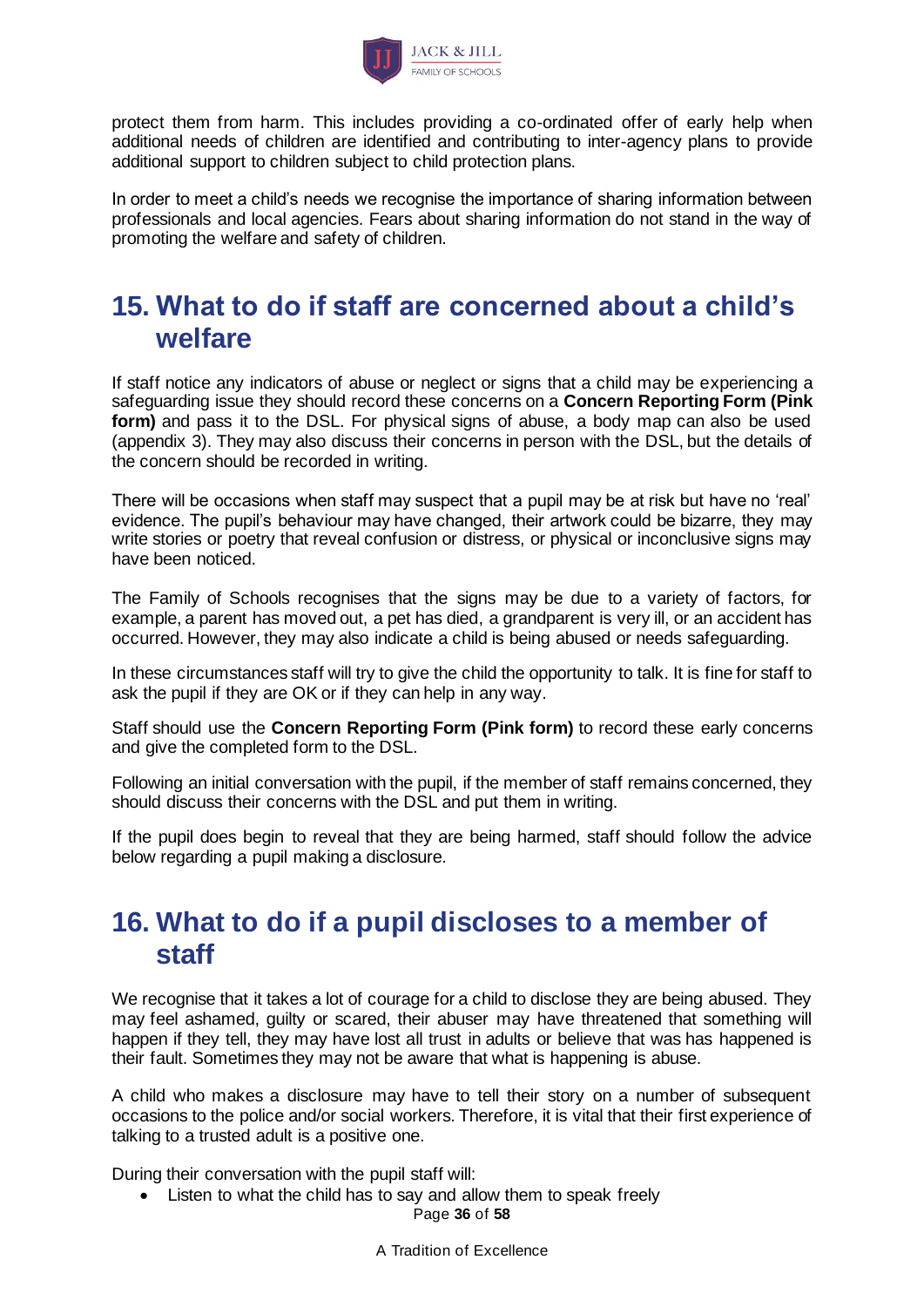

protect them from harm. This includes providing a co-ordinated offer of early help when additional needs of children are identified and contributing to inter-agency plans to provide additional support to children subject to child protection plans.

In order to meet a child's needs we recognise the importance of sharing information between professionals and local agencies. Fears about sharing information do not stand in the way of promoting the welfare and safety of children.

## <span id="page-35-0"></span>**15. What to do if staff are concerned about a child's welfare**

If staff notice any indicators of abuse or neglect or signs that a child may be experiencing a safeguarding issue they should record these concerns on a **Concern Reporting Form (Pink form)** and pass it to the DSL. For physical signs of abuse, a body map can also be used (appendix 3). They may also discuss their concerns in person with the DSL, but the details of the concern should be recorded in writing.

There will be occasions when staff may suspect that a pupil may be at risk but have no 'real' evidence. The pupil's behaviour may have changed, their artwork could be bizarre, they may write stories or poetry that reveal confusion or distress, or physical or inconclusive signs may have been noticed.

The Family of Schools recognises that the signs may be due to a variety of factors, for example, a parent has moved out, a pet has died, a grandparent is very ill, or an accident has occurred. However, they may also indicate a child is being abused or needs safeguarding.

In these circumstances staff will try to give the child the opportunity to talk. It is fine for staff to ask the pupil if they are OK or if they can help in any way.

Staff should use the **Concern Reporting Form (Pink form)** to record these early concerns and give the completed form to the DSL.

Following an initial conversation with the pupil, if the member of staff remains concerned, they should discuss their concerns with the DSL and put them in writing.

If the pupil does begin to reveal that they are being harmed, staff should follow the advice below regarding a pupil making a disclosure.

## <span id="page-35-1"></span>**16. What to do if a pupil discloses to a member of staff**

We recognise that it takes a lot of courage for a child to disclose they are being abused. They may feel ashamed, guilty or scared, their abuser may have threatened that something will happen if they tell, they may have lost all trust in adults or believe that was has happened is their fault. Sometimes they may not be aware that what is happening is abuse.

A child who makes a disclosure may have to tell their story on a number of subsequent occasions to the police and/or social workers. Therefore, it is vital that their first experience of talking to a trusted adult is a positive one.

During their conversation with the pupil staff will:

Page **36** of **58** • Listen to what the child has to say and allow them to speak freely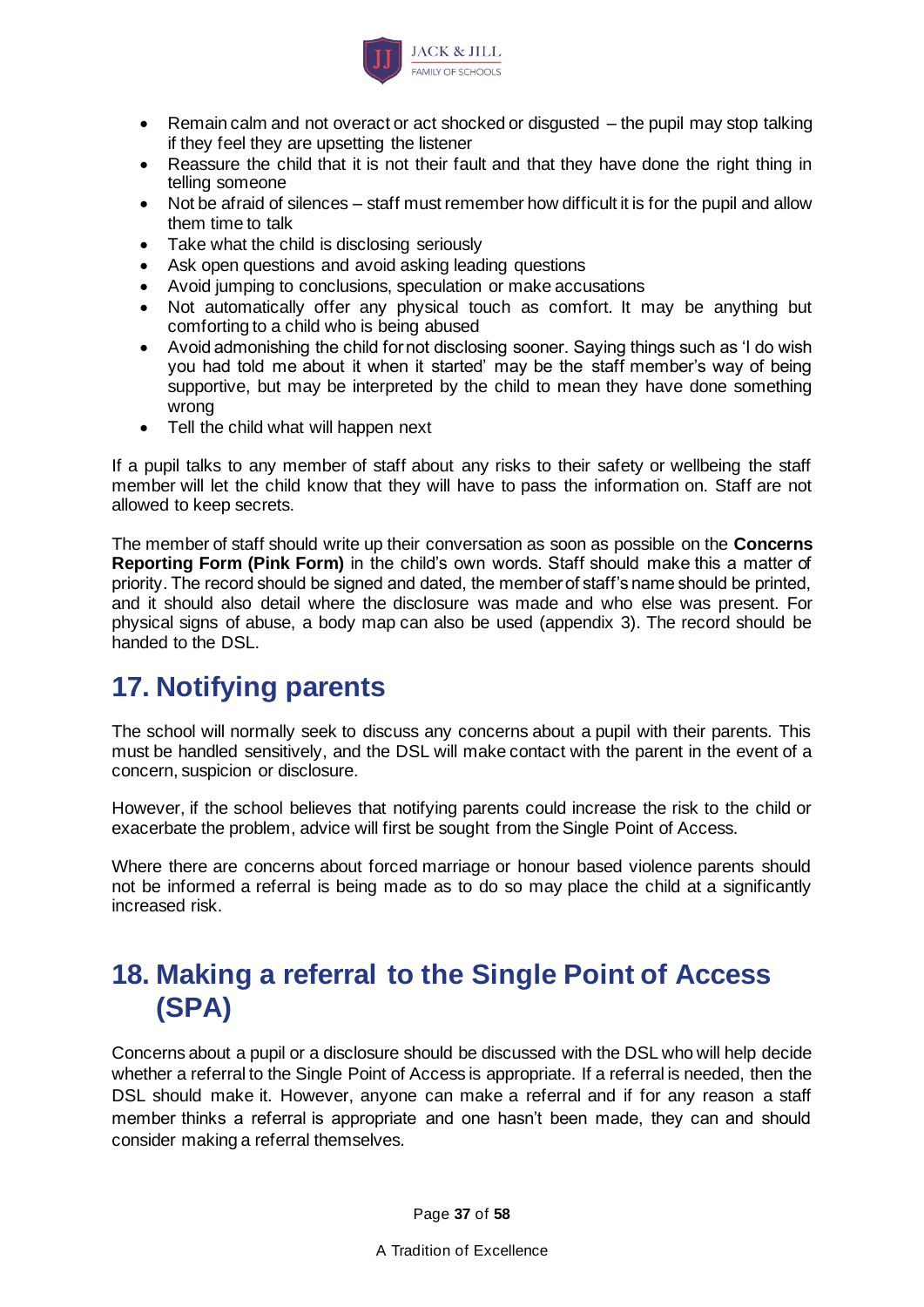

- Remain calm and not overact or act shocked or disgusted the pupil may stop talking if they feel they are upsetting the listener
- Reassure the child that it is not their fault and that they have done the right thing in telling someone
- Not be afraid of silences staff must remember how difficult it is for the pupil and allow them time to talk
- Take what the child is disclosing seriously
- Ask open questions and avoid asking leading questions
- Avoid jumping to conclusions, speculation or make accusations
- Not automatically offer any physical touch as comfort. It may be anything but comforting to a child who is being abused
- Avoid admonishing the child for not disclosing sooner. Saying things such as 'I do wish you had told me about it when it started' may be the staff member's way of being supportive, but may be interpreted by the child to mean they have done something wrong
- Tell the child what will happen next

If a pupil talks to any member of staff about any risks to their safety or wellbeing the staff member will let the child know that they will have to pass the information on. Staff are not allowed to keep secrets.

The member of staff should write up their conversation as soon as possible on the **Concerns Reporting Form (Pink Form)** in the child's own words. Staff should make this a matter of priority. The record should be signed and dated, the member of staff's name should be printed, and it should also detail where the disclosure was made and who else was present. For physical signs of abuse, a body map can also be used (appendix 3). The record should be handed to the DSL.

## <span id="page-36-0"></span>**17. Notifying parents**

The school will normally seek to discuss any concerns about a pupil with their parents. This must be handled sensitively, and the DSL will make contact with the parent in the event of a concern, suspicion or disclosure.

However, if the school believes that notifying parents could increase the risk to the child or exacerbate the problem, advice will first be sought from the Single Point of Access.

Where there are concerns about forced marriage or honour based violence parents should not be informed a referral is being made as to do so may place the child at a significantly increased risk.

# <span id="page-36-1"></span>**18. Making a referral to the Single Point of Access (SPA)**

Concerns about a pupil or a disclosure should be discussed with the DSL who will help decide whether a referral to the Single Point of Access is appropriate. If a referral is needed, then the DSL should make it. However, anyone can make a referral and if for any reason a staff member thinks a referral is appropriate and one hasn't been made, they can and should consider making a referral themselves.

Page **37** of **58**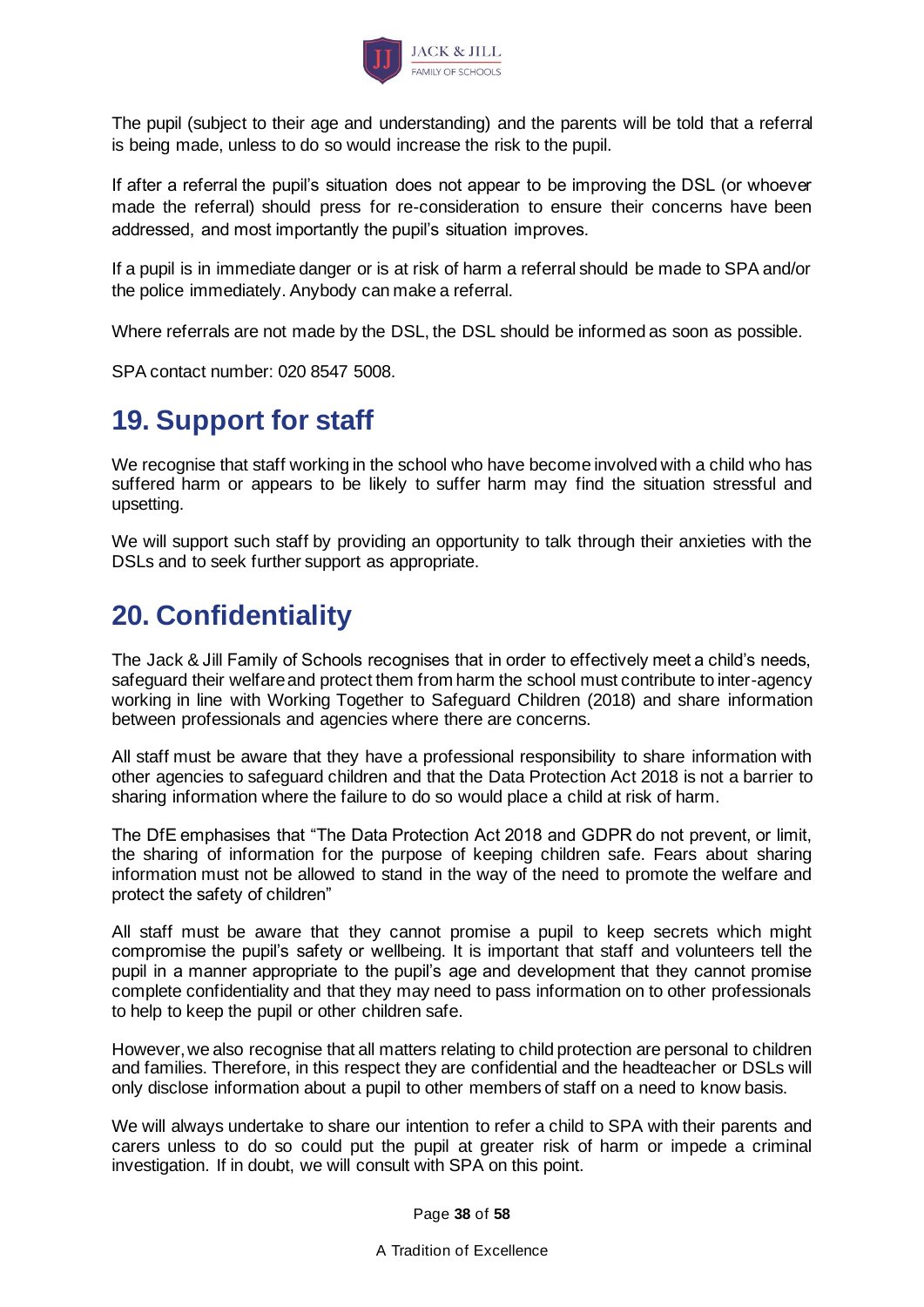

The pupil (subject to their age and understanding) and the parents will be told that a referral is being made, unless to do so would increase the risk to the pupil.

If after a referral the pupil's situation does not appear to be improving the DSL (or whoever made the referral) should press for re-consideration to ensure their concerns have been addressed, and most importantly the pupil's situation improves.

If a pupil is in immediate danger or is at risk of harm a referral should be made to SPA and/or the police immediately. Anybody can make a referral.

Where referrals are not made by the DSL, the DSL should be informed as soon as possible.

SPA contact number: 020 8547 5008.

## <span id="page-37-0"></span>**19. Support for staff**

We recognise that staff working in the school who have become involved with a child who has suffered harm or appears to be likely to suffer harm may find the situation stressful and upsetting.

We will support such staff by providing an opportunity to talk through their anxieties with the DSLs and to seek further support as appropriate.

## <span id="page-37-1"></span>**20. Confidentiality**

The Jack & Jill Family of Schools recognises that in order to effectively meet a child's needs, safeguard their welfare and protect them from harm the school must contribute to inter-agency working in line with Working Together to Safeguard Children (2018) and share information between professionals and agencies where there are concerns.

All staff must be aware that they have a professional responsibility to share information with other agencies to safeguard children and that the Data Protection Act 2018 is not a barrier to sharing information where the failure to do so would place a child at risk of harm.

The DfE emphasises that "The Data Protection Act 2018 and GDPR do not prevent, or limit, the sharing of information for the purpose of keeping children safe. Fears about sharing information must not be allowed to stand in the way of the need to promote the welfare and protect the safety of children"

All staff must be aware that they cannot promise a pupil to keep secrets which might compromise the pupil's safety or wellbeing. It is important that staff and volunteers tell the pupil in a manner appropriate to the pupil's age and development that they cannot promise complete confidentiality and that they may need to pass information on to other professionals to help to keep the pupil or other children safe.

However, we also recognise that all matters relating to child protection are personal to children and families. Therefore, in this respect they are confidential and the headteacher or DSLs will only disclose information about a pupil to other members of staff on a need to know basis.

We will always undertake to share our intention to refer a child to SPA with their parents and carers unless to do so could put the pupil at greater risk of harm or impede a criminal investigation. If in doubt, we will consult with SPA on this point.

Page **38** of **58**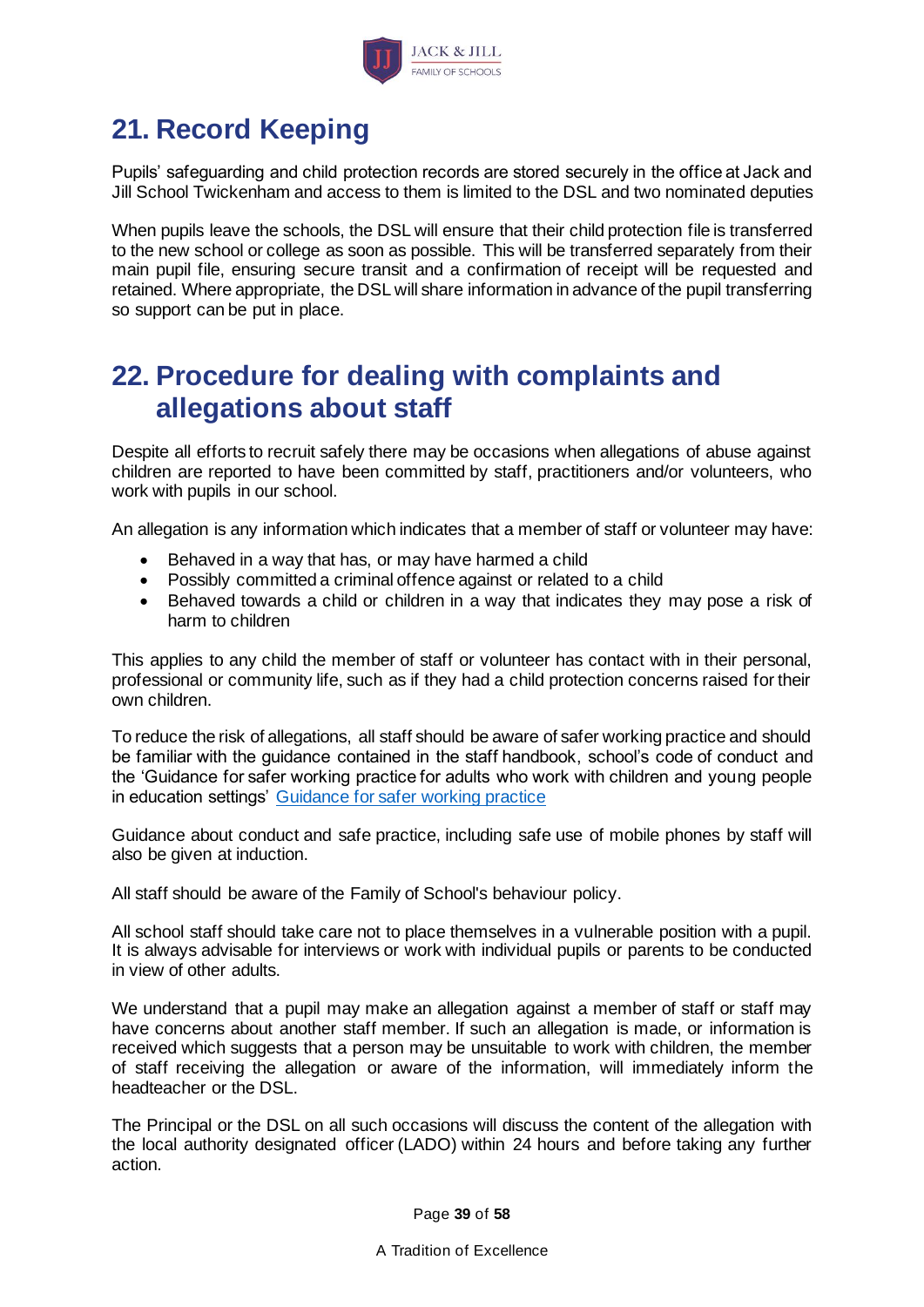

# <span id="page-38-0"></span>**21. Record Keeping**

Pupils' safeguarding and child protection records are stored securely in the office at Jack and Jill School Twickenham and access to them is limited to the DSL and two nominated deputies

When pupils leave the schools, the DSL will ensure that their child protection file is transferred to the new school or college as soon as possible. This will be transferred separately from their main pupil file, ensuring secure transit and a confirmation of receipt will be requested and retained. Where appropriate, the DSL will share information in advance of the pupil transferring so support can be put in place.

## <span id="page-38-1"></span>**22. Procedure for dealing with complaints and allegations about staff**

Despite all efforts to recruit safely there may be occasions when allegations of abuse against children are reported to have been committed by staff, practitioners and/or volunteers, who work with pupils in our school.

An allegation is any information which indicates that a member of staff or volunteer may have:

- Behaved in a way that has, or may have harmed a child
- Possibly committed a criminal offence against or related to a child
- Behaved towards a child or children in a way that indicates they may pose a risk of harm to children

This applies to any child the member of staff or volunteer has contact with in their personal, professional or community life, such as if they had a child protection concerns raised for their own children.

To reduce the risk of allegations, all staff should be aware of safer working practice and should be familiar with the guidance contained in the staff handbook, school's code of conduct and the 'Guidance for safer working practice for adults who work with children and young people in education settings' [Guidance for safer working practice](https://www.safeguardinginschools.co.uk/wp-content/uploads/2015/10/Guidance-for-Safer-Working-Practices-2015-final1.pdf)

Guidance about conduct and safe practice, including safe use of mobile phones by staff will also be given at induction.

All staff should be aware of the Family of School's behaviour policy.

All school staff should take care not to place themselves in a vulnerable position with a pupil. It is always advisable for interviews or work with individual pupils or parents to be conducted in view of other adults.

We understand that a pupil may make an allegation against a member of staff or staff may have concerns about another staff member. If such an allegation is made, or information is received which suggests that a person may be unsuitable to work with children, the member of staff receiving the allegation or aware of the information, will immediately inform the headteacher or the DSL.

The Principal or the DSL on all such occasions will discuss the content of the allegation with the local authority designated officer (LADO) within 24 hours and before taking any further action.

Page **39** of **58**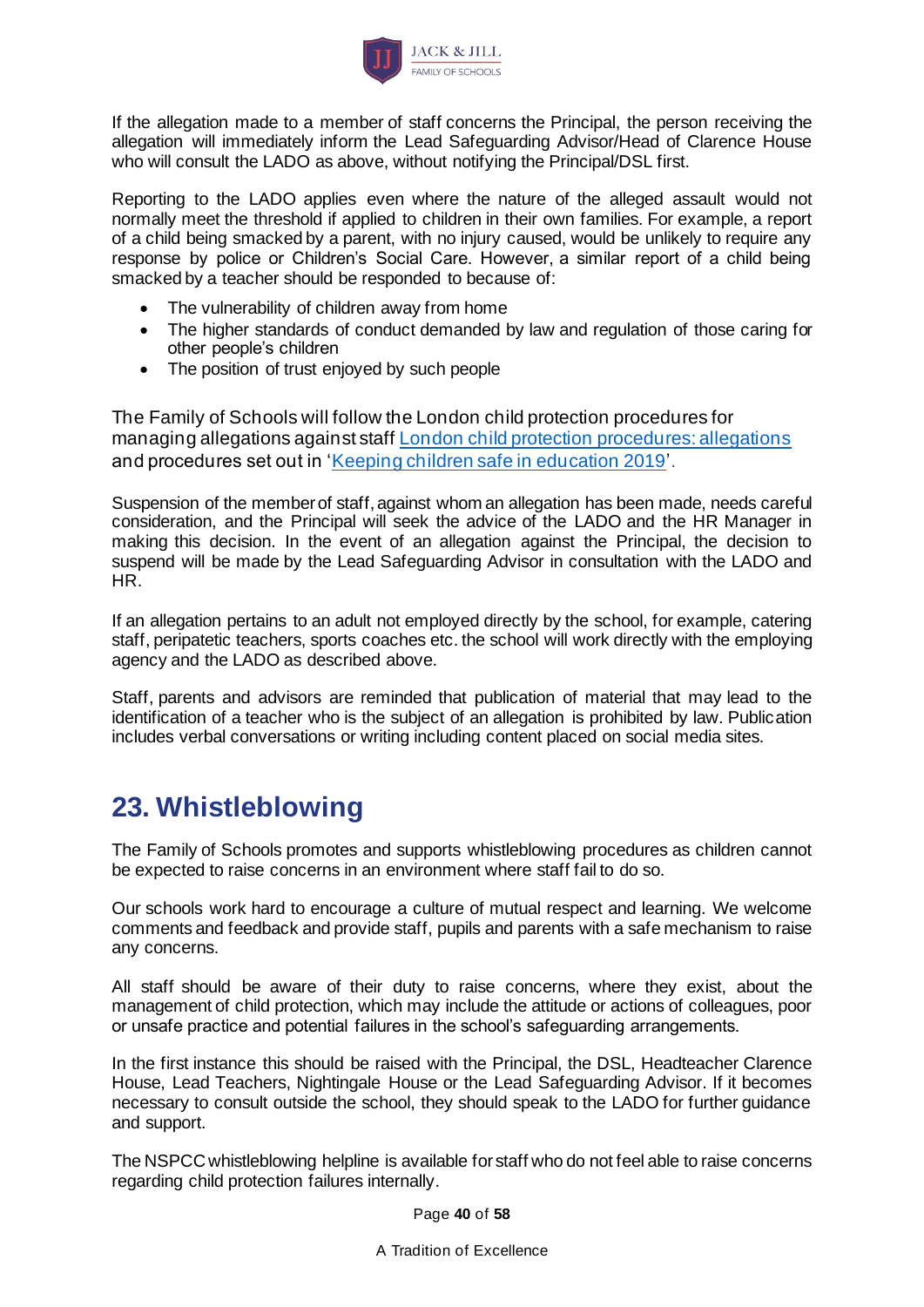

If the allegation made to a member of staff concerns the Principal, the person receiving the allegation will immediately inform the Lead Safeguarding Advisor/Head of Clarence House who will consult the LADO as above, without notifying the Principal/DSL first.

Reporting to the LADO applies even where the nature of the alleged assault would not normally meet the threshold if applied to children in their own families. For example, a report of a child being smacked by a parent, with no injury caused, would be unlikely to require any response by police or Children's Social Care. However, a similar report of a child being smacked by a teacher should be responded to because of:

- The vulnerability of children away from home
- The higher standards of conduct demanded by law and regulation of those caring for other people's children
- The position of trust enjoyed by such people

The Family of Schools will follow the London child protection procedures for managing allegations against staff [London child protection procedures: allegations](http://www.londoncp.co.uk/chapters/alleg_staff.html) and procedures set out in ['Keeping children safe in education 2019](https://www.gov.uk/government/publications/keeping-children-safe-in-education--2)'.

Suspension of the member of staff, against whom an allegation has been made, needs careful consideration, and the Principal will seek the advice of the LADO and the HR Manager in making this decision. In the event of an allegation against the Principal, the decision to suspend will be made by the Lead Safeguarding Advisor in consultation with the LADO and HR.

If an allegation pertains to an adult not employed directly by the school, for example, catering staff, peripatetic teachers, sports coaches etc. the school will work directly with the employing agency and the LADO as described above.

Staff, parents and advisors are reminded that publication of material that may lead to the identification of a teacher who is the subject of an allegation is prohibited by law. Publication includes verbal conversations or writing including content placed on social media sites.

# <span id="page-39-0"></span>**23. Whistleblowing**

The Family of Schools promotes and supports whistleblowing procedures as children cannot be expected to raise concerns in an environment where staff fail to do so.

Our schools work hard to encourage a culture of mutual respect and learning. We welcome comments and feedback and provide staff, pupils and parents with a safe mechanism to raise any concerns.

All staff should be aware of their duty to raise concerns, where they exist, about the management of child protection, which may include the attitude or actions of colleagues, poor or unsafe practice and potential failures in the school's safeguarding arrangements.

In the first instance this should be raised with the Principal, the DSL, Headteacher Clarence House, Lead Teachers, Nightingale House or the Lead Safeguarding Advisor. If it becomes necessary to consult outside the school, they should speak to the LADO for further guidance and support.

The NSPCC whistleblowing helpline is available for staff who do not feel able to raise concerns regarding child protection failures internally.

Page **40** of **58**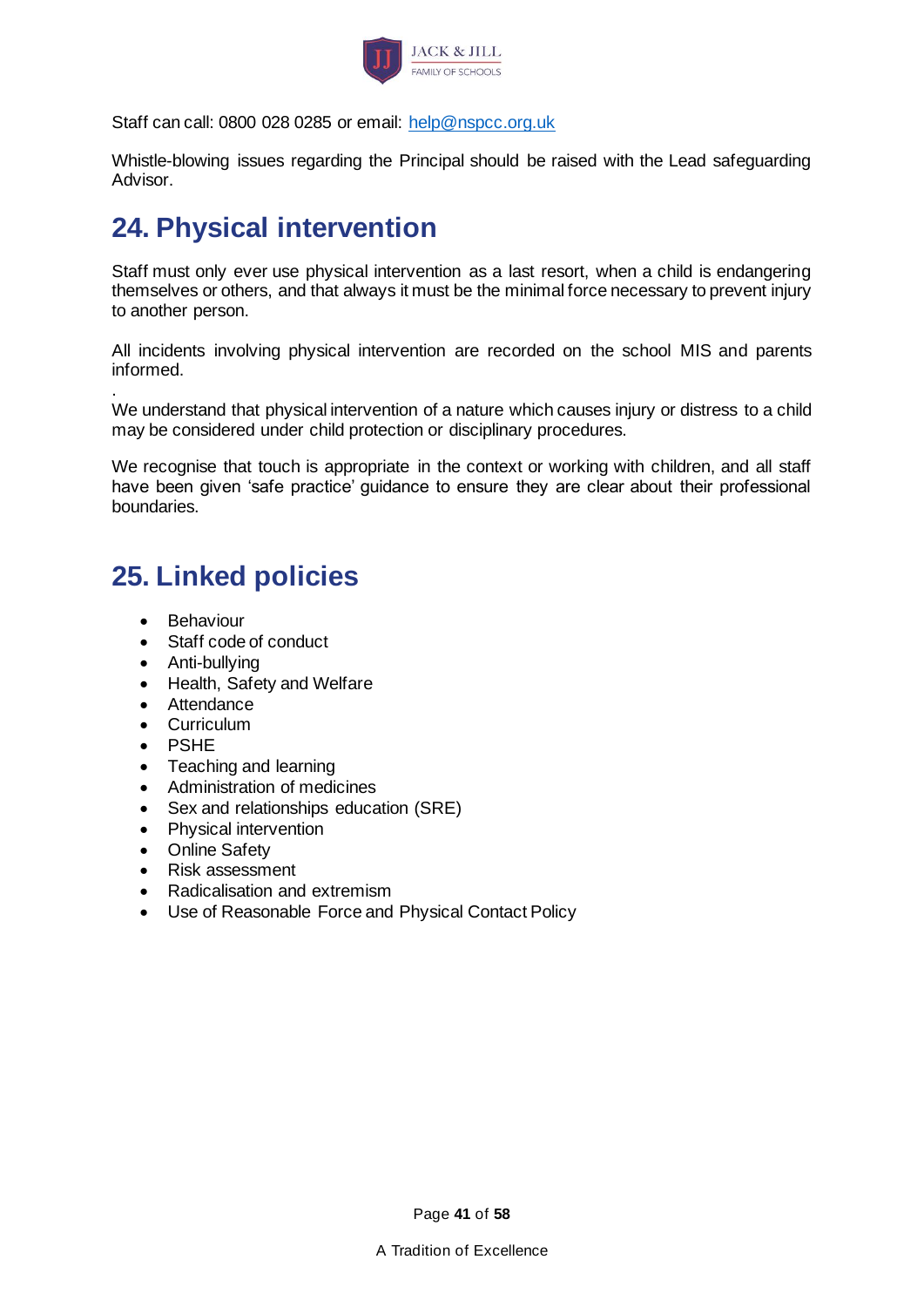

Staff can call: 0800 028 0285 or email: [help@nspcc.org.uk](file://///richmond/data/Childrens%20Services%20&%20Culture/CDSI/PPC%20-%20Comms/3223%20Model%20Safeguarding%20Policy/help@nspcc.org.uk)

Whistle-blowing issues regarding the Principal should be raised with the Lead safeguarding Advisor.

# <span id="page-40-0"></span>**24. Physical intervention**

Staff must only ever use physical intervention as a last resort, when a child is endangering themselves or others, and that always it must be the minimal force necessary to prevent injury to another person.

All incidents involving physical intervention are recorded on the school MIS and parents informed.

. We understand that physical intervention of a nature which causes injury or distress to a child may be considered under child protection or disciplinary procedures.

We recognise that touch is appropriate in the context or working with children, and all staff have been given 'safe practice' guidance to ensure they are clear about their professional boundaries.

## <span id="page-40-1"></span>**25. Linked policies**

- Behaviour
- Staff code of conduct
- Anti-bullying
- Health, Safety and Welfare
- Attendance
- Curriculum
- PSHE
- Teaching and learning
- Administration of medicines
- Sex and relationships education (SRE)
- Physical intervention
- Online Safety
- Risk assessment
- Radicalisation and extremism
- Use of Reasonable Force and Physical Contact Policy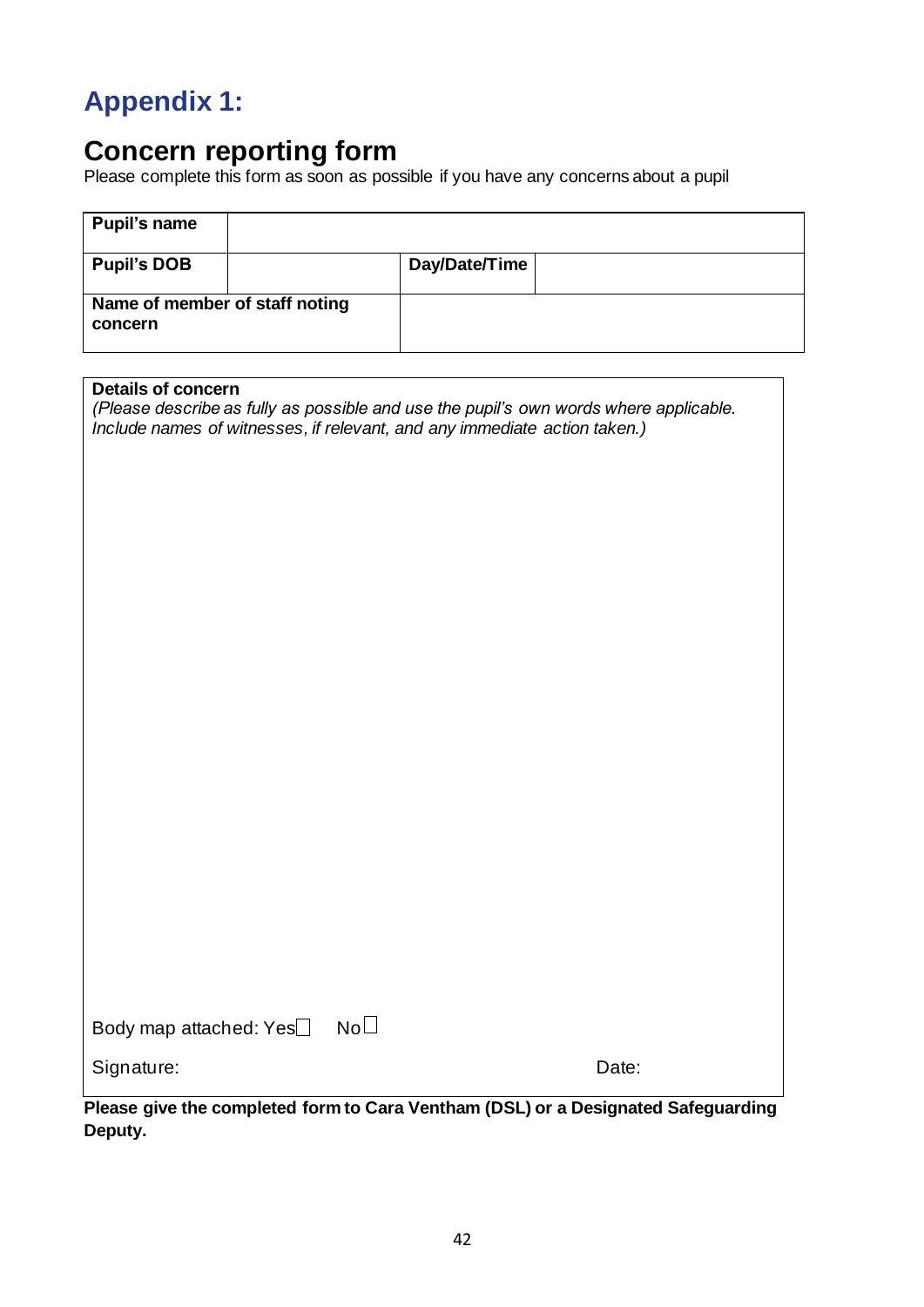# <span id="page-41-0"></span>**Appendix 1:**

## <span id="page-41-1"></span>**Concern reporting form**

Please complete this form as soon as possible if you have any concerns about a pupil

| Pupil's name                              |  |               |  |
|-------------------------------------------|--|---------------|--|
| <b>Pupil's DOB</b>                        |  | Day/Date/Time |  |
| Name of member of staff noting<br>concern |  |               |  |

#### **Details of concern**

*(Please describe as fully as possible and use the pupil's own words where applicable. Include names of witnesses, if relevant, and any immediate action taken.)*

| Body map attached: Yes | $\mathsf{No}\hspace{.01in}\Box$ |
|------------------------|---------------------------------|
|------------------------|---------------------------------|

Signature: Date: Date: Date: Date: Date: Date: Date: Date: Date: Date: Date: Date: Date: Date: Date: Date: Date: Date: Date: Date: Date: Date: Date: Date: Date: Date: Date: Date: Date: Date: Date: Date: Date: Date: Date: D

**Please give the completed form to Cara Ventham (DSL) or a Designated Safeguarding Deputy.**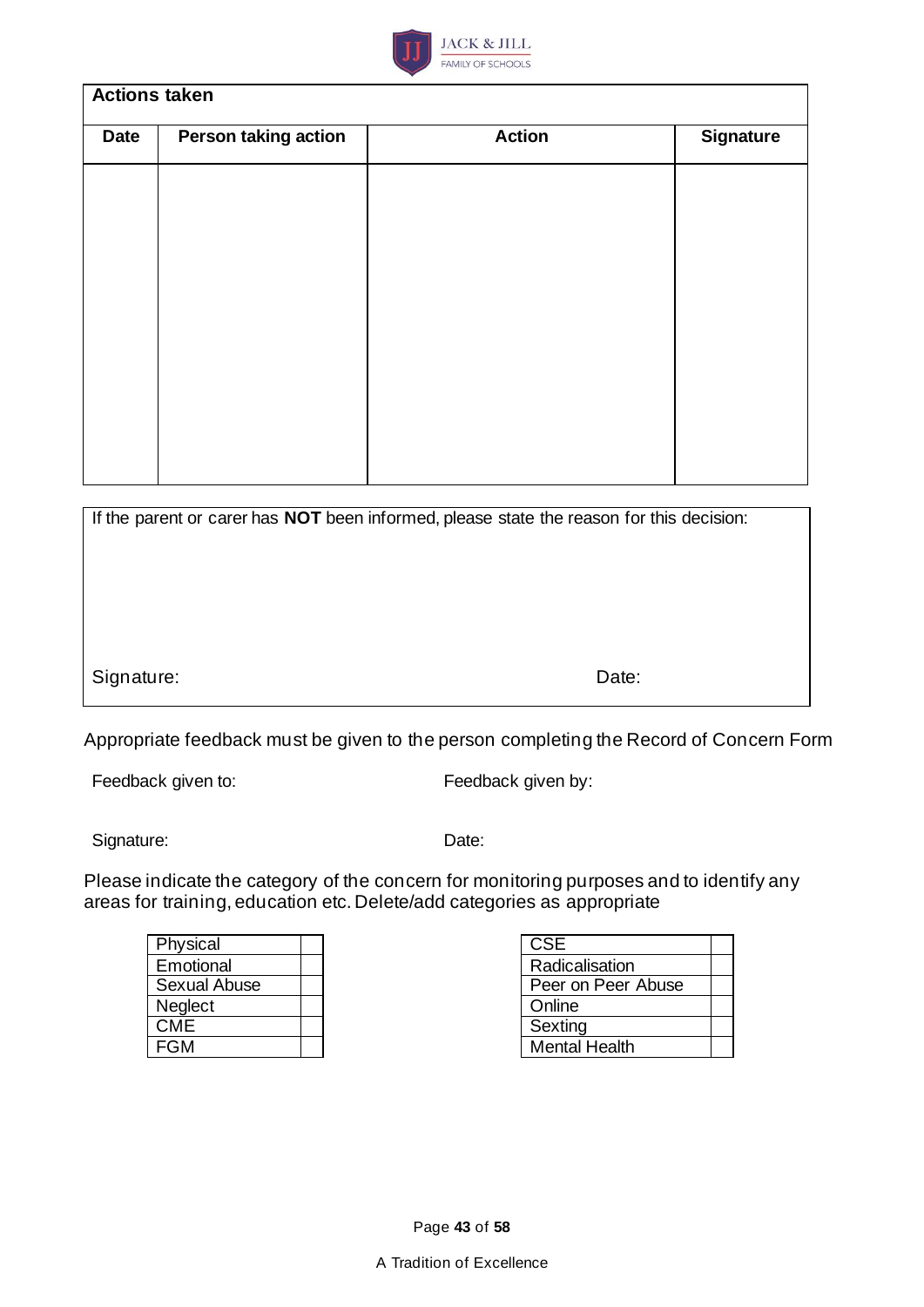

### **Actions taken**

| <b>Date</b> | <b>Person taking action</b> | <b>Action</b> | <b>Signature</b> |
|-------------|-----------------------------|---------------|------------------|
|             |                             |               |                  |
|             |                             |               |                  |
|             |                             |               |                  |
|             |                             |               |                  |
|             |                             |               |                  |
|             |                             |               |                  |
|             |                             |               |                  |
|             |                             |               |                  |

| If the parent or carer has <b>NOT</b> been informed, please state the reason for this decision: |       |  |
|-------------------------------------------------------------------------------------------------|-------|--|
|                                                                                                 |       |  |
|                                                                                                 |       |  |
|                                                                                                 |       |  |
|                                                                                                 |       |  |
| Signature:                                                                                      | Date: |  |
|                                                                                                 |       |  |

Appropriate feedback must be given to the person completing the Record of Concern Form

Feedback given to: Feedback given by:

Signature: Date:

Please indicate the category of the concern for monitoring purposes and to identify any areas for training, education etc. Delete/add categories as appropriate

<span id="page-42-0"></span>

| Physical       |  | <b>CSE</b>           |
|----------------|--|----------------------|
| Emotional      |  | Radicalisation       |
| Sexual Abuse   |  | Peer on Peer Abuse   |
| <b>Neglect</b> |  | Online               |
| <b>CME</b>     |  | Sexting              |
| FGM            |  | <b>Mental Health</b> |
|                |  |                      |

| CSE                  |  |
|----------------------|--|
| Radicalisation       |  |
| Peer on Peer Abuse   |  |
| Online               |  |
| Sexting              |  |
| <b>Mental Health</b> |  |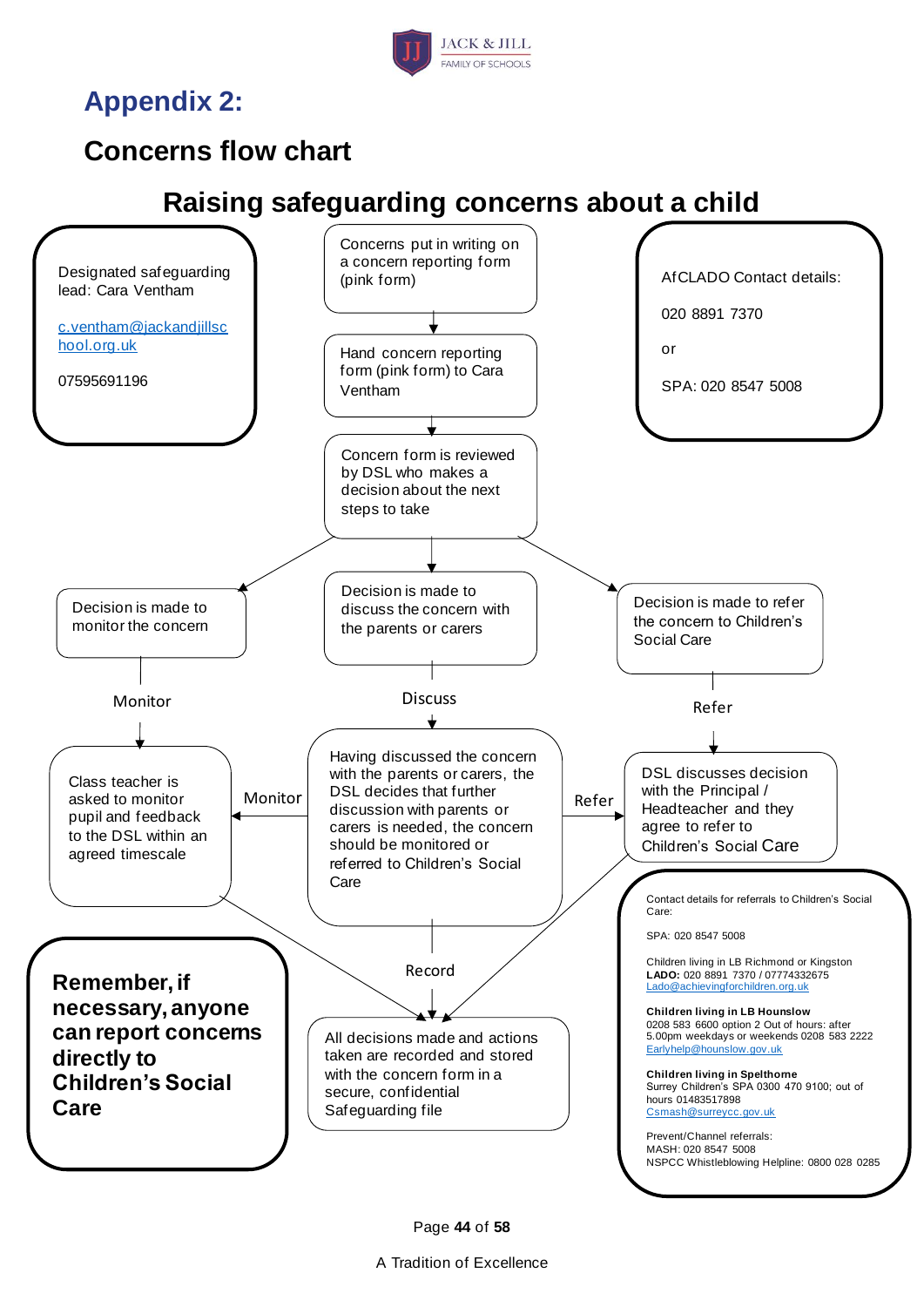

**Appendix 2:**

# <span id="page-43-0"></span>**Concerns flow chart**

# **Raising safeguarding concerns about a child**



Page **44** of **58**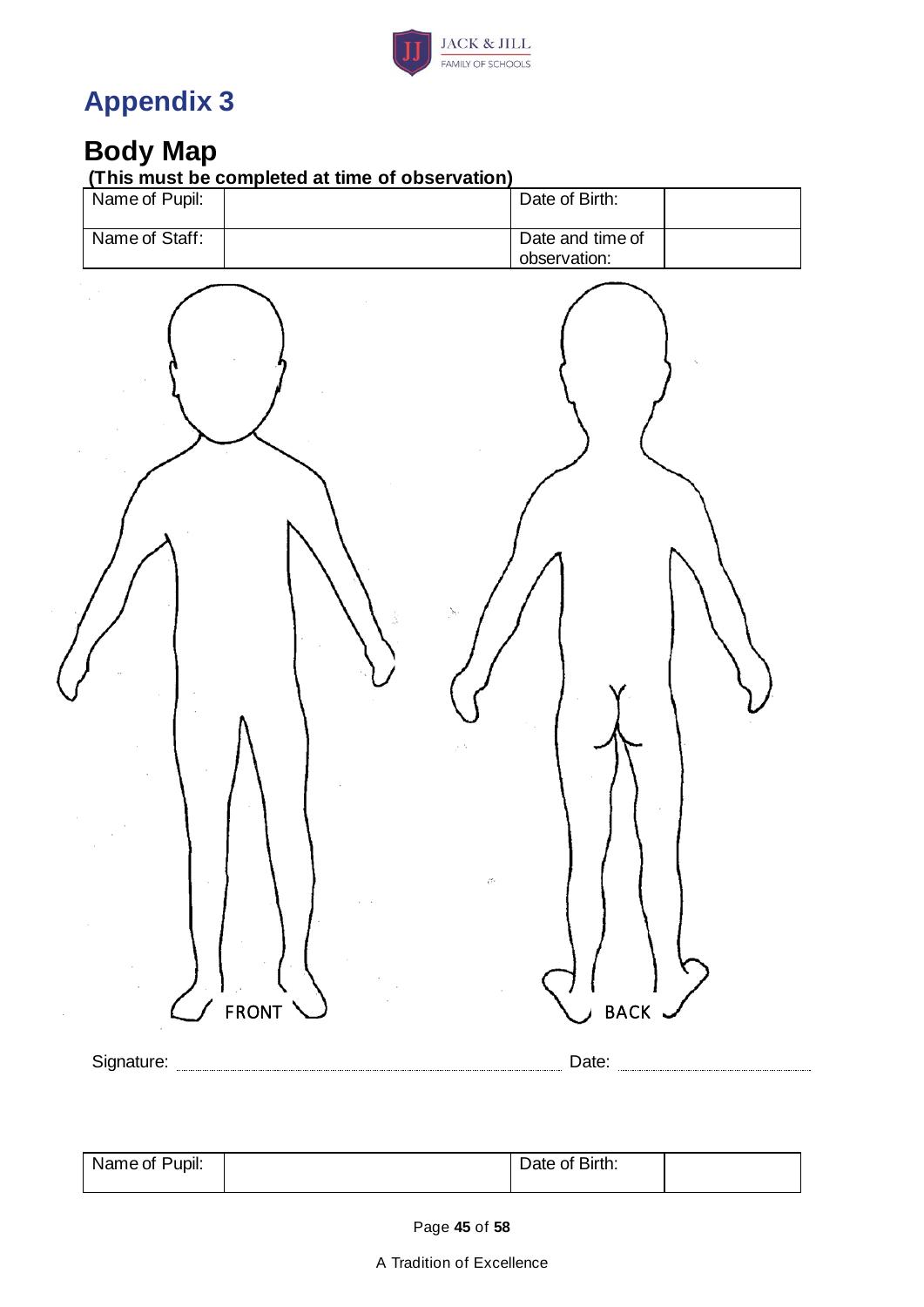

# <span id="page-44-0"></span>**Appendix 3**

## <span id="page-44-1"></span>**Body Map**

 $\overline{\mathcal{L}}$ 

**(This must be completed at time of observation)**

| Name of Pupil: | Date of Birth:                   |
|----------------|----------------------------------|
| Name of Staff: | Date and time of<br>observation: |
| FRONT          | <b>BACK</b>                      |
|                | Date: <b>manual</b>              |

| Name of Pupil: |  | Date of Birth: |  |
|----------------|--|----------------|--|
|                |  |                |  |

Page **45** of **58**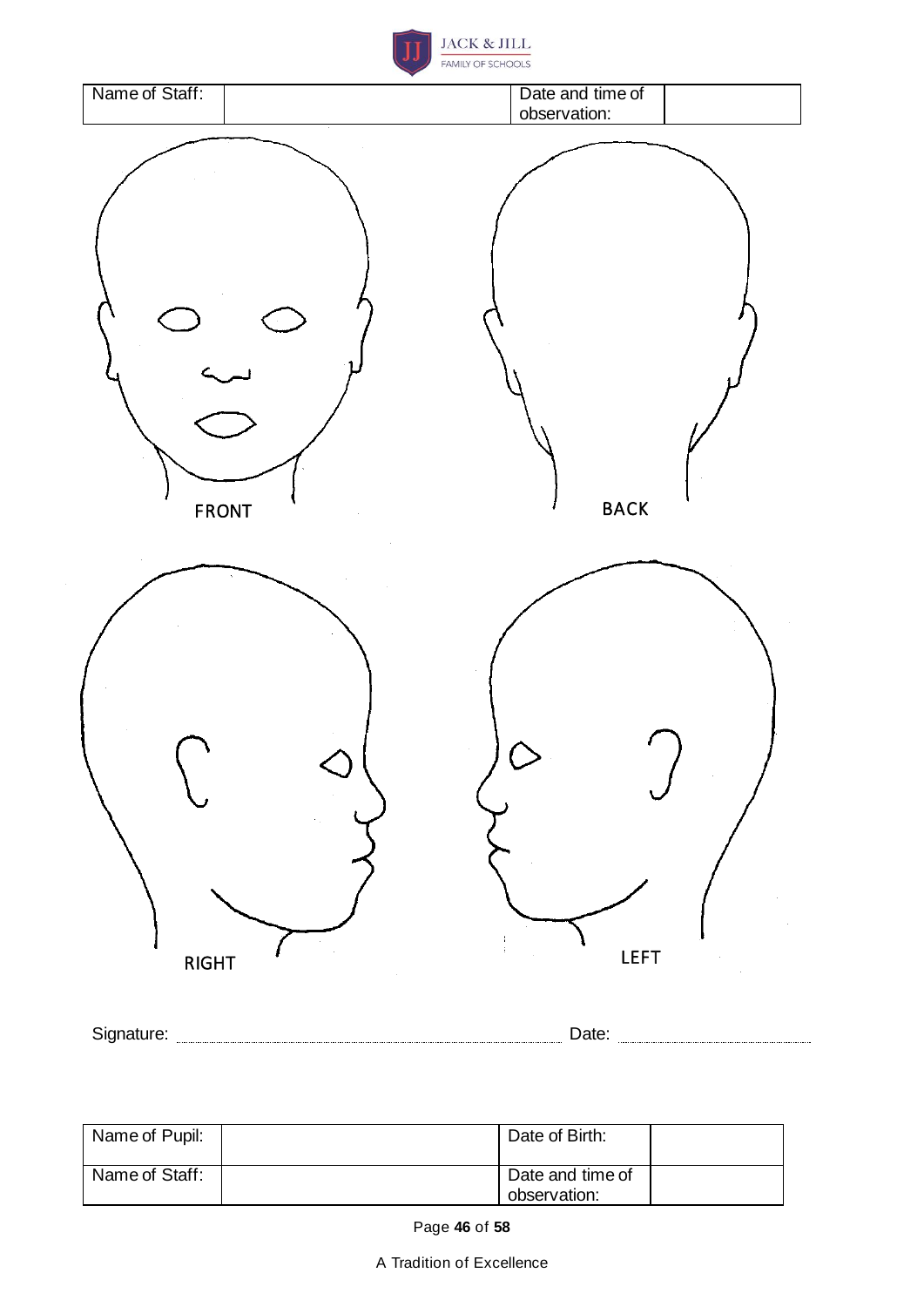



| Name of Pupil: | Date of Birth:                   |  |
|----------------|----------------------------------|--|
| Name of Staff: | Date and time of<br>observation: |  |

Page **46** of **58**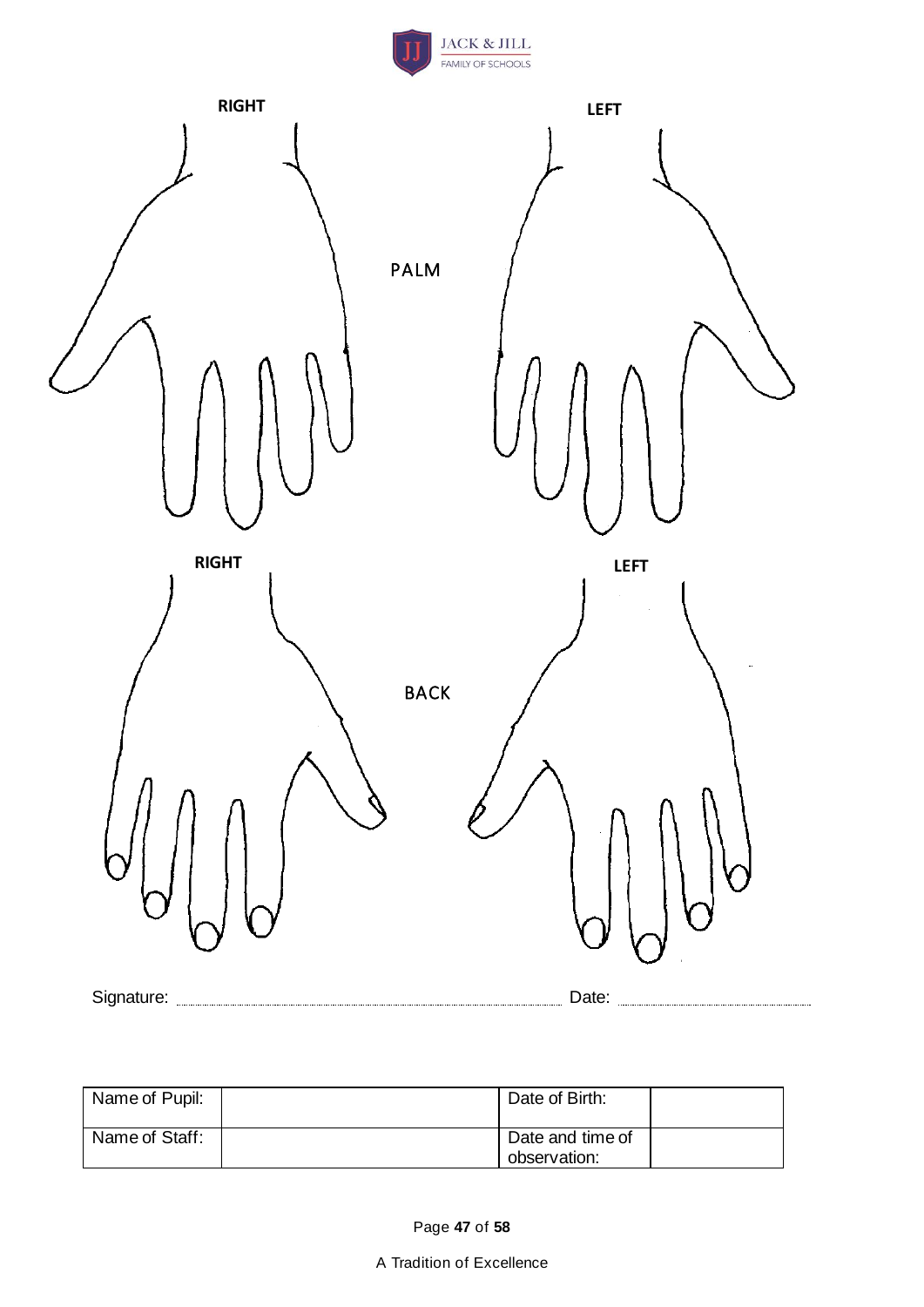



| Name of Pupil: | Date of Birth:                   |  |
|----------------|----------------------------------|--|
| Name of Staff: | Date and time of<br>observation: |  |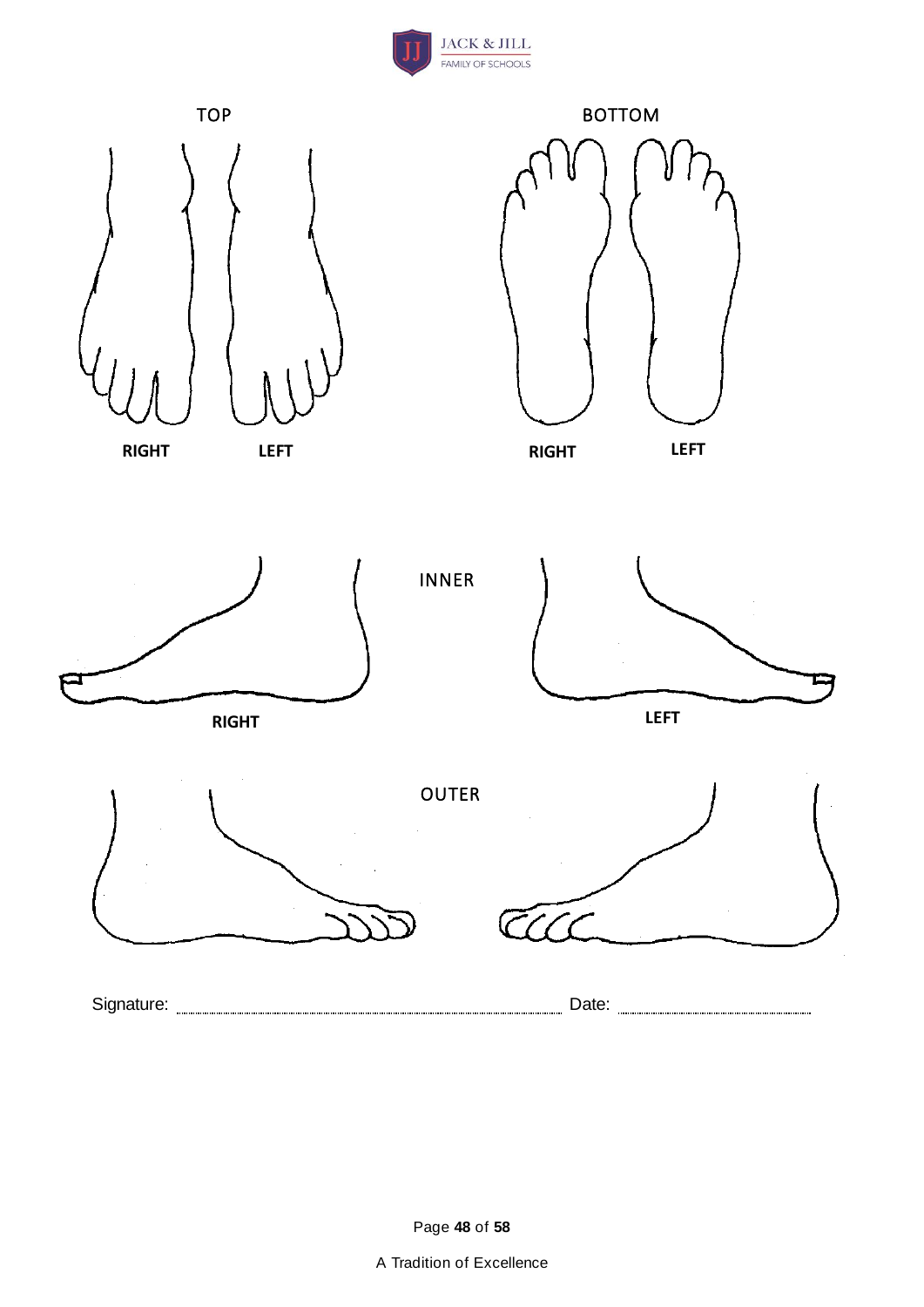

<span id="page-47-0"></span>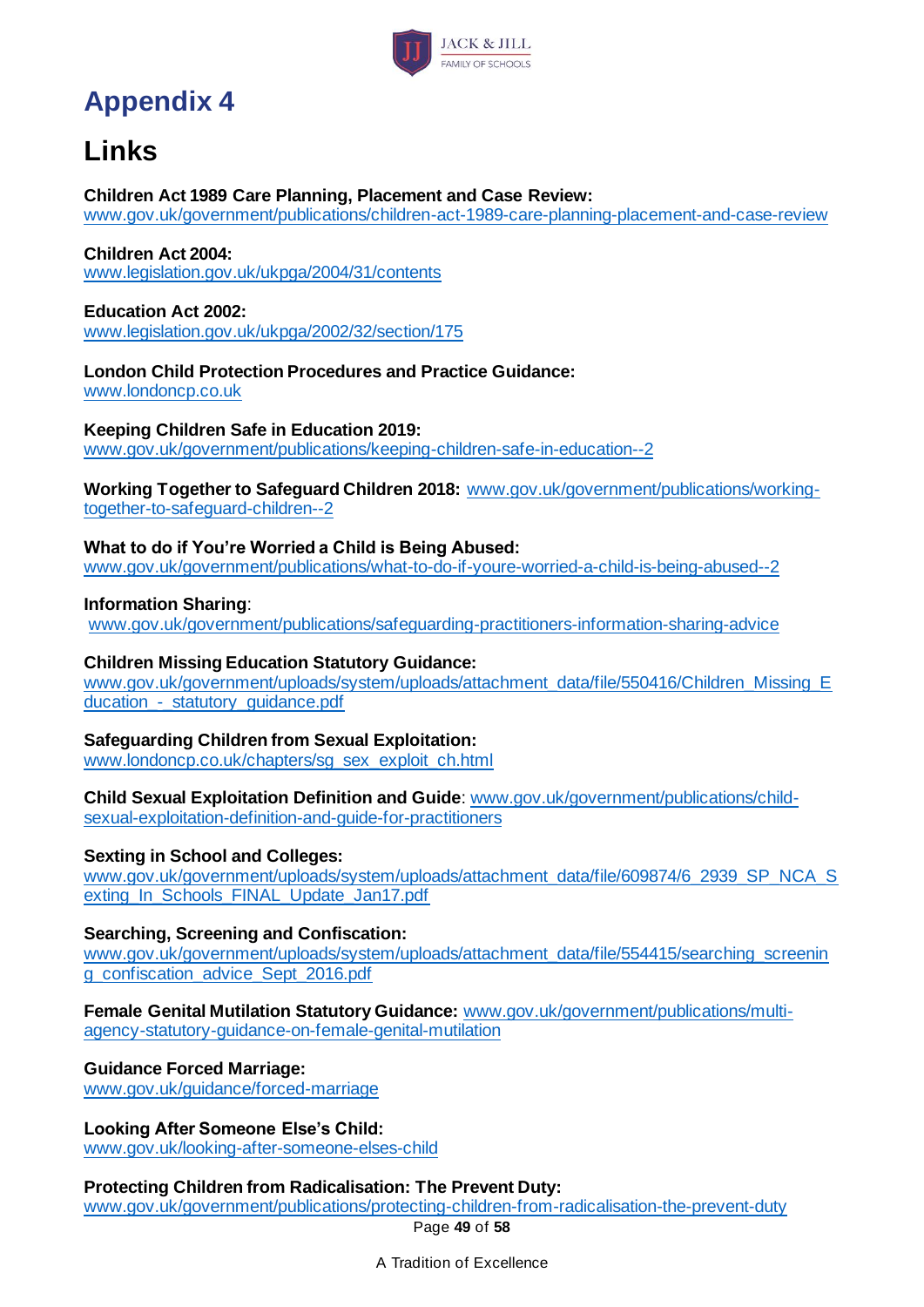

# **Appendix 4**

# <span id="page-48-0"></span>**Links**

#### **Children Act 1989 Care Planning, Placement and Case Review:**

[www.gov.uk/government/publications/children-act-1989-care-planning-placement-and-case-review](http://www.gov.uk/government/publications/children-act-1989-care-planning-placement-and-case-review)

#### **Children Act 2004:**

[www.legislation.gov.uk/ukpga/2004/31/contents](http://www.legislation.gov.uk/ukpga/2004/31/contents)

### **Education Act 2002:**

[www.legislation.gov.uk/ukpga/2002/32/section/175](http://www.legislation.gov.uk/ukpga/2002/32/section/175)

### **London Child Protection Procedures and Practice Guidance:**

[www.londoncp.co.uk](http://www.londoncp.co.uk/)

### **Keeping Children Safe in Education 2019:**

[www.gov.uk/government/publications/keeping-children-safe-in-education--2](http://www.gov.uk/government/publications/keeping-children-safe-in-education--2)

**Working Together to Safeguard Children 2018:** [www.gov.uk/government/publications/working](http://www.gov.uk/government/publications/working-together-to-safeguard-children--2)[together-to-safeguard-children--2](http://www.gov.uk/government/publications/working-together-to-safeguard-children--2)

### **What to do if You're Worried a Child is Being Abused:**

[www.gov.uk/government/publications/what-to-do-if-youre-worried-a-child-is-being-abused--2](http://www.gov.uk/government/publications/what-to-do-if-youre-worried-a-child-is-being-abused--2)

#### **Information Sharing**:

[www.gov.uk/government/publications/safeguarding-practitioners-information-sharing-advice](http://www.gov.uk/government/publications/safeguarding-practitioners-information-sharing-advice)

### **Children Missing Education Statutory Guidance:**

[www.gov.uk/government/uploads/system/uploads/attachment\\_data/file/550416/Children\\_Missing\\_E](http://www.gov.uk/government/uploads/system/uploads/attachment_data/file/550416/Children_Missing_Education_-_statutory_guidance.pdf) [ducation\\_-\\_statutory\\_guidance.pdf](http://www.gov.uk/government/uploads/system/uploads/attachment_data/file/550416/Children_Missing_Education_-_statutory_guidance.pdf)

### **Safeguarding Children from Sexual Exploitation:**

[www.londoncp.co.uk/chapters/sg\\_sex\\_exploit\\_ch.html](http://www.londoncp.co.uk/chapters/sg_sex_exploit_ch.html)

#### **Child Sexual Exploitation Definition and Guide**[: www.gov.uk/government/publications/child](http://www.gov.uk/government/publications/child-sexual-exploitation-definition-and-guide-for-practitioners)[sexual-exploitation-definition-and-guide-for-practitioners](http://www.gov.uk/government/publications/child-sexual-exploitation-definition-and-guide-for-practitioners)

### **Sexting in School and Colleges:**

[www.gov.uk/government/uploads/system/uploads/attachment\\_data/file/609874/6\\_2939\\_SP\\_NCA\\_S](http://www.gov.uk/government/uploads/system/uploads/attachment_data/file/609874/6_2939_SP_NCA_Sexting_In_Schools_FINAL_Update_Jan17.pdf) [exting\\_In\\_Schools\\_FINAL\\_Update\\_Jan17.pdf](http://www.gov.uk/government/uploads/system/uploads/attachment_data/file/609874/6_2939_SP_NCA_Sexting_In_Schools_FINAL_Update_Jan17.pdf)

### **Searching, Screening and Confiscation:**

[www.gov.uk/government/uploads/system/uploads/attachment\\_data/file/554415/searching\\_screenin](http://www.gov.uk/government/uploads/system/uploads/attachment_data/file/554415/searching_screening_confiscation_advice_Sept_2016.pdf) [g\\_confiscation\\_advice\\_Sept\\_2016.pdf](http://www.gov.uk/government/uploads/system/uploads/attachment_data/file/554415/searching_screening_confiscation_advice_Sept_2016.pdf)

#### **Female Genital Mutilation Statutory Guidance:** [www.gov.uk/government/publications/multi](http://www.gov.uk/government/publications/multi-agency-statutory-guidance-on-female-genital-mutilation)[agency-statutory-guidance-on-female-genital-mutilation](http://www.gov.uk/government/publications/multi-agency-statutory-guidance-on-female-genital-mutilation)

### **Guidance Forced Marriage:**

[www.gov.uk/guidance/forced-marriage](http://www.gov.uk/guidance/forced-marriage)

## **Looking After Someone Else's Child:**

[www.gov.uk/looking-after-someone-elses-child](http://www.gov.uk/looking-after-someone-elses-child)

### **Protecting Children from Radicalisation: The Prevent Duty:**

Page **49** of **58** [www.gov.uk/government/publications/protecting-children-from-radicalisation-the-prevent-duty](http://www.gov.uk/government/publications/protecting-children-from-radicalisation-the-prevent-duty)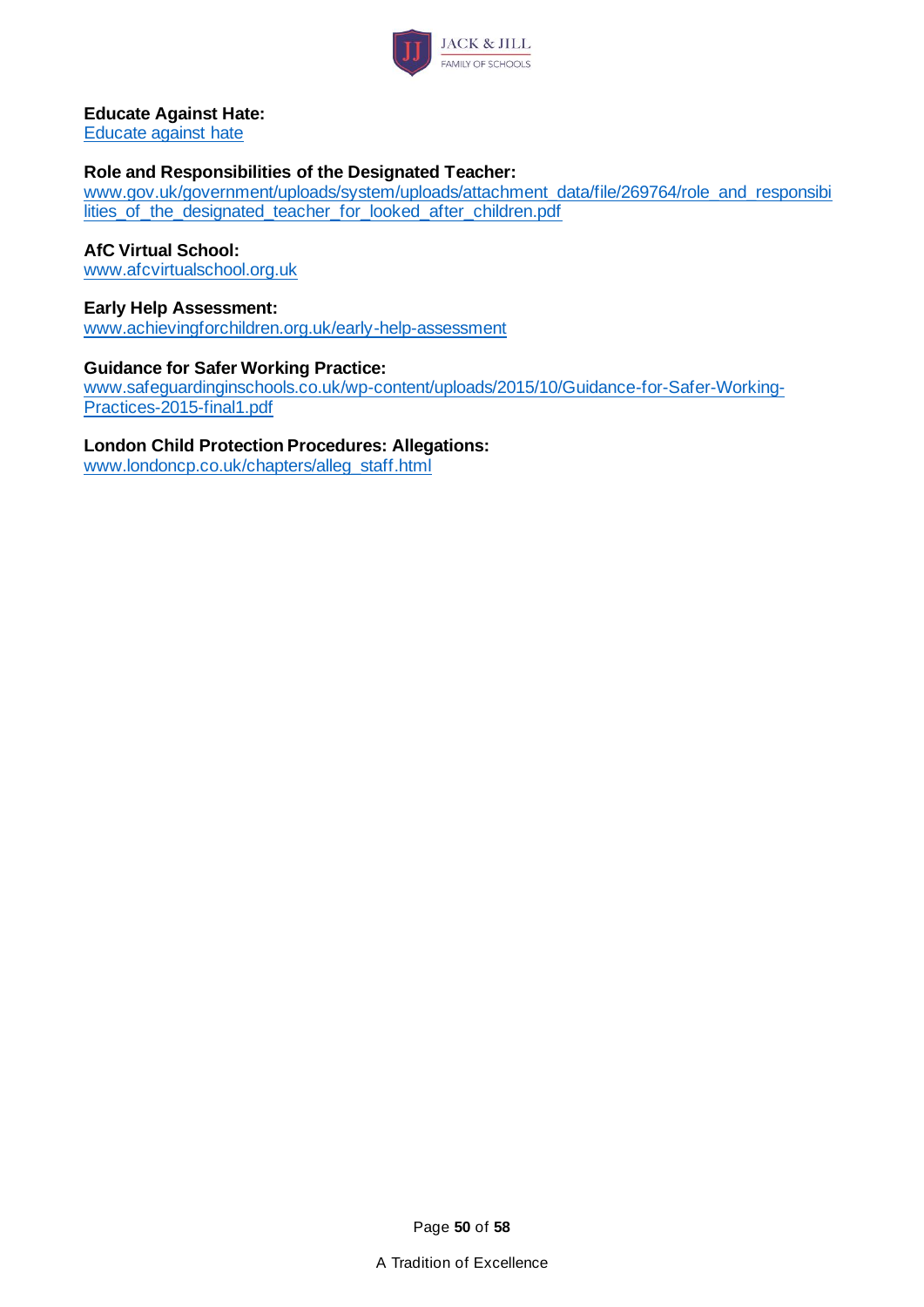

#### **Educate Against Hate:**

[Educate against hate](http://educateagainsthate.com/)

#### **Role and Responsibilities of the Designated Teacher:**

[www.gov.uk/government/uploads/system/uploads/attachment\\_data/file/269764/role\\_and\\_responsibi](http://www.gov.uk/government/uploads/system/uploads/attachment_data/file/269764/role_and_responsibilities_of_the_designated_teacher_for_looked_after_children.pdf) [lities\\_of\\_the\\_designated\\_teacher\\_for\\_looked\\_after\\_children.pdf](http://www.gov.uk/government/uploads/system/uploads/attachment_data/file/269764/role_and_responsibilities_of_the_designated_teacher_for_looked_after_children.pdf)

#### **AfC Virtual School:**

[www.afcvirtualschool.org.uk](http://www.afcvirtualschool.org.uk/)

#### **Early Help Assessment:**

[www.achievingforchildren.org.uk/early-help-assessment](http://www.achievingforchildren.org.uk/early-help-assessment)

#### **Guidance for Safer Working Practice:**

[www.safeguardinginschools.co.uk/wp-content/uploads/2015/10/Guidance-for-Safer-Working-](http://www.safeguardinginschools.co.uk/wp-content/uploads/2015/10/Guidance-for-Safer-Working-Practices-2015-final1.pdf)[Practices-2015-final1.pdf](http://www.safeguardinginschools.co.uk/wp-content/uploads/2015/10/Guidance-for-Safer-Working-Practices-2015-final1.pdf)

#### **London Child Protection Procedures: Allegations:**

[www.londoncp.co.uk/chapters/alleg\\_staff.html](http://www.londoncp.co.uk/chapters/alleg_staff.html)

Page **50** of **58**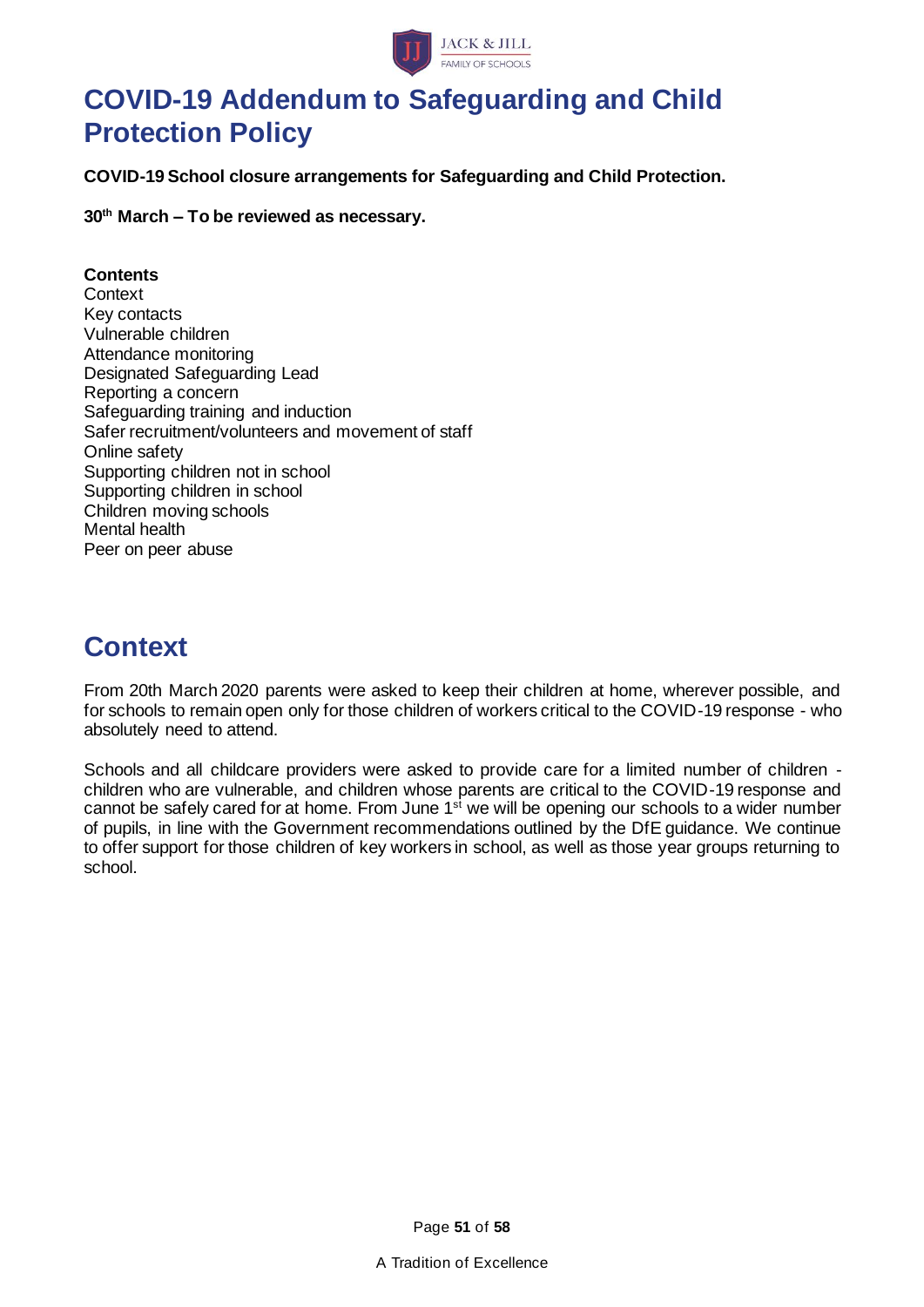

## **COVID-19 Addendum to Safeguarding and Child Protection Policy**

**COVID-19 School closure arrangements for Safeguarding and Child Protection.**

**30th March – To be reviewed as necessary.**

### **Contents**

**Context** Key contacts Vulnerable children Attendance monitoring Designated Safeguarding Lead Reporting a concern Safeguarding training and induction Safer recruitment/volunteers and movement of staff Online safety Supporting children not in school Supporting children in school Children moving schools Mental health Peer on peer abuse

## **Context**

From 20th March 2020 parents were asked to keep their children at home, wherever possible, and for schools to remain open only for those children of workers critical to the COVID-19 response - who absolutely need to attend.

Schools and all childcare providers were asked to provide care for a limited number of children children who are vulnerable, and children whose parents are critical to the COVID-19 response and cannot be safely cared for at home. From June  $1<sup>st</sup>$  we will be opening our schools to a wider number of pupils, in line with the Government recommendations outlined by the DfE guidance. We continue to offer support for those children of key workers in school, as well as those year groups returning to school.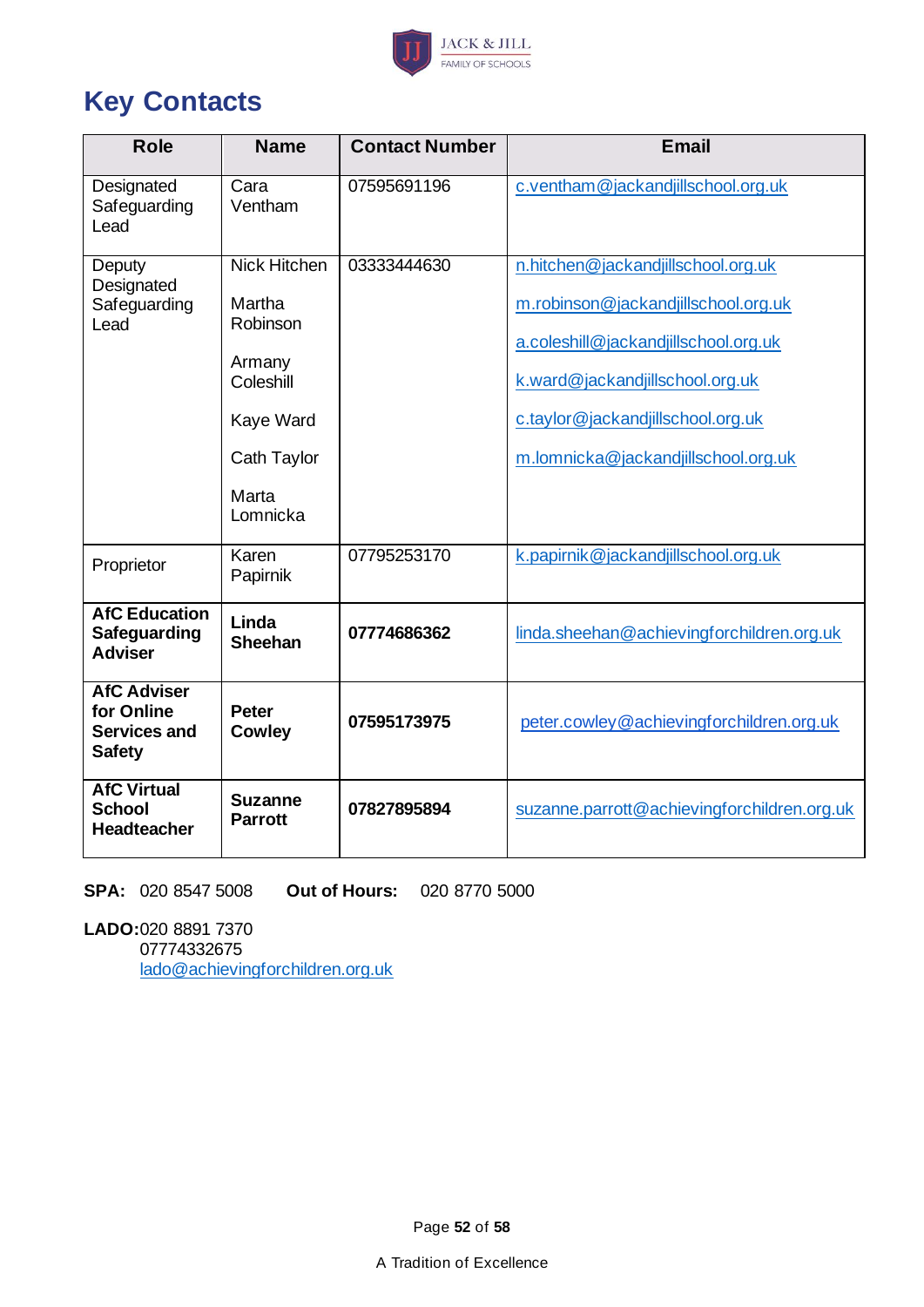

# **Key Contacts**

| <b>Role</b>                                                              | <b>Name</b>                                                                                                       | <b>Contact Number</b> | <b>Email</b>                                                                                                                                                                                                                     |
|--------------------------------------------------------------------------|-------------------------------------------------------------------------------------------------------------------|-----------------------|----------------------------------------------------------------------------------------------------------------------------------------------------------------------------------------------------------------------------------|
| Designated<br>Safeguarding<br>Lead                                       | Cara<br>Ventham                                                                                                   | 07595691196           | c.ventham@jackandjillschool.org.uk                                                                                                                                                                                               |
| Deputy<br>Designated<br>Safeguarding<br>Lead                             | <b>Nick Hitchen</b><br>Martha<br>Robinson<br>Armany<br>Coleshill<br>Kaye Ward<br>Cath Taylor<br>Marta<br>Lomnicka | 03333444630           | n.hitchen@jackandjillschool.org.uk<br>m.robinson@jackandjillschool.org.uk<br>a.coleshill@jackandjillschool.org.uk<br>k.ward@jackandjillschool.org.uk<br>c.taylor@jackandjillschool.org.uk<br>m.lomnicka@jackandjillschool.org.uk |
| Proprietor                                                               | Karen<br>Papirnik                                                                                                 | 07795253170           | k.papirnik@jackandjillschool.org.uk                                                                                                                                                                                              |
| <b>AfC Education</b><br>Safeguarding<br><b>Adviser</b>                   | Linda<br><b>Sheehan</b>                                                                                           | 07774686362           | linda.sheehan@achievingforchildren.org.uk                                                                                                                                                                                        |
| <b>AfC Adviser</b><br>for Online<br><b>Services and</b><br><b>Safety</b> | <b>Peter</b><br><b>Cowley</b>                                                                                     | 07595173975           | peter.cowley@achievingforchildren.org.uk                                                                                                                                                                                         |
| <b>AfC Virtual</b><br><b>School</b><br><b>Headteacher</b>                | <b>Suzanne</b><br><b>Parrott</b>                                                                                  | 07827895894           | suzanne.parrott@achievingforchildren.org.uk                                                                                                                                                                                      |

**SPA:** 020 8547 5008 **Out of Hours:** 020 8770 5000

**LADO:**020 8891 7370 07774332675 [lado@achievingforchildren.org.uk](mailto:lado@achievingforchildren.org.uk)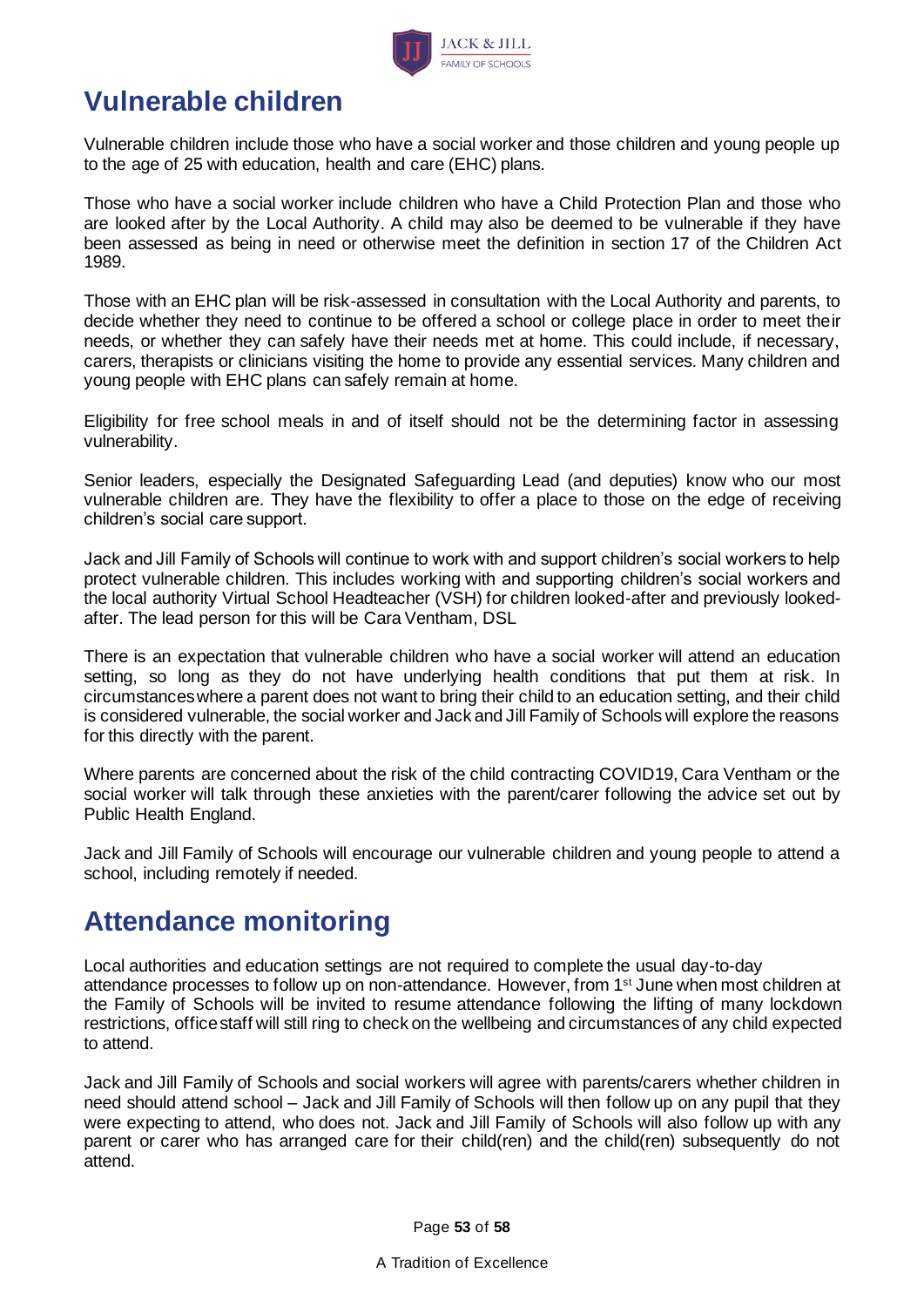

# **Vulnerable children**

Vulnerable children include those who have a social worker and those children and young people up to the age of 25 with education, health and care (EHC) plans.

Those who have a social worker include children who have a Child Protection Plan and those who are looked after by the Local Authority. A child may also be deemed to be vulnerable if they have been assessed as being in need or otherwise meet the definition in section 17 of the Children Act 1989.

Those with an EHC plan will be risk-assessed in consultation with the Local Authority and parents, to decide whether they need to continue to be offered a school or college place in order to meet their needs, or whether they can safely have their needs met at home. This could include, if necessary, carers, therapists or clinicians visiting the home to provide any essential services. Many children and young people with EHC plans can safely remain at home.

Eligibility for free school meals in and of itself should not be the determining factor in assessing vulnerability.

Senior leaders, especially the Designated Safeguarding Lead (and deputies) know who our most vulnerable children are. They have the flexibility to offer a place to those on the edge of receiving children's social care support.

Jack and Jill Family of Schools will continue to work with and support children's social workers to help protect vulnerable children. This includes working with and supporting children's social workers and the local authority Virtual School Headteacher (VSH) for children looked-after and previously lookedafter. The lead person for this will be Cara Ventham, DSL

There is an expectation that vulnerable children who have a social worker will attend an education setting, so long as they do not have underlying health conditions that put them at risk. In circumstances where a parent does not want to bring their child to an education setting, and their child is considered vulnerable, the social worker and Jack and Jill Family of Schools will explore the reasons for this directly with the parent.

Where parents are concerned about the risk of the child contracting COVID19, Cara Ventham or the social worker will talk through these anxieties with the parent/carer following the advice set out by Public Health England.

Jack and Jill Family of Schools will encourage our vulnerable children and young people to attend a school, including remotely if needed.

## **Attendance monitoring**

Local authorities and education settings are not required to complete the usual day-to-day attendance processes to follow up on non-attendance. However, from 1st June when most children at the Family of Schools will be invited to resume attendance following the lifting of many lockdown restrictions, office staff will still ring to check on the wellbeing and circumstances of any child expected to attend.

Jack and Jill Family of Schools and social workers will agree with parents/carers whether children in need should attend school – Jack and Jill Family of Schools will then follow up on any pupil that they were expecting to attend, who does not. Jack and Jill Family of Schools will also follow up with any parent or carer who has arranged care for their child(ren) and the child(ren) subsequently do not attend.

Page **53** of **58**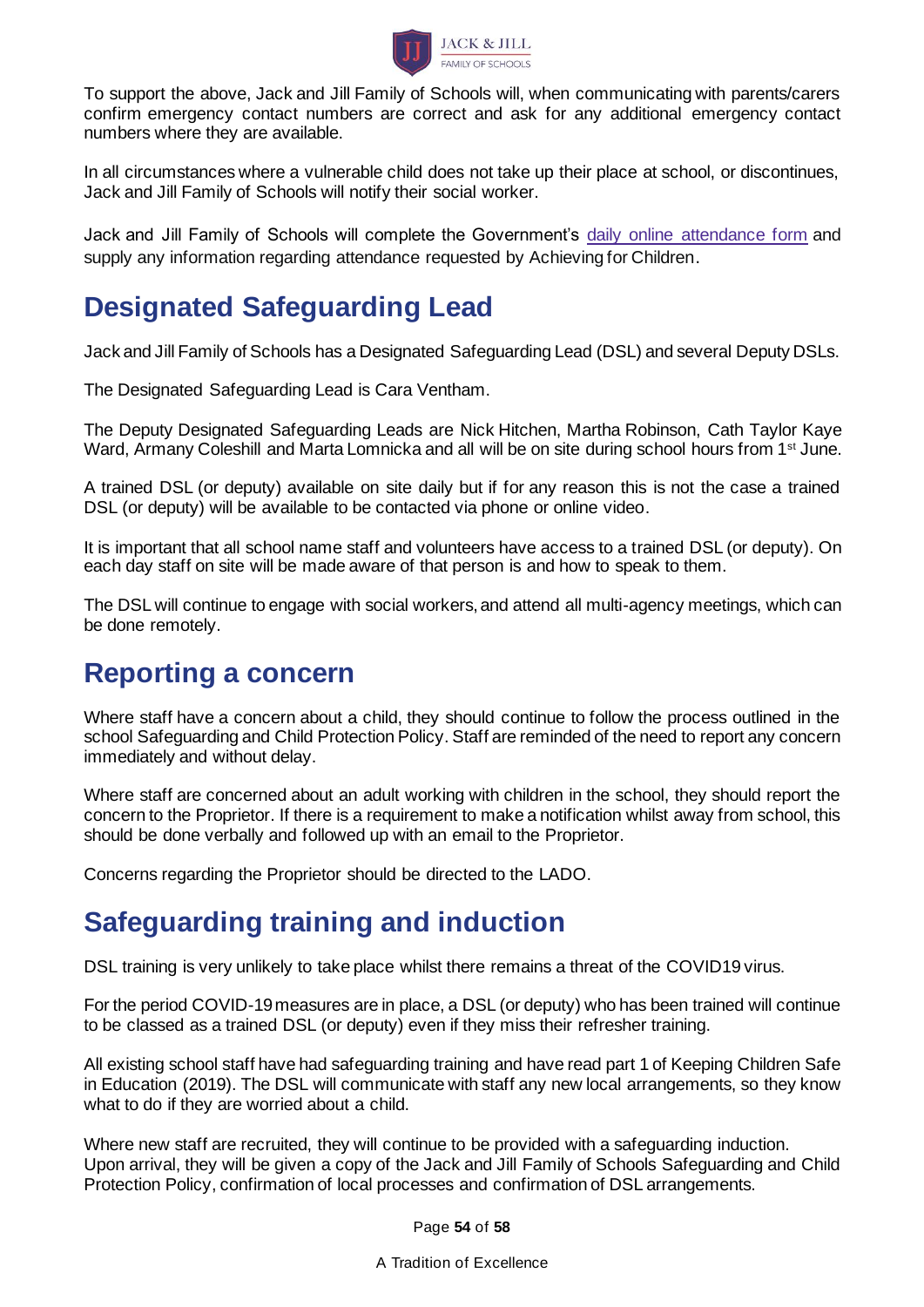

To support the above, Jack and Jill Family of Schools will, when communicating with parents/carers confirm emergency contact numbers are correct and ask for any additional emergency contact numbers where they are available.

In all circumstances where a vulnerable child does not take up their place at school, or discontinues, Jack and Jill Family of Schools will notify their social worker.

Jack and Jill Family of Schools will complete the Government's daily online [attendance](https://www.gov.uk/government/publications/coronavirus-covid-19-attendance-recording-for-educational-settings) form and supply any information regarding attendance requested by Achieving for Children.

## **Designated Safeguarding Lead**

Jack and Jill Family of Schools has a Designated Safeguarding Lead (DSL) and several Deputy DSLs.

The Designated Safeguarding Lead is Cara Ventham.

The Deputy Designated Safeguarding Leads are Nick Hitchen, Martha Robinson, Cath Taylor Kaye Ward, Armany Coleshill and Marta Lomnicka and all will be on site during school hours from 1<sup>st</sup> June.

A trained DSL (or deputy) available on site daily but if for any reason this is not the case a trained DSL (or deputy) will be available to be contacted via phone or online video.

It is important that all school name staff and volunteers have access to a trained DSL (or deputy). On each day staff on site will be made aware of that person is and how to speak to them.

The DSL will continue to engage with social workers, and attend all multi-agency meetings, which can be done remotely.

## **Reporting a concern**

Where staff have a concern about a child, they should continue to follow the process outlined in the school Safeguarding and Child Protection Policy. Staff are reminded of the need to report any concern immediately and without delay.

Where staff are concerned about an adult working with children in the school, they should report the concern to the Proprietor. If there is a requirement to make a notification whilst away from school, this should be done verbally and followed up with an email to the Proprietor.

Concerns regarding the Proprietor should be directed to the LADO.

# **Safeguarding training and induction**

DSL training is very unlikely to take place whilst there remains a threat of the COVID19 virus.

For the period COVID-19 measures are in place, a DSL (or deputy) who has been trained will continue to be classed as a trained DSL (or deputy) even if they miss their refresher training.

All existing school staff have had safeguarding training and have read part 1 of Keeping Children Safe in Education (2019). The DSL will communicate with staff any new local arrangements, so they know what to do if they are worried about a child.

Where new staff are recruited, they will continue to be provided with a safeguarding induction. Upon arrival, they will be given a copy of the Jack and Jill Family of Schools Safeguarding and Child Protection Policy, confirmation of local processes and confirmation of DSL arrangements.

Page **54** of **58**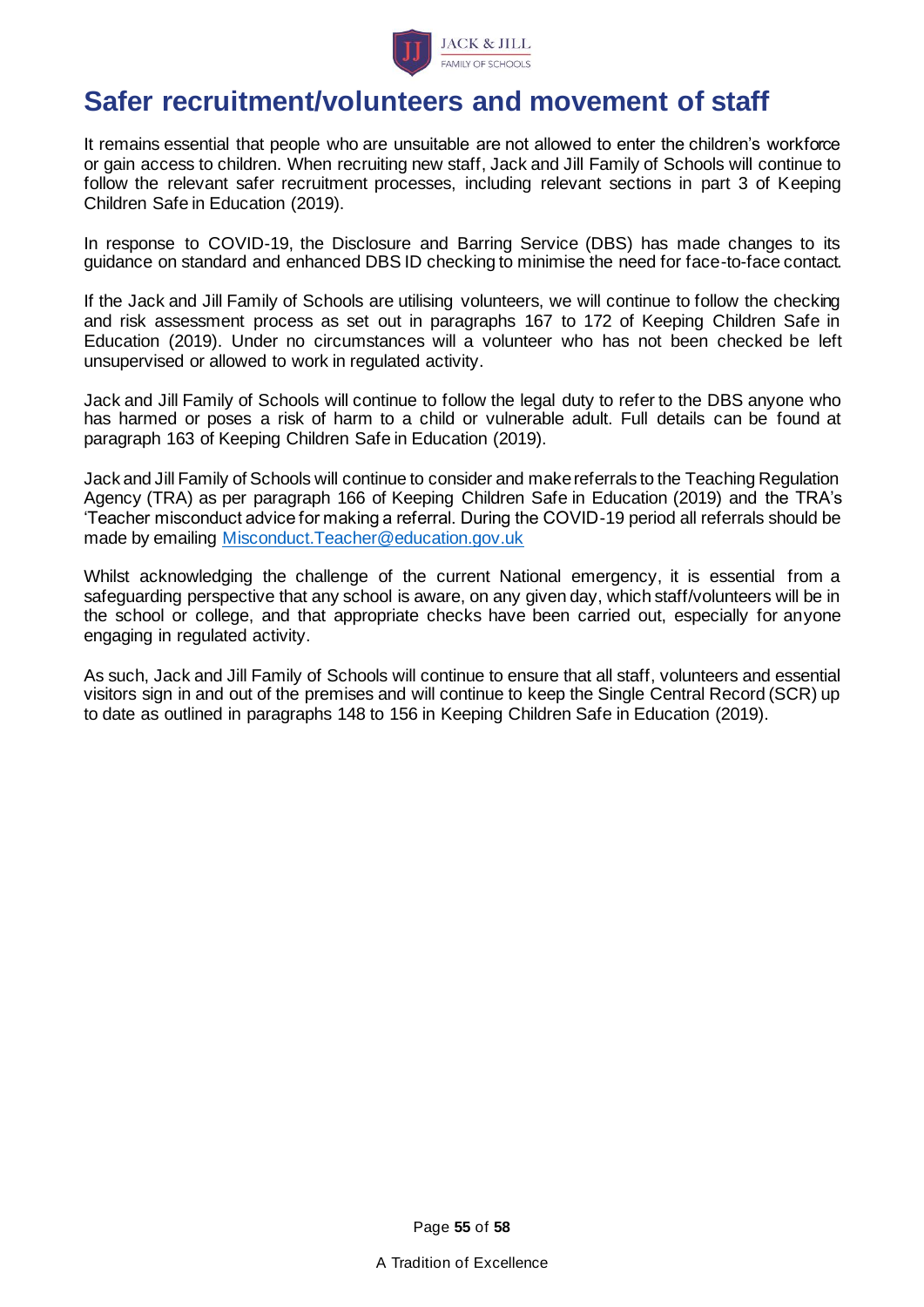

## **Safer recruitment/volunteers and movement of staff**

It remains essential that people who are unsuitable are not allowed to enter the children's workforce or gain access to children. When recruiting new staff, Jack and Jill Family of Schools will continue to follow the relevant safer recruitment processes, including relevant sections in part 3 of Keeping Children Safe in Education (2019).

In response to COVID-19, the Disclosure and Barring Service (DBS) has made changes to its guidance on standard and enhanced DBS ID checking to minimise the need for face-to-face contact.

If the Jack and Jill Family of Schools are utilising volunteers, we will continue to follow the checking and risk assessment process as set out in paragraphs 167 to 172 of Keeping Children Safe in Education (2019). Under no circumstances will a volunteer who has not been checked be left unsupervised or allowed to work in regulated activity.

Jack and Jill Family of Schools will continue to follow the legal duty to refer to the DBS anyone who has harmed or poses a risk of harm to a child or vulnerable adult. Full details can be found at paragraph 163 of Keeping Children Safe in Education (2019).

Jack and Jill Family of Schools will continue to consider and make referrals to the Teaching Regulation Agency (TRA) as per paragraph 166 of Keeping Children Safe in Education (2019) and the TRA's 'Teacher misconduct advice for making a referral. During the COVID-19 period all referrals should be made by emailing [Misconduct.Teacher@education.gov.uk](mailto:Misconduct.Teacher@education.gov.uk)

Whilst acknowledging the challenge of the current National emergency, it is essential from a safeguarding perspective that any school is aware, on any given day, which staff/volunteers will be in the school or college, and that appropriate checks have been carried out, especially for anyone engaging in regulated activity.

As such, Jack and Jill Family of Schools will continue to ensure that all staff, volunteers and essential visitors sign in and out of the premises and will continue to keep the Single Central Record (SCR) up to date as outlined in paragraphs 148 to 156 in Keeping Children Safe in Education (2019).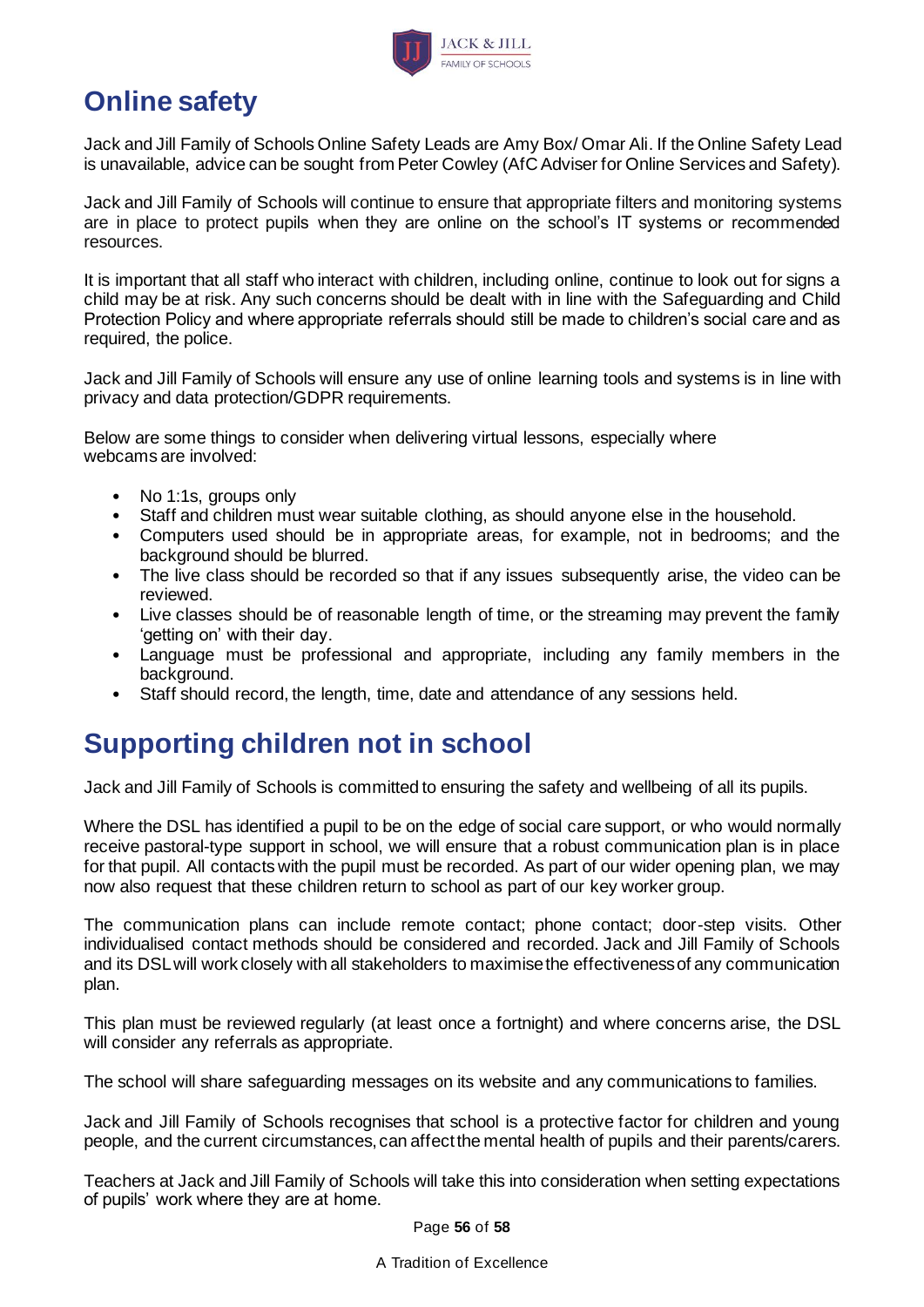

# **Online safety**

Jack and Jill Family of Schools Online Safety Leads are Amy Box/ Omar Ali. If the Online Safety Lead is unavailable, advice can be sought from Peter Cowley (AfC Adviser for Online Services and Safety).

Jack and Jill Family of Schools will continue to ensure that appropriate filters and monitoring systems are in place to protect pupils when they are online on the school's IT systems or recommended resources.

It is important that all staff who interact with children, including online, continue to look out for signs a child may be at risk. Any such concerns should be dealt with in line with the Safeguarding and Child Protection Policy and where appropriate referrals should still be made to children's social care and as required, the police.

Jack and Jill Family of Schools will ensure any use of online learning tools and systems is in line with privacy and data protection/GDPR requirements.

Below are some things to consider when delivering virtual lessons, especially where webcams are involved:

- No 1:1s, groups only
- Staff and children must wear suitable clothing, as should anyone else in the household.
- Computers used should be in appropriate areas, for example, not in bedrooms; and the background should be blurred.
- The live class should be recorded so that if any issues subsequently arise, the video can be reviewed.
- Live classes should be of reasonable length of time, or the streaming may prevent the family 'getting on' with their day.
- Language must be professional and appropriate, including any family members in the background.
- Staff should record, the length, time, date and attendance of any sessions held.

## **Supporting children not in school**

Jack and Jill Family of Schools is committed to ensuring the safety and wellbeing of all its pupils.

Where the DSL has identified a pupil to be on the edge of social care support, or who would normally receive pastoral-type support in school, we will ensure that a robust communication plan is in place for that pupil. All contacts with the pupil must be recorded. As part of our wider opening plan, we may now also request that these children return to school as part of our key worker group.

The communication plans can include remote contact; phone contact; door-step visits. Other individualised contact methods should be considered and recorded. Jack and Jill Family of Schools and its DSL will work closely with all stakeholders to maximise the effectiveness of any communication plan.

This plan must be reviewed regularly (at least once a fortnight) and where concerns arise, the DSL will consider any referrals as appropriate.

The school will share safeguarding messages on its website and any communications to families.

Jack and Jill Family of Schools recognises that school is a protective factor for children and young people, and the current circumstances, can affect the mental health of pupils and their parents/carers.

Teachers at Jack and Jill Family of Schools will take this into consideration when setting expectations of pupils' work where they are at home.

Page **56** of **58**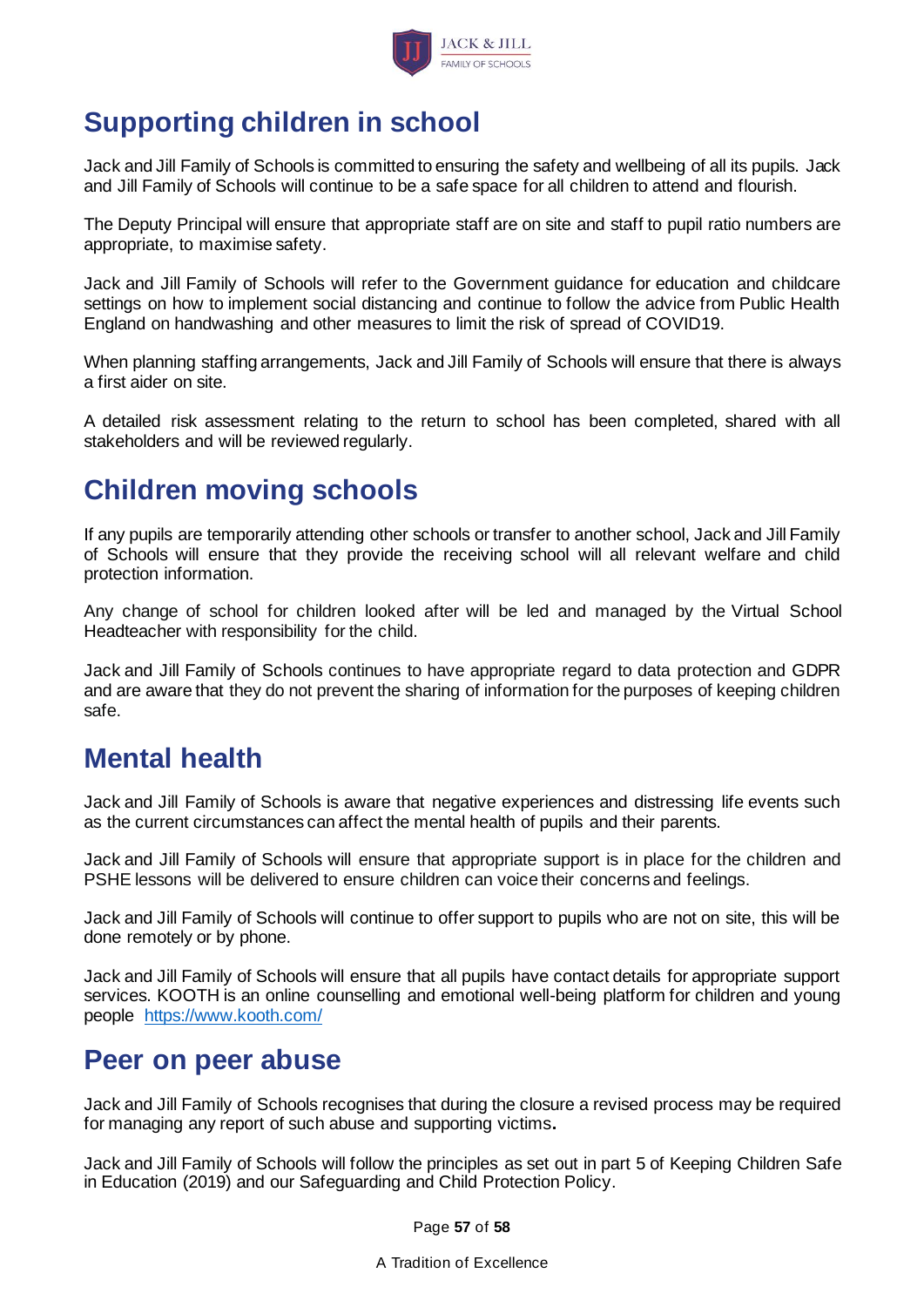

# **Supporting children in school**

Jack and Jill Family of Schools is committed to ensuring the safety and wellbeing of all its pupils. Jack and Jill Family of Schools will continue to be a safe space for all children to attend and flourish.

The Deputy Principal will ensure that appropriate staff are on site and staff to pupil ratio numbers are appropriate, to maximise safety.

Jack and Jill Family of Schools will refer to the Government guidance for education and childcare settings on how to implement social distancing and continue to follow the advice from Public Health England on handwashing and other measures to limit the risk of spread of COVID19.

When planning staffing arrangements, Jack and Jill Family of Schools will ensure that there is always a first aider on site.

A detailed risk assessment relating to the return to school has been completed, shared with all stakeholders and will be reviewed regularly.

# **Children moving schools**

If any pupils are temporarily attending other schools or transfer to another school, Jack and Jill Family of Schools will ensure that they provide the receiving school will all relevant welfare and child protection information.

Any change of school for children looked after will be led and managed by the Virtual School Headteacher with responsibility for the child.

Jack and Jill Family of Schools continues to have appropriate regard to data protection and GDPR and are aware that they do not prevent the sharing of information for the purposes of keeping children safe.

## **Mental health**

Jack and Jill Family of Schools is aware that negative experiences and distressing life events such as the current circumstances can affect the mental health of pupils and their parents.

Jack and Jill Family of Schools will ensure that appropriate support is in place for the children and PSHE lessons will be delivered to ensure children can voice their concerns and feelings.

Jack and Jill Family of Schools will continue to offer support to pupils who are not on site, this will be done remotely or by phone.

Jack and Jill Family of Schools will ensure that all pupils have contact details for appropriate support services. KOOTH is an online counselling and emotional well-being platform for children and young people <https://www.kooth.com/>

## **Peer on peer abuse**

Jack and Jill Family of Schools recognises that during the closure a revised process may be required for managing any report of such abuse and supporting victims**.**

Jack and Jill Family of Schools will follow the principles as set out in part 5 of Keeping Children Safe in Education (2019) and our Safeguarding and Child Protection Policy.

Page **57** of **58**